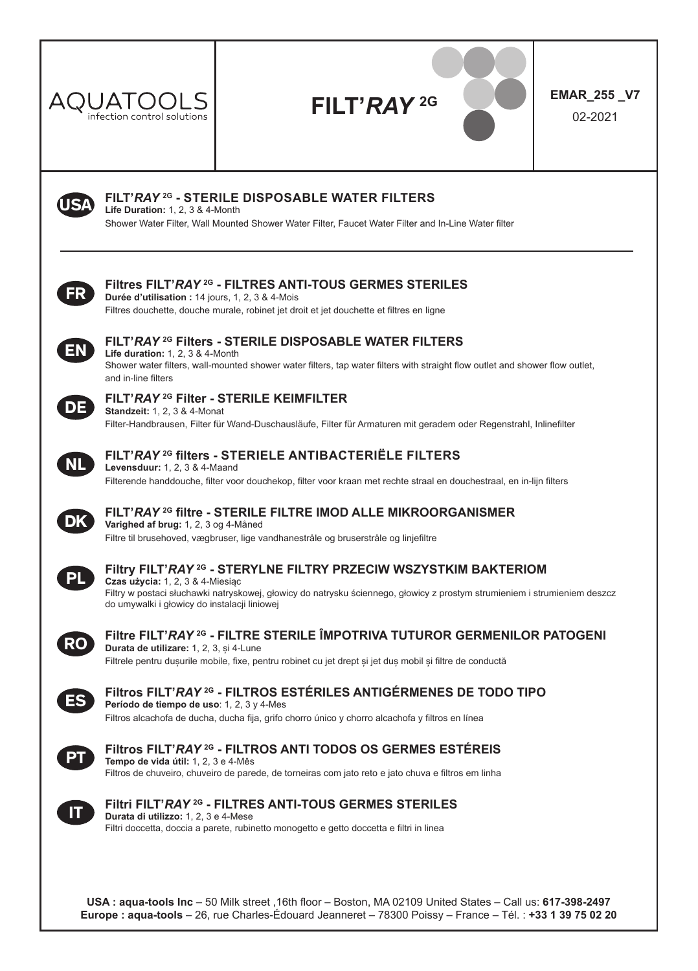

# **FILT'***RAY* **2G EMAR\_255 \_V7**





### **FILT'***RAY* **2G - STERILE DISPOSABLE WATER FILTERS**

**Life Duration:** 1, 2, 3 & 4-Month

Shower Water Filter, Wall Mounted Shower Water Filter, Faucet Water Filter and In-Line Water filter



### **Filtres FILT'***RAY* **2G - FILTRES ANTI-TOUS GERMES STERILES**

**Durée d'utilisation :** 14 jours, 1, 2, 3 & 4-Mois Filtres douchette, douche murale, robinet jet droit et jet douchette et filtres en ligne



### **FILT'***RAY* **2G Filters - STERILE DISPOSABLE WATER FILTERS**

**Life duration:** 1, 2, 3 & 4-Month Shower water filters, wall-mounted shower water filters, tap water filters with straight flow outlet and shower flow outlet, and in-line filters



### **FILT'***RAY* **2G Filter - STERILE KEIMFILTER**

**Standzeit:** 1, 2, 3 & 4-Monat Filter-Handbrausen, Filter für Wand-Duschausläufe, Filter für Armaturen mit geradem oder Regenstrahl, Inlinefilter



#### **FILT'***RAY* **2G filters - STERIELE ANTIBACTERIËLE FILTERS**

**Levensduur:** 1, 2, 3 & 4-Maand Filterende handdouche, filter voor douchekop, filter voor kraan met rechte straal en douchestraal, en in-lijn filters



#### **FILT'***RAY* **2G filtre - STERILE FILTRE IMOD ALLE MIKROORGANISMER Varighed af brug:** 1, 2, 3 og 4-Måned Filtre til brusehoved, vægbruser, lige vandhanestråle og bruserstråle og linjefiltre



#### **Filtry FILT'***RAY* **2G - STERYLNE FILTRY PRZECIW WSZYSTKIM BAKTERIOM Czas użycia:** 1, 2, 3 & 4-Miesiąc

Filtry w postaci słuchawki natryskowej, głowicy do natrysku ściennego, głowicy z prostym strumieniem i strumieniem deszcz do umywalki i głowicy do instalacji liniowej



**Filtre FILT'***RAY* **2G - FILTRE STERILE ÎMPOTRIVA TUTUROR GERMENILOR PATOGENI Durata de utilizare:** 1, 2, 3, și 4-Lune Filtrele pentru dusurile mobile, fixe, pentru robinet cu jet drept și jet duș mobil și filtre de conductă



#### **Filtros FILT'***RAY* **2G - FILTROS ESTÉRILES ANTIGÉRMENES DE TODO TIPO Período de tiempo de uso**: 1, 2, 3 y 4-Mes

Filtros alcachofa de ducha, ducha fija, grifo chorro único y chorro alcachofa y filtros en línea



#### **Filtros FILT'***RAY* **2G - FILTROS ANTI TODOS OS GERMES ESTÉREIS Tempo de vida útil:** 1, 2, 3 e 4-Mês

Filtros de chuveiro, chuveiro de parede, de torneiras com jato reto e jato chuva e filtros em linha



### **Filtri FILT'***RAY* **2G - FILTRES ANTI-TOUS GERMES STERILES**

**Durata di utilizzo:** 1, 2, 3 e 4-Mese Filtri doccetta, doccia a parete, rubinetto monogetto e getto doccetta e filtri in linea

**USA : aqua-tools Inc** – 50 Milk street ,16th floor – Boston, MA 02109 United States – Call us: **617-398-2497 Europe : aqua-tools** – 26, rue Charles-Édouard Jeanneret – 78300 Poissy – France – Tél. : **+33 1 39 75 02 20**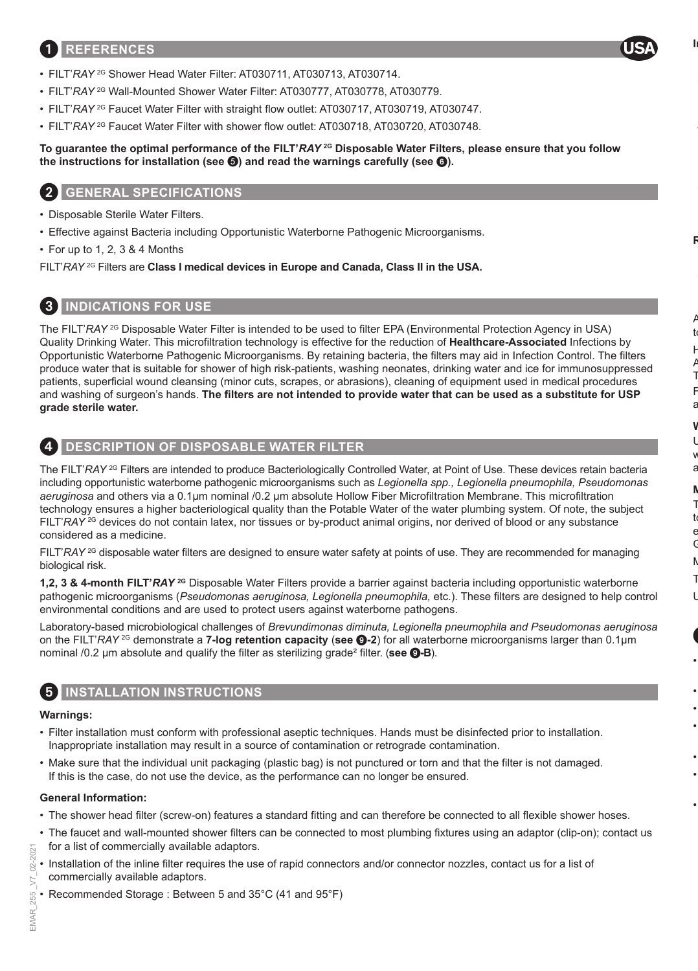### 1 **REFERENCES**



- FILT'*RAY* 2G Shower Head Water Filter: AT030711, AT030713, AT030714.
- FILT'*RAY* 2G Wall-Mounted Shower Water Filter: AT030777, AT030778, AT030779.
- FILT'*RAY* 2G Faucet Water Filter with straight flow outlet: AT030717, AT030719, AT030747.
- FILT'*RAY* 2G Faucet Water Filter with shower flow outlet: AT030718, AT030720, AT030748.

#### **To guarantee the optimal performance of the FILT'***RAY* **2G Disposable Water Filters, please ensure that you follow the instructions for installation (see ) and read the warnings carefully (see** 6**).**

### 2 **GENERAL SPECIFICATIONS**

- Disposable Sterile Water Filters.
- Effective against Bacteria including Opportunistic Waterborne Pathogenic Microorganisms.
- For up to 1, 2, 3 & 4 Months

FILT'*RAY* 2G Filters are **Class I medical devices in Europe and Canada, Class II in the USA.**

# 3 **INDICATIONS FOR USE**

The FILT'*RAY* <sup>2G</sup> Disposable Water Filter is intended to be used to filter EPA (Environmental Protection Agency in USA) Quality Drinking Water. This microfiltration technology is effective for the reduction of **Healthcare-Associated** Infections by Opportunistic Waterborne Pathogenic Microorganisms. By retaining bacteria, the filters may aid in Infection Control. The filters produce water that is suitable for shower of high risk-patients, washing neonates, drinking water and ice for immunosuppressed patients, superficial wound cleansing (minor cuts, scrapes, or abrasions), cleaning of equipment used in medical procedures and washing of surgeon's hands. **The filters are not intended to provide water that can be used as a substitute for USP grade sterile water.**

# 4 **DESCRIPTION OF DISPOSABLE WATER FILTER**

The FILT'*RAY* <sup>2G</sup> Filters are intended to produce Bacteriologically Controlled Water, at Point of Use. These devices retain bacteria including opportunistic waterborne pathogenic microorganisms such as *Legionella spp., Legionella pneumophila, Pseudomonas aeruginosa* and others via a 0.1µm nominal /0.2 μm absolute Hollow Fiber Microfiltration Membrane. This microfiltration technology ensures a higher bacteriological quality than the Potable Water of the water plumbing system. Of note, the subject FILT'*RAY* 2G devices do not contain latex, nor tissues or by-product animal origins, nor derived of blood or any substance considered as a medicine.

FILT'*RAY* <sup>2G</sup> disposable water filters are designed to ensure water safety at points of use. They are recommended for managing biological risk.

**1,2, 3 & 4-month FILT'***RAY* **2G** Disposable Water Filters provide a barrier against bacteria including opportunistic waterborne pathogenic microorganisms (*Pseudomonas aeruginosa, Legionella pneumophila,* etc.). These filters are designed to help control environmental conditions and are used to protect users against waterborne pathogens.

Laboratory-based microbiological challenges of *Brevundimonas diminuta, Legionella pneumophila and Pseudomonas aeruginosa* on the FILT'*RAY* 2G demonstrate a **7-log retention capacity** (**see** 9**-2**) for all waterborne microorganisms larger than 0.1µm nominal /0.2 μm absolute and qualify the filter as sterilizing grade² filter. (**see** 9**-B**).

### **INSTALLATION INSTRUCTIONS**

#### **Warnings:**

- Filter installation must conform with professional aseptic techniques. Hands must be disinfected prior to installation. Inappropriate installation may result in a source of contamination or retrograde contamination.
- Make sure that the individual unit packaging (plastic bag) is not punctured or torn and that the filter is not damaged. If this is the case, do not use the device, as the performance can no longer be ensured.

#### **General Information:**

- The shower head filter (screw-on) features a standard fitting and can therefore be connected to all flexible shower hoses.
- The faucet and wall-mounted shower filters can be connected to most plumbing fixtures using an adaptor (clip-on); contact us for a list of commercially available adaptors.
- Installation of the inline filter requires the use of rapid connectors and/or connector nozzles, contact us for a list of commercially available adaptors.
- Recommended Storage : Between 5 and 35°C (41 and 95°F)

 $2021$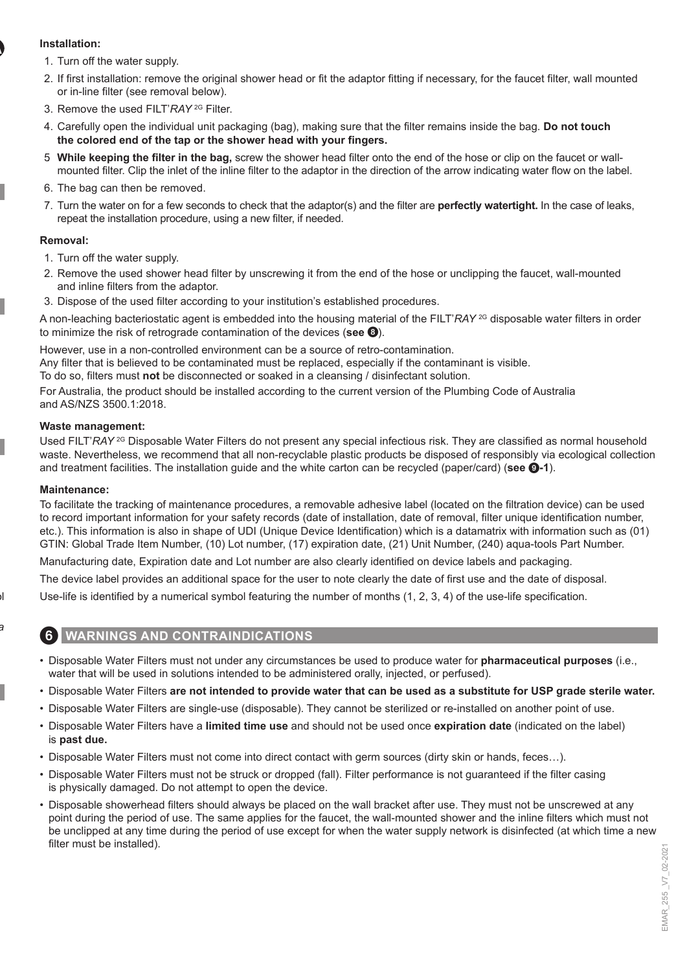#### **Installation:**

- 1. Turn off the water supply.
- 2. If first installation: remove the original shower head or fit the adaptor fitting if necessary, for the faucet filter, wall mounted or in-line filter (see removal below).
- 3. Remove the used FILT'*RAY* 2G Filter.
- 4. Carefully open the individual unit packaging (bag), making sure that the filter remains inside the bag. **Do not touch the colored end of the tap or the shower head with your fingers.**
- 5. **While keeping the filter in the bag,** screw the shower head filter onto the end of the hose or clip on the faucet or wallmounted filter. Clip the inlet of the inline filter to the adaptor in the direction of the arrow indicating water flow on the label.
- 6. The bag can then be removed.
- 7. Turn the water on for a few seconds to check that the adaptor(s) and the filter are **perfectly watertight.** In the case of leaks, repeat the installation procedure, using a new filter, if needed.

#### **Removal:**

- 1. Turn off the water supply.
- 2. Remove the used shower head filter by unscrewing it from the end of the hose or unclipping the faucet, wall-mounted and inline filters from the adaptor.
- 3. Dispose of the used filter according to your institution's established procedures.

A non-leaching bacteriostatic agent is embedded into the housing material of the FILT'*RAY* 2G disposable water filters in order to minimize the risk of retrograde contamination of the devices (**see** 8).

However, use in a non-controlled environment can be a source of retro-contamination.

Any filter that is believed to be contaminated must be replaced, especially if the contaminant is visible.

To do so, filters must **not** be disconnected or soaked in a cleansing / disinfectant solution.

For Australia, the product should be installed according to the current version of the Plumbing Code of Australia and AS/NZS 3500.1:2018.

#### **Waste management:**

Used FILT'*RAY* 2G Disposable Water Filters do not present any special infectious risk. They are classified as normal household waste. Nevertheless, we recommend that all non-recyclable plastic products be disposed of responsibly via ecological collection and treatment facilities. The installation guide and the white carton can be recycled (paper/card) (**see** 9**-1**).

#### **Maintenance:**

To facilitate the tracking of maintenance procedures, a removable adhesive label (located on the filtration device) can be used to record important information for your safety records (date of installation, date of removal, filter unique identification number, etc.). This information is also in shape of UDI (Unique Device Identification) which is a datamatrix with information such as (01) GTIN: Global Trade Item Number, (10) Lot number, (17) expiration date, (21) Unit Number, (240) aqua-tools Part Number.

Manufacturing date, Expiration date and Lot number are also clearly identified on device labels and packaging.

The device label provides an additional space for the user to note clearly the date of first use and the date of disposal.

Use-life is identified by a numerical symbol featuring the number of months (1, 2, 3, 4) of the use-life specification.

### 6 **WARNINGS AND CONTRAINDICATIONS**

- Disposable Water Filters must not under any circumstances be used to produce water for **pharmaceutical purposes** (i.e., water that will be used in solutions intended to be administered orally, injected, or perfused).
- Disposable Water Filters **are not intended to provide water that can be used as a substitute for USP grade sterile water.**
- Disposable Water Filters are single-use (disposable). They cannot be sterilized or re-installed on another point of use.
- Disposable Water Filters have a **limited time use** and should not be used once **expiration date** (indicated on the label) is **past due.**
- Disposable Water Filters must not come into direct contact with germ sources (dirty skin or hands, feces…).
- Disposable Water Filters must not be struck or dropped (fall). Filter performance is not guaranteed if the filter casing is physically damaged. Do not attempt to open the device.
- Disposable showerhead filters should always be placed on the wall bracket after use. They must not be unscrewed at any point during the period of use. The same applies for the faucet, the wall-mounted shower and the inline filters which must not be unclipped at any time during the period of use except for when the water supply network is disinfected (at which time a new filter must be installed).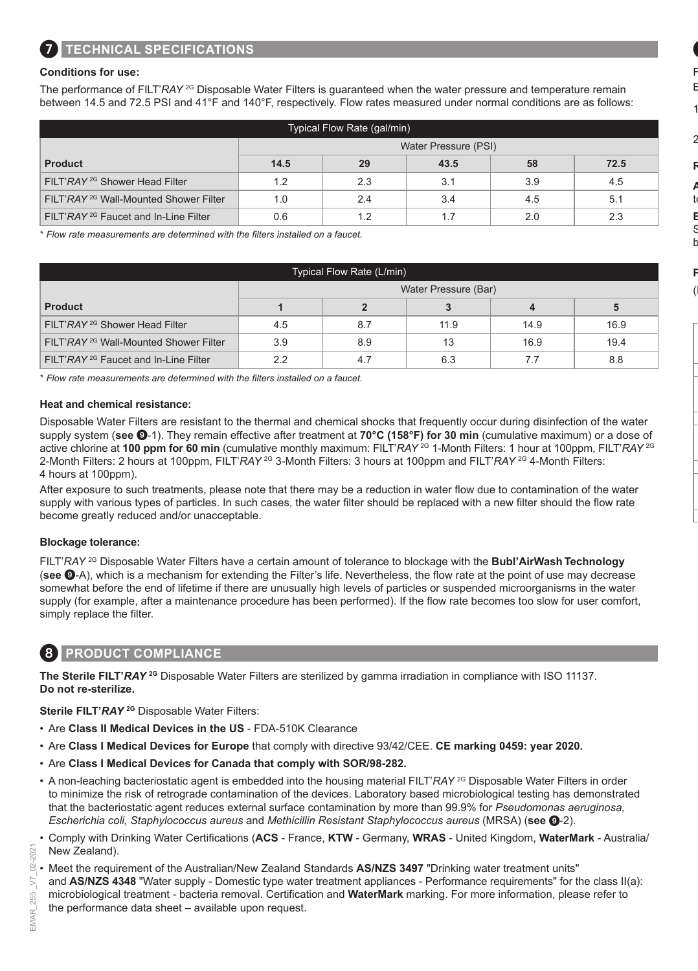#### **Conditions for use:**

The performance of FILT'*RAY*<sup>2G</sup> Disposable Water Filters is quaranteed when the water pressure and temperature remain between 14.5 and 72.5 PSI and 41°F and 140°F, respectively. Flow rates measured under normal conditions are as follows:

| Typical Flow Rate (gal/min)                       |                      |     |      |     |      |  |
|---------------------------------------------------|----------------------|-----|------|-----|------|--|
|                                                   | Water Pressure (PSI) |     |      |     |      |  |
| <b>Product</b>                                    | 14.5                 | 29  | 43.5 | 58  | 72.5 |  |
| FILT'RAY <sup>2G</sup> Shower Head Filter         | 1.2                  | 2.3 | 3.1  | 3.9 | 4.5  |  |
| FILT'RAY <sup>2G</sup> Wall-Mounted Shower Filter | 1.0                  | 2.4 | 3.4  | 4.5 | 5.1  |  |
| FILT'RAY <sup>2G</sup> Faucet and In-Line Filter  | 0.6                  | 1.2 | 1.7  | 2.0 | 2.3  |  |

\* *Flow rate measurements are determined with the filters installed on a faucet.*

| Typical Flow Rate (L/min)                         |                      |     |      |      |      |  |  |
|---------------------------------------------------|----------------------|-----|------|------|------|--|--|
|                                                   | Water Pressure (Bar) |     |      |      |      |  |  |
| <b>Product</b>                                    |                      |     |      |      | 5    |  |  |
| FILT'RAY <sup>2G</sup> Shower Head Filter         | 4.5                  | 8.7 | 11.9 | 14.9 | 16.9 |  |  |
| FILT'RAY <sup>2G</sup> Wall-Mounted Shower Filter | 3.9                  | 8.9 | 13   | 16.9 | 19.4 |  |  |
| FILT'RAY <sup>2G</sup> Faucet and In-Line Filter  | 2.2                  | 4.7 | 6.3  | 7.7  | 8.8  |  |  |

\* *Flow rate measurements are determined with the filters installed on a faucet.*

#### **Heat and chemical resistance:**

Disposable Water Filters are resistant to the thermal and chemical shocks that frequently occur during disinfection of the water supply system (**see** 9-1). They remain effective after treatment at **70°C (158°F) for 30 min** (cumulative maximum) or a dose of active chlorine at **100 ppm for 60 min** (cumulative monthly maximum: FILT'*RAY* 2G 1-Month Filters: 1 hour at 100ppm, FILT'*RAY* 2G 2-Month Filters: 2 hours at 100ppm, FILT'*RAY* 2G 3-Month Filters: 3 hours at 100ppm and FILT'*RAY* 2G 4-Month Filters: 4 hours at 100ppm).

After exposure to such treatments, please note that there may be a reduction in water flow due to contamination of the water supply with various types of particles. In such cases, the water filter should be replaced with a new filter should the flow rate become greatly reduced and/or unacceptable.

#### **Blockage tolerance:**

FILT'*RAY* 2G Disposable Water Filters have a certain amount of tolerance to blockage with the **Bubl'AirWash Technology**  (**see** 9-A), which is a mechanism for extending the Filter's life. Nevertheless, the flow rate at the point of use may decrease somewhat before the end of lifetime if there are unusually high levels of particles or suspended microorganisms in the water supply (for example, after a maintenance procedure has been performed). If the flow rate becomes too slow for user comfort, simply replace the filter.

### 8 **PRODUCT COMPLIANCE**

**The Sterile FILT'***RAY* **2G** Disposable Water Filters are sterilized by gamma irradiation in compliance with ISO 11137. **Do not re-sterilize.**

**Sterile FILT'***RAY* **2G** Disposable Water Filters:

- Are **Class II Medical Devices in the US** FDA-510K Clearance
- Are **Class I Medical Devices for Europe** that comply with directive 93/42/CEE. **CE marking 0459: year 2020.**
- Are **Class I Medical Devices for Canada that comply with SOR/98-282.**
- A non-leaching bacteriostatic agent is embedded into the housing material FILT'*RAY* 2G Disposable Water Filters in order to minimize the risk of retrograde contamination of the devices. Laboratory based microbiological testing has demonstrated that the bacteriostatic agent reduces external surface contamination by more than 99.9% for *Pseudomonas aeruginosa, Escherichia coli, Staphylococcus aureus* and *Methicillin Resistant Staphylococcus aureus* (MRSA) (**see** 9-2).
- Comply with Drinking Water Certifications (**ACS**  France, **KTW**  Germany, **WRAS**  United Kingdom, **WaterMark**  Australia/ New Zealand).
- Meet the requirement of the Australian/New Zealand Standards **AS/NZS 3497** "Drinking water treatment units" and **AS/NZS 4348** "Water supply - Domestic type water treatment appliances - Performance requirements" for the class II(a): microbiological treatment - bacteria removal. Certification and **WaterMark** marking. For more information, please refer to the performance data sheet – available upon request.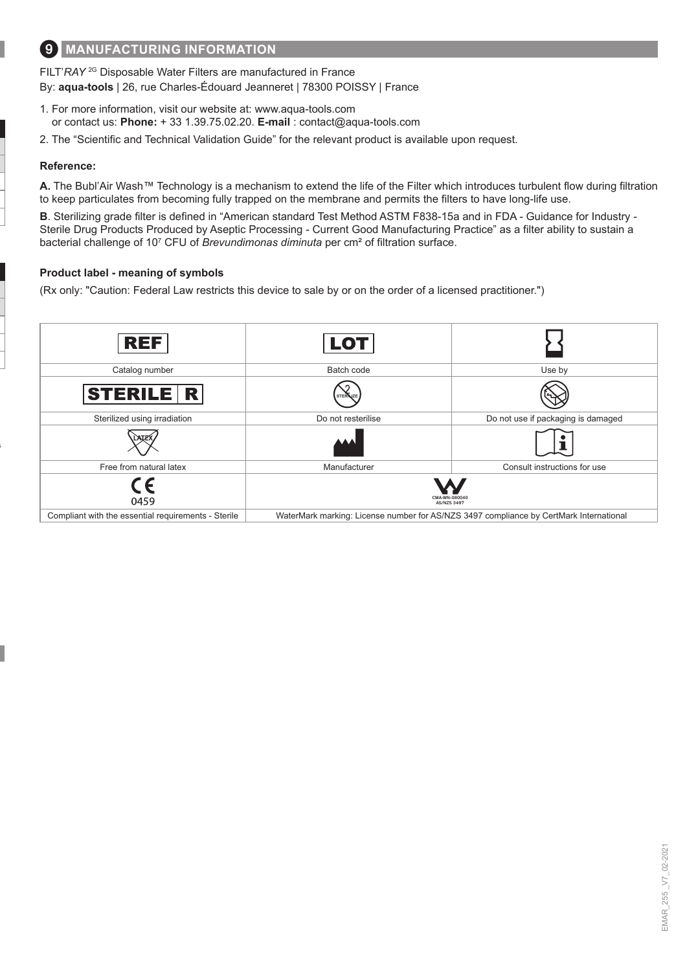# 9 **MANUFACTURING INFORMATION**

FILT'*RAY* 2G Disposable Water Filters are manufactured in France By: **aqua-tools** | 26, rue Charles-Édouard Jeanneret | 78300 POISSY | France

- 1. For more information, visit our website at: www.aqua-tools.com or contact us: **Phone:** + 33 1.39.75.02.20. **E-mail** : contact@aqua-tools.com
- 2. The "Scientific and Technical Validation Guide" for the relevant product is available upon request.

#### **Reference:**

**A.** The Bubl'Air Wash™ Technology is a mechanism to extend the life of the Filter which introduces turbulent flow during filtration to keep particulates from becoming fully trapped on the membrane and permits the filters to have long-life use.

**B**. Sterilizing grade filter is defined in "American standard Test Method ASTM F838-15a and in FDA - Guidance for Industry - Sterile Drug Products Produced by Aseptic Processing - Current Good Manufacturing Practice" as a filter ability to sustain a bacterial challenge of 10<sup>7</sup> CFU of *Brevundimonas diminuta* per cm² of filtration surface.

#### **Product label - meaning of symbols**

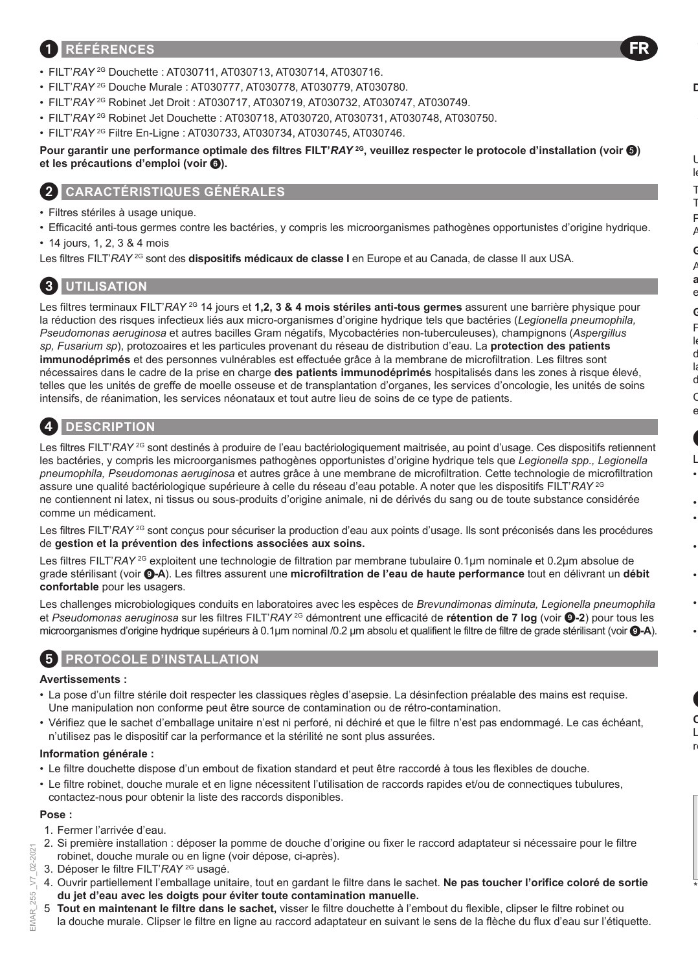### 1 **RÉFÉRENCES**

- FILT'*RAY* 2G Douchette : AT030711, AT030713, AT030714, AT030716.
- FILT'*RAY* 2G Douche Murale : AT030777, AT030778, AT030779, AT030780.
- FILT'RAY<sup>2G</sup> Robinet Jet Droit : AT030717, AT030719, AT030732, AT030747, AT030749.
- FILT'*RAY* 2G Robinet Jet Douchette : AT030718, AT030720, AT030731, AT030748, AT030750.
- FILT'*RAY* 2G Filtre En-Ligne : AT030733, AT030734, AT030745, AT030746.

**Pour garantir une performance optimale des filtres FILT'***RAY* **2G, veuillez respecter le protocole d'installation (voir ) et les précautions d'emploi (voir** 6**).**

### 2 **CARACTÉRISTIQUES GÉNÉRALES**

- Filtres stériles à usage unique.
- Efficacité anti-tous germes contre les bactéries, y compris les microorganismes pathogènes opportunistes d'origine hydrique.
- 14 jours, 1, 2, 3 & 4 mois

Les filtres FILT'*RAY* <sup>2G</sup> sont des **dispositifs médicaux de classe I** en Europe et au Canada, de classe II aux USA.

### 3 **UTILISATION**

Les filtres terminaux FILT'*RAY* <sup>2G</sup> 14 jours et **1,2, 3 & 4 mois stériles anti-tous germes** assurent une barrière physique pour la réduction des risques infectieux liés aux micro-organismes d'origine hydrique tels que bactéries (*Legionella pneumophila, Pseudomonas aeruginosa* et autres bacilles Gram négatifs, Mycobactéries non-tuberculeuses), champignons (*Aspergillus sp, Fusarium sp*), protozoaires et les particules provenant du réseau de distribution d'eau. La **protection des patients immunodéprimés** et des personnes vulnérables est effectuée grâce à la membrane de microfiltration. Les filtres sont nécessaires dans le cadre de la prise en charge **des patients immunodéprimés** hospitalisés dans les zones à risque élevé, telles que les unités de greffe de moelle osseuse et de transplantation d'organes, les services d'oncologie, les unités de soins intensifs, de réanimation, les services néonataux et tout autre lieu de soins de ce type de patients.

### 4 **DESCRIPTION**

Les filtres FILT'*RAY*<sup>2G</sup> sont destinés à produire de l'eau bactériologiquement maitrisée, au point d'usage. Ces dispositifs retiennent les bactéries, y compris les microorganismes pathogènes opportunistes d'origine hydrique tels que *Legionella spp., Legionella pneumophila, Pseudomonas aeruginosa* et autres grâce à une membrane de microfiltration. Cette technologie de microfiltration assure une qualité bactériologique supérieure à celle du réseau d'eau potable. A noter que les dispositifs FILT'*RAY* 2G ne contiennent ni latex, ni tissus ou sous-produits d'origine animale, ni de dérivés du sang ou de toute substance considérée comme un médicament.

Les filtres FILT'*RAY* <sup>2G</sup> sont conçus pour sécuriser la production d'eau aux points d'usage. Ils sont préconisés dans les procédures de **gestion et la prévention des infections associées aux soins.**

Les filtres FILT'*RAY* 2G exploitent une technologie de filtration par membrane tubulaire 0.1µm nominale et 0.2µm absolue de grade stérilisant (voir 9**-A**). Les filtres assurent une **microfiltration de l'eau de haute performance** tout en délivrant un **débit confortable** pour les usagers.

Les challenges microbiologiques conduits en laboratoires avec les espèces de *Brevundimonas diminuta, Legionella pneumophila*  et *Pseudomonas aeruginosa* sur les filtres FILT'*RAY* 2G démontrent une efficacité de **rétention de 7 log** (voir 9**-2**) pour tous les microorganismes d'origine hydrique supérieurs à 0.1µm nominal /0.2 μm absolu et qualifient le filtre de filtre de grade stérilisant (voir 9**-A**).

### 5 **PROTOCOLE D'INSTALLATION**

#### **Avertissements :**

- La pose d'un filtre stérile doit respecter les classiques règles d'asepsie. La désinfection préalable des mains est requise. Une manipulation non conforme peut être source de contamination ou de rétro-contamination.
- Vérifiez que le sachet d'emballage unitaire n'est ni perforé, ni déchiré et que le filtre n'est pas endommagé. Le cas échéant, n'utilisez pas le dispositif car la performance et la stérilité ne sont plus assurées.

#### **Information générale :**

- Le filtre douchette dispose d'un embout de fixation standard et peut être raccordé à tous les flexibles de douche.
- Le filtre robinet, douche murale et en ligne nécessitent l'utilisation de raccords rapides et/ou de connectiques tubulures, contactez-nous pour obtenir la liste des raccords disponibles.

### **Pose :**

- 1. Fermer l'arrivée d'eau.
- 2. Si première installation : déposer la pomme de douche d'origine ou fixer le raccord adaptateur si nécessaire pour le filtre robinet, douche murale ou en ligne (voir dépose, ci-après).
- 3. Déposer le filtre FILT'*RAY* 2G usagé.
- 4. Ouvrir partiellement l'emballage unitaire, tout en gardant le filtre dans le sachet. **Ne pas toucher l'orifice coloré de sortie du jet d'eau avec les doigts pour éviter toute contamination manuelle.**
- 5. **Tout en maintenant le filtre dans le sachet,** visser le filtre douchette à l'embout du flexible, clipser le filtre robinet ou la douche murale. Clipser le filtre en ligne au raccord adaptateur en suivant le sens de la flèche du flux d'eau sur l'étiquette.

 $2021$  $02 - 2$  $\overline{5}$ 

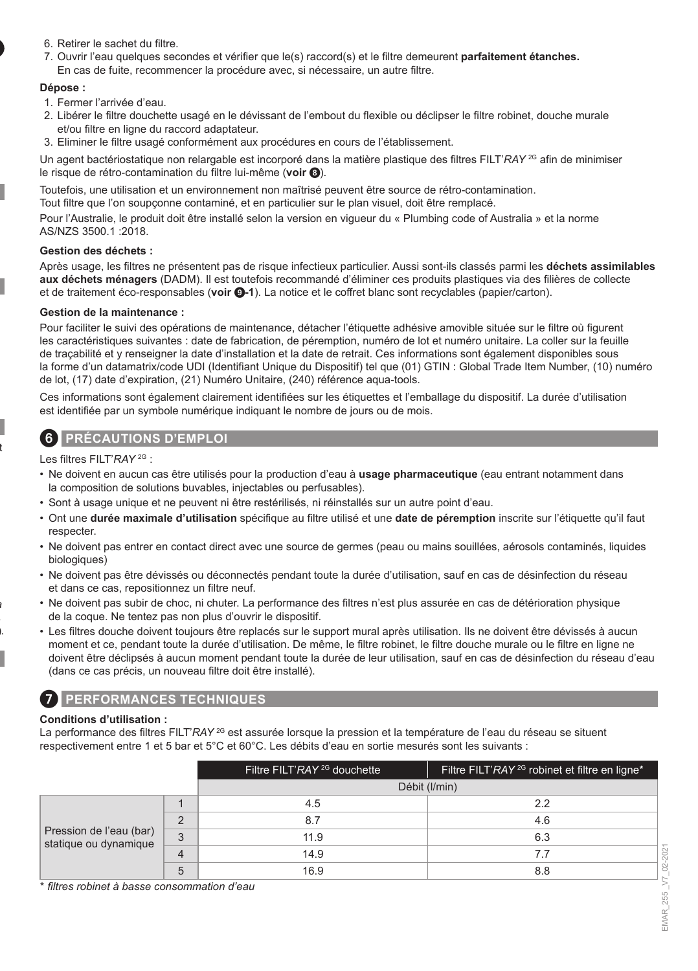- 6. Retirer le sachet du filtre.
- 7. Ouvrir l'eau quelques secondes et vérifier que le(s) raccord(s) et le filtre demeurent **parfaitement étanches.** En cas de fuite, recommencer la procédure avec, si nécessaire, un autre filtre.

#### **Dépose :**

- 1. Fermer l'arrivée d'eau.
- 2. Libérer le filtre douchette usagé en le dévissant de l'embout du flexible ou déclipser le filtre robinet, douche murale et/ou filtre en ligne du raccord adaptateur.
- 3. Eliminer le filtre usagé conformément aux procédures en cours de l'établissement.

Un agent bactériostatique non relargable est incorporé dans la matière plastique des filtres FILT'*RAY* 2G afin de minimiser le risque de rétro-contamination du filtre lui-même (**voir** 8).

Toutefois, une utilisation et un environnement non maîtrisé peuvent être source de rétro-contamination.

Tout filtre que l'on soupçonne contaminé, et en particulier sur le plan visuel, doit être remplacé.

Pour l'Australie, le produit doit être installé selon la version en vigueur du « Plumbing code of Australia » et la norme AS/NZS 3500.1 :2018.

#### **Gestion des déchets :**

Après usage, les filtres ne présentent pas de risque infectieux particulier. Aussi sont-ils classés parmi les **déchets assimilables aux déchets ménagers** (DADM). Il est toutefois recommandé d'éliminer ces produits plastiques via des filières de collecte et de traitement éco-responsables (**voir** 9**-1**). La notice et le coffret blanc sont recyclables (papier/carton).

#### **Gestion de la maintenance :**

Pour faciliter le suivi des opérations de maintenance, détacher l'étiquette adhésive amovible située sur le filtre où figurent les caractéristiques suivantes : date de fabrication, de péremption, numéro de lot et numéro unitaire. La coller sur la feuille de traçabilité et y renseigner la date d'installation et la date de retrait. Ces informations sont également disponibles sous la forme d'un datamatrix/code UDI (Identifiant Unique du Dispositif) tel que (01) GTIN : Global Trade Item Number, (10) numéro de lot, (17) date d'expiration, (21) Numéro Unitaire, (240) référence aqua-tools.

Ces informations sont également clairement identifiées sur les étiquettes et l'emballage du dispositif. La durée d'utilisation est identifiée par un symbole numérique indiquant le nombre de jours ou de mois.

### 6 **PRÉCAUTIONS D'EMPLOI**

Les filtres FILT'*RAY* 2G :

- Ne doivent en aucun cas être utilisés pour la production d'eau à **usage pharmaceutique** (eau entrant notamment dans la composition de solutions buvables, injectables ou perfusables).
- Sont à usage unique et ne peuvent ni être restérilisés, ni réinstallés sur un autre point d'eau.
- Ont une **durée maximale d'utilisation** spécifique au filtre utilisé et une **date de péremption** inscrite sur l'étiquette qu'il faut respecter.
- Ne doivent pas entrer en contact direct avec une source de germes (peau ou mains souillées, aérosols contaminés, liquides biologiques)
- Ne doivent pas être dévissés ou déconnectés pendant toute la durée d'utilisation, sauf en cas de désinfection du réseau et dans ce cas, repositionnez un filtre neuf.
- Ne doivent pas subir de choc, ni chuter. La performance des filtres n'est plus assurée en cas de détérioration physique de la coque. Ne tentez pas non plus d'ouvrir le dispositif.
- Les filtres douche doivent toujours être replacés sur le support mural après utilisation. Ils ne doivent être dévissés à aucun moment et ce, pendant toute la durée d'utilisation. De même, le filtre robinet, le filtre douche murale ou le filtre en ligne ne doivent être déclipsés à aucun moment pendant toute la durée de leur utilisation, sauf en cas de désinfection du réseau d'eau (dans ce cas précis, un nouveau filtre doit être installé).

### 7 **PERFORMANCES TECHNIQUES**

#### **Conditions d'utilisation :**

La performance des filtres FILT'*RAY* <sup>2G</sup> est assurée lorsque la pression et la température de l'eau du réseau se situent respectivement entre 1 et 5 bar et 5°C et 60°C. Les débits d'eau en sortie mesurés sont les suivants :

|                                                  |          | Filtre FILT'RAY <sup>2G</sup> douchette | Filtre FILT'RAY <sup>2G</sup> robinet et filtre en ligne* |
|--------------------------------------------------|----------|-----------------------------------------|-----------------------------------------------------------|
|                                                  |          |                                         | Débit (I/min)                                             |
| Pression de l'eau (bar)<br>statique ou dynamique |          | 4.5                                     | 22                                                        |
|                                                  | $\Omega$ | 8.7                                     | 4.6                                                       |
|                                                  | 3        | 11.9                                    | 6.3                                                       |
|                                                  | 4        | 14.9                                    | 7.7                                                       |
|                                                  | 5        | 16.9                                    | 8.8                                                       |

\* *filtres robinet à basse consommation d'eau*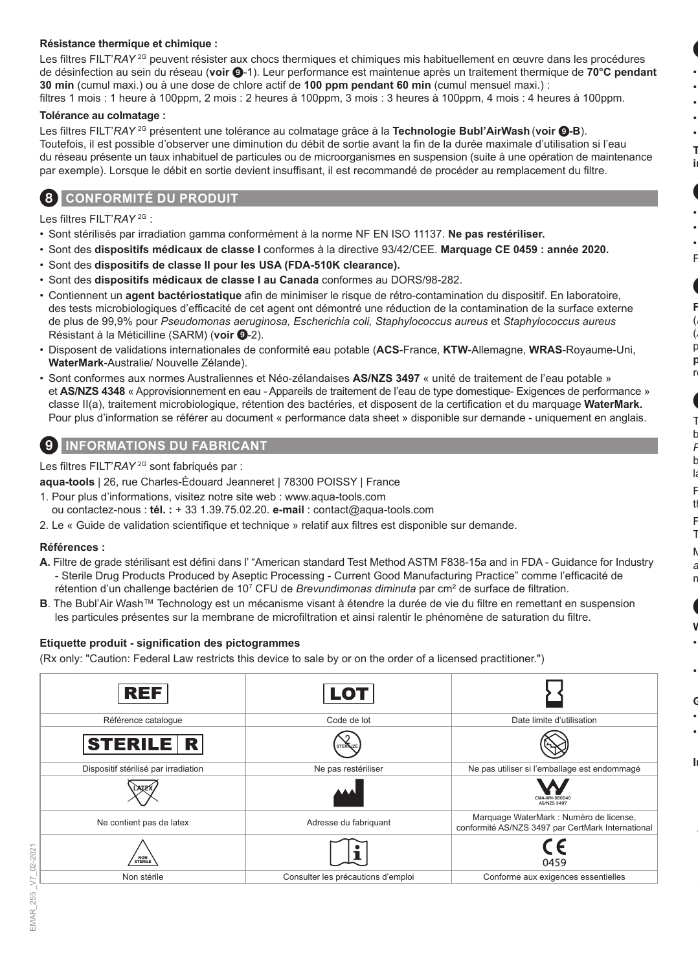#### **Résistance thermique et chimique :**

Les filtres FILT'*RAY* <sup>2G</sup> peuvent résister aux chocs thermiques et chimiques mis habituellement en œuvre dans les procédures de désinfection au sein du réseau (**voir** 9-1). Leur performance est maintenue après un traitement thermique de **70°C pendant 30 min** (cumul maxi.) ou à une dose de chlore actif de **100 ppm pendant 60 min** (cumul mensuel maxi.) : filtres 1 mois : 1 heure à 100ppm, 2 mois : 2 heures à 100ppm, 3 mois : 3 heures à 100ppm, 4 mois : 4 heures à 100ppm.

#### **Tolérance au colmatage :**

Les filtres FILT'*RAY* 2G présentent une tolérance au colmatage grâce à la **Technologie Bubl'AirWash** (**voir** 9**-B**). Toutefois, il est possible d'observer une diminution du débit de sortie avant la fin de la durée maximale d'utilisation si l'eau du réseau présente un taux inhabituel de particules ou de microorganismes en suspension (suite à une opération de maintenance par exemple). Lorsque le débit en sortie devient insuffisant, il est recommandé de procéder au remplacement du filtre.

### 8 **CONFORMITÉ DU PRODUIT**

Les filtres FILT'*RAY* 2G :

- Sont stérilisés par irradiation gamma conformément à la norme NF EN ISO 11137. **Ne pas restériliser.**
- Sont des **dispositifs médicaux de classe I** conformes à la directive 93/42/CEE. **Marquage CE 0459 : année 2020.**
- Sont des **dispositifs de classe II pour les USA (FDA-510K clearance).**
- Sont des **dispositifs médicaux de classe I au Canada** conformes au DORS/98-282.
- Contiennent un **agent bactériostatique** afin de minimiser le risque de rétro-contamination du dispositif. En laboratoire, des tests microbiologiques d'efficacité de cet agent ont démontré une réduction de la contamination de la surface externe de plus de 99,9% pour *Pseudomonas aeruginosa, Escherichia coli, Staphylococcus aureus* et *Staphylococcus aureus* Résistant à la Méticilline (SARM) (voir <sup>0</sup>-2).
- Disposent de validations internationales de conformité eau potable (**ACS**-France, **KTW**-Allemagne, **WRAS**-Royaume-Uni, **WaterMark**-Australie/ Nouvelle Zélande).
- Sont conformes aux normes Australiennes et Néo-zélandaises **AS/NZS 3497** « unité de traitement de l'eau potable » et **AS/NZS 4348** « Approvisionnement en eau - Appareils de traitement de l'eau de type domestique- Exigences de performance » classe II(a), traitement microbiologique, rétention des bactéries, et disposent de la certification et du marquage **WaterMark.** Pour plus d'information se référer au document « performance data sheet » disponible sur demande - uniquement en anglais.

### **INFORMATIONS DU FABRICANT**

Les filtres FILT'*RAY* 2G sont fabriqués par :

**aqua-tools** | 26, rue Charles-Édouard Jeanneret | 78300 POISSY | France

- 1. Pour plus d'informations, visitez notre site web : www.aqua-tools.com ou contactez-nous : **tél. :** + 33 1.39.75.02.20. **e-mail** : contact@aqua-tools.com
- 2. Le « Guide de validation scientifique et technique » relatif aux filtres est disponible sur demande.

#### **Références :**

- **A.** Filtre de grade stérilisant est défini dans l' "American standard Test Method ASTM F838-15a and in FDA Guidance for Industry - Sterile Drug Products Produced by Aseptic Processing - Current Good Manufacturing Practice" comme l'efficacité de rétention d'un challenge bactérien de 10<sup>7</sup> CFU de *Brevundimonas diminuta* par cm² de surface de filtration.
- **B**. The Bubl'Air Wash™ Technology est un mécanisme visant à étendre la durée de vie du filtre en remettant en suspension les particules présentes sur la membrane de microfiltration et ainsi ralentir le phénomène de saturation du filtre.

#### **Etiquette produit - signification des pictogrammes**

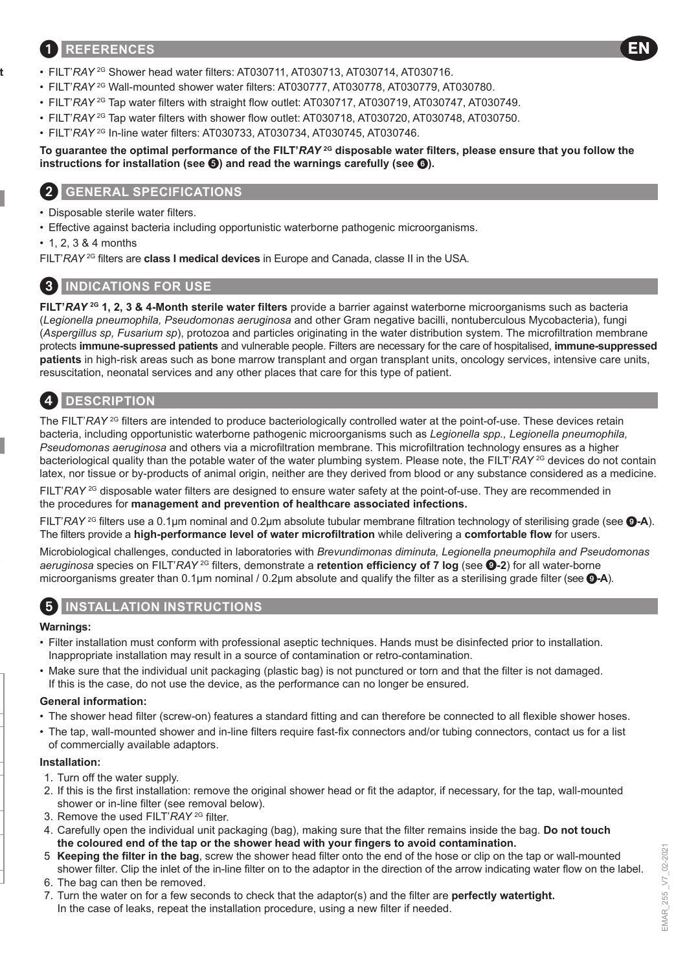### 1 **REFERENCES**

- FILT'*RAY* 2G Shower head water filters: AT030711, AT030713, AT030714, AT030716.
- FILT'*RAY* 2G Wall-mounted shower water filters: AT030777, AT030778, AT030779, AT030780.
- FILT'RAY<sup>2G</sup> Tap water filters with straight flow outlet: AT030717, AT030719, AT030747, AT030749.
- FILT'*RAY* 2G Tap water filters with shower flow outlet: AT030718, AT030720, AT030748, AT030750.
- FILT'*RAY* 2G In-line water filters: AT030733, AT030734, AT030745, AT030746.

#### **To guarantee the optimal performance of the FILT'***RAY* **2G disposable water filters, please ensure that you follow the instructions for installation (see**  $\odot$ **) and read the warnings carefully (see**  $\odot$ **).**

### 2 **GENERAL SPECIFICATIONS**

• Disposable sterile water filters.

- Effective against bacteria including opportunistic waterborne pathogenic microorganisms.
- 1, 2, 3 & 4 months

FILT'*RAY* 2G filters are **class I medical devices** in Europe and Canada, classe II in the USA.

### 3 **INDICATIONS FOR USE**

**FILT'***RAY* **2G 1, 2, 3 & 4-Month sterile water filters** provide a barrier against waterborne microorganisms such as bacteria (*Legionella pneumophila, Pseudomonas aeruginosa* and other Gram negative bacilli, nontuberculous Mycobacteria), fungi (*Aspergillus sp, Fusarium sp*), protozoa and particles originating in the water distribution system. The microfiltration membrane protects **immune-supressed patients** and vulnerable people. Filters are necessary for the care of hospitalised, **immune-suppressed patients** in high-risk areas such as bone marrow transplant and organ transplant units, oncology services, intensive care units, resuscitation, neonatal services and any other places that care for this type of patient.

# 4 **DESCRIPTION**

The FILT'*RAY* <sup>2G</sup> filters are intended to produce bacteriologically controlled water at the point-of-use. These devices retain bacteria, including opportunistic waterborne pathogenic microorganisms such as *Legionella spp., Legionella pneumophila, Pseudomonas aeruginosa* and others via a microfiltration membrane. This microfiltration technology ensures as a higher bacteriological quality than the potable water of the water plumbing system. Please note, the FILT'*RAY* <sup>2G</sup> devices do not contain latex, nor tissue or by-products of animal origin, neither are they derived from blood or any substance considered as a medicine.

FILT'*RAY* <sup>2G</sup> disposable water filters are designed to ensure water safety at the point-of-use. They are recommended in the procedures for **management and prevention of healthcare associated infections.**

FILT'*RAY* 2G filters use a 0.1μm nominal and 0.2μm absolute tubular membrane filtration technology of sterilising grade (see 9**-A**). The filters provide a **high-performance level of water microfiltration** while delivering a **comfortable flow** for users.

Microbiological challenges, conducted in laboratories with *Brevundimonas diminuta, Legionella pneumophila and Pseudomonas aeruginosa* species on FILT'*RAY* 2G filters, demonstrate a **retention efficiency of 7 log** (see 9**-2**) for all water-borne microorganisms greater than 0.1μm nominal / 0.2μm absolute and qualify the filter as a sterilising grade filter (see 9**-A**).

### 5 **INSTALLATION INSTRUCTIONS**

#### **Warnings:**

- Filter installation must conform with professional aseptic techniques. Hands must be disinfected prior to installation. Inappropriate installation may result in a source of contamination or retro-contamination.
- Make sure that the individual unit packaging (plastic bag) is not punctured or torn and that the filter is not damaged. If this is the case, do not use the device, as the performance can no longer be ensured.

#### **General information:**

- The shower head filter (screw-on) features a standard fitting and can therefore be connected to all flexible shower hoses.
- The tap, wall-mounted shower and in-line filters require fast-fix connectors and/or tubing connectors, contact us for a list of commercially available adaptors.

#### **Installation:**

- 1. Turn off the water supply.
- 2. If this is the first installation: remove the original shower head or fit the adaptor, if necessary, for the tap, wall-mounted shower or in-line filter (see removal below).
- 3. Remove the used FILT'*RAY* 2G filter.
- 4. Carefully open the individual unit packaging (bag), making sure that the filter remains inside the bag. **Do not touch the coloured end of the tap or the shower head with your fingers to avoid contamination.**
- 5. **Keeping the filter in the bag**, screw the shower head filter onto the end of the hose or clip on the tap or wall-mounted shower filter. Clip the inlet of the in-line filter on to the adaptor in the direction of the arrow indicating water flow on the label.
- 6. The bag can then be removed.
- 7. Turn the water on for a few seconds to check that the adaptor(s) and the filter are **perfectly watertight.** In the case of leaks, repeat the installation procedure, using a new filter if needed.

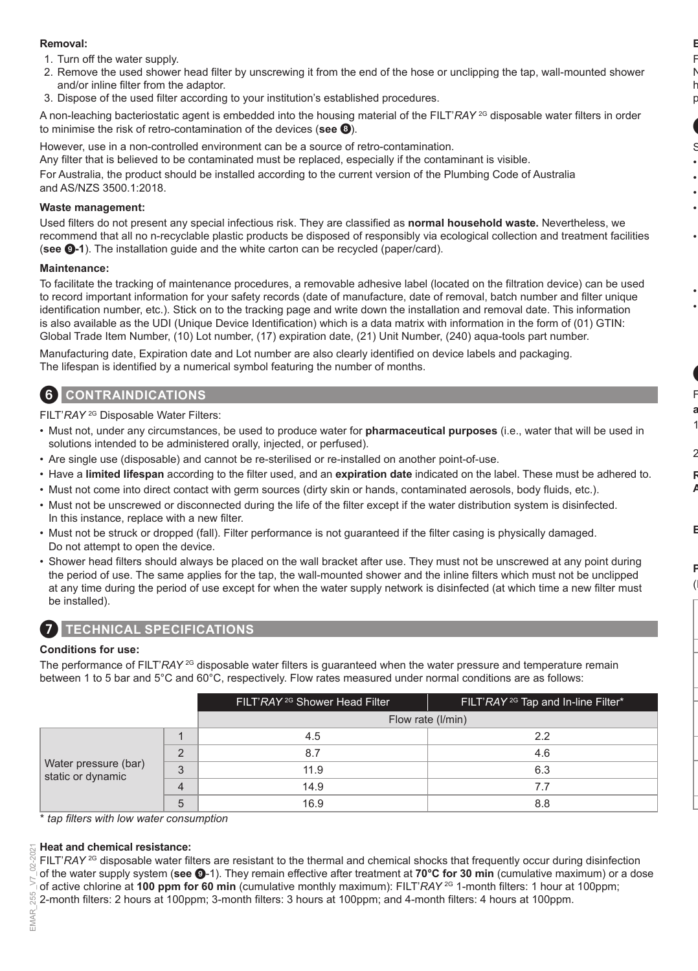#### **Removal:**

- 1. Turn off the water supply.
- 2. Remove the used shower head filter by unscrewing it from the end of the hose or unclipping the tap, wall-mounted shower and/or inline filter from the adaptor.
- 3. Dispose of the used filter according to your institution's established procedures.

A non-leaching bacteriostatic agent is embedded into the housing material of the FILT'*RAY* <sup>2G</sup> disposable water filters in order to minimise the risk of retro-contamination of the devices (**see** 8).

However, use in a non-controlled environment can be a source of retro-contamination.

Any filter that is believed to be contaminated must be replaced, especially if the contaminant is visible. For Australia, the product should be installed according to the current version of the Plumbing Code of Australia

and AS/NZS 3500.1:2018.

#### **Waste management:**

Used filters do not present any special infectious risk. They are classified as **normal household waste.** Nevertheless, we recommend that all no n-recyclable plastic products be disposed of responsibly via ecological collection and treatment facilities (**see** 9**-1**). The installation guide and the white carton can be recycled (paper/card).

#### **Maintenance:**

To facilitate the tracking of maintenance procedures, a removable adhesive label (located on the filtration device) can be used to record important information for your safety records (date of manufacture, date of removal, batch number and filter unique identification number, etc.). Stick on to the tracking page and write down the installation and removal date. This information is also available as the UDI (Unique Device Identification) which is a data matrix with information in the form of (01) GTIN: Global Trade Item Number, (10) Lot number, (17) expiration date, (21) Unit Number, (240) aqua-tools part number.

Manufacturing date, Expiration date and Lot number are also clearly identified on device labels and packaging. The lifespan is identified by a numerical symbol featuring the number of months.

### 6 **CONTRAINDICATIONS**

FILT'*RAY* 2G Disposable Water Filters:

- Must not, under any circumstances, be used to produce water for **pharmaceutical purposes** (i.e., water that will be used in solutions intended to be administered orally, injected, or perfused).
- Are single use (disposable) and cannot be re-sterilised or re-installed on another point-of-use.
- Have a **limited lifespan** according to the filter used, and an **expiration date** indicated on the label. These must be adhered to.
- Must not come into direct contact with germ sources (dirty skin or hands, contaminated aerosols, body fluids, etc.).
- Must not be unscrewed or disconnected during the life of the filter except if the water distribution system is disinfected. In this instance, replace with a new filter.
- Must not be struck or dropped (fall). Filter performance is not guaranteed if the filter casing is physically damaged. Do not attempt to open the device.
- Shower head filters should always be placed on the wall bracket after use. They must not be unscrewed at any point during the period of use. The same applies for the tap, the wall-mounted shower and the inline filters which must not be unclipped at any time during the period of use except for when the water supply network is disinfected (at which time a new filter must be installed).



### 7 **TECHNICAL SPECIFICATIONS**

#### **Conditions for use:**

The performance of FILT'*RAY* <sup>2G</sup> disposable water filters is quaranteed when the water pressure and temperature remain between 1 to 5 bar and 5°C and 60°C, respectively. Flow rates measured under normal conditions are as follows:

|                                                                 | FILT'RAY <sup>2G</sup> Shower Head Filter | FILT'RAY <sup>2G</sup> Tap and In-line Filter* |
|-----------------------------------------------------------------|-------------------------------------------|------------------------------------------------|
|                                                                 |                                           | Flow rate (I/min)                              |
| $\Omega$<br>Water pressure (bar)<br>3<br>static or dynamic<br>5 | 4.5                                       | 2.2                                            |
|                                                                 | 8.7                                       | 4.6                                            |
|                                                                 | 11.9                                      | 6.3                                            |
|                                                                 | 14.9                                      | 7.7                                            |
|                                                                 | 16.9                                      | 8.8                                            |

\* *tap filters with low water consumption*

#### **Heat and chemical resistance:**

FILT'*RAY* <sup>2G</sup> disposable water filters are resistant to the thermal and chemical shocks that frequently occur during disinfection of the water supply system (**see** 9-1). They remain effective after treatment at **70°C for 30 min** (cumulative maximum) or a dose of active chlorine at **100 ppm for 60 min** (cumulative monthly maximum): FILT'*RAY* 2G 1-month filters: 1 hour at 100ppm; 2-month filters: 2 hours at 100ppm; 3-month filters: 3 hours at 100ppm; and 4-month filters: 4 hours at 100ppm.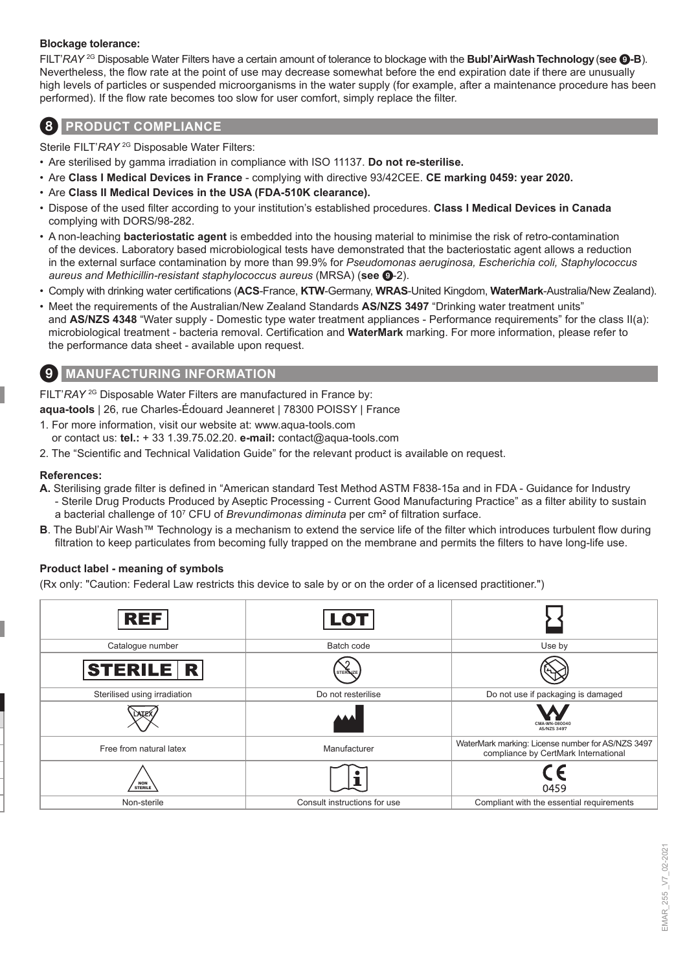#### **Blockage tolerance:**

FILT'*RAY* 2G Disposable Water Filters have a certain amount of tolerance to blockage with the **Bubl'AirWashTechnology**(**see** 9**-B**). Nevertheless, the flow rate at the point of use may decrease somewhat before the end expiration date if there are unusually high levels of particles or suspended microorganisms in the water supply (for example, after a maintenance procedure has been performed). If the flow rate becomes too slow for user comfort, simply replace the filter.

### 8 **PRODUCT COMPLIANCE**

Sterile FILT'*RAY* 2G Disposable Water Filters:

- Are sterilised by gamma irradiation in compliance with ISO 11137. **Do not re-sterilise.**
- Are **Class I Medical Devices in France** complying with directive 93/42CEE. **CE marking 0459: year 2020.**
- Are **Class II Medical Devices in the USA (FDA-510K clearance).**
- Dispose of the used filter according to your institution's established procedures. **Class I Medical Devices in Canada** complying with DORS/98-282.
- A non-leaching **bacteriostatic agent** is embedded into the housing material to minimise the risk of retro-contamination of the devices. Laboratory based microbiological tests have demonstrated that the bacteriostatic agent allows a reduction in the external surface contamination by more than 99.9% for *Pseudomonas aeruginosa, Escherichia coli, Staphylococcus aureus and Methicillin-resistant staphylococcus aureus* (MRSA) (**see** 9-2).
- Comply with drinking water certifications (**ACS**-France, **KTW**-Germany, **WRAS**-United Kingdom, **WaterMark**-Australia/New Zealand).
- Meet the requirements of the Australian/New Zealand Standards **AS/NZS 3497** "Drinking water treatment units" and **AS/NZS 4348** "Water supply - Domestic type water treatment appliances - Performance requirements" for the class II(a): microbiological treatment - bacteria removal. Certification and **WaterMark** marking. For more information, please refer to the performance data sheet - available upon request.

### 9 **MANUFACTURING INFORMATION**

FILT'*RAY* 2G Disposable Water Filters are manufactured in France by:

**aqua-tools** | 26, rue Charles-Édouard Jeanneret | 78300 POISSY | France

- 1. For more information, visit our website at: www.aqua-tools.com or contact us: **tel.:** + 33 1.39.75.02.20. **e-mail:** contact@aqua-tools.com
- 2. The "Scientific and Technical Validation Guide" for the relevant product is available on request.

#### **References:**

- **A.** Sterilising grade filter is defined in "American standard Test Method ASTM F838-15a and in FDA Guidance for Industry - Sterile Drug Products Produced by Aseptic Processing - Current Good Manufacturing Practice" as a filter ability to sustain a bacterial challenge of 10<sup>7</sup> CFU of *Brevundimonas diminuta* per cm² of filtration surface.
- **B**. The Bubl'Air Wash™ Technology is a mechanism to extend the service life of the filter which introduces turbulent flow during filtration to keep particulates from becoming fully trapped on the membrane and permits the filters to have long-life use.

#### **Product label - meaning of symbols**

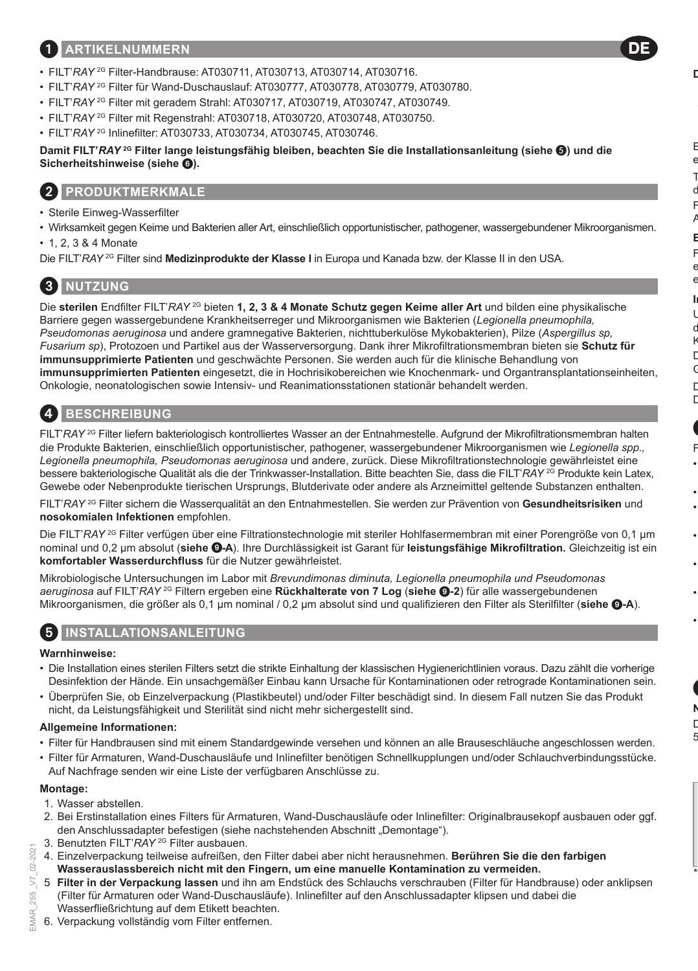### 1 **ARTIKELNUMMERN**

- FILT'*RAY* 2G Filter-Handbrause: AT030711, AT030713, AT030714, AT030716.
- FILT'*RAY* 2G Filter für Wand-Duschauslauf: AT030777, AT030778, AT030779, AT030780.
- FILT'RAY<sup>2G</sup> Filter mit geradem Strahl: AT030717, AT030719, AT030747, AT030749.
- FILT'*RAY* 2G Filter mit Regenstrahl: AT030718, AT030720, AT030748, AT030750.
- FILT'*RAY* 2G Inlinefilter: AT030733, AT030734, AT030745, AT030746.

**Damit FILT'***RAY* **2G Filter lange leistungsfähig bleiben, beachten Sie die Installationsanleitung (siehe ) und die Sicherheitshinweise (siehe** 6**).**

### 2 **PRODUKTMERKMALE**

- Sterile Einweg-Wasserfilter
- Wirksamkeit gegen Keime und Bakterien aller Art, einschließlich opportunistischer, pathogener, wassergebundener Mikroorganismen.

DE

• 1, 2, 3 & 4 Monate

Die FILT'*RAY* 2G Filter sind **Medizinprodukte der Klasse I** in Europa und Kanada bzw. der Klasse II in den USA.

# 3 **NUTZUNG**

Die **sterilen** Endfilter FILT'*RAY* 2G bieten **1, 2, 3 & 4 Monate Schutz gegen Keime aller Art** und bilden eine physikalische Barriere gegen wassergebundene Krankheitserreger und Mikroorganismen wie Bakterien (*Legionella pneumophila, Pseudomonas aeruginosa* und andere gramnegative Bakterien, nichttuberkulöse Mykobakterien), Pilze (*Aspergillus sp, Fusarium sp*), Protozoen und Partikel aus der Wasserversorgung. Dank ihrer Mikrofiltrationsmembran bieten sie **Schutz für immunsupprimierte Patienten** und geschwächte Personen. Sie werden auch für die klinische Behandlung von **immunsupprimierten Patienten** eingesetzt, die in Hochrisikobereichen wie Knochenmark- und Organtransplantationseinheiten, Onkologie, neonatologischen sowie Intensiv- und Reanimationsstationen stationär behandelt werden.

# 4 **BESCHREIBUNG**

FILT'*RAY* 2G Filter liefern bakteriologisch kontrolliertes Wasser an der Entnahmestelle. Aufgrund der Mikrofiltrationsmembran halten die Produkte Bakterien, einschließlich opportunistischer, pathogener, wassergebundener Mikroorganismen wie *Legionella spp., Legionella pneumophila, Pseudomonas aeruginosa* und andere, zurück. Diese Mikrofiltrationstechnologie gewährleistet eine bessere bakteriologische Qualität als die der Trinkwasser-Installation. Bitte beachten Sie, dass die FILT'*RAY* 2G Produkte kein Latex, Gewebe oder Nebenprodukte tierischen Ursprungs, Blutderivate oder andere als Arzneimittel geltende Substanzen enthalten.

FILT'*RAY* 2G Filter sichern die Wasserqualität an den Entnahmestellen. Sie werden zur Prävention von **Gesundheitsrisiken** und **nosokomialen Infektionen** empfohlen.

Die FILT'*RAY* <sup>2G</sup> Filter verfügen über eine Filtrationstechnologie mit steriler Hohlfasermembran mit einer Porengröße von 0,1 um nominal und 0,2 μm absolut (**siehe** 9**-A**). Ihre Durchlässigkeit ist Garant für **leistungsfähige Mikrofiltration.** Gleichzeitig ist ein **komfortabler Wasserdurchfluss** für die Nutzer gewährleistet.

Mikrobiologische Untersuchungen im Labor mit *Brevundimonas diminuta, Legionella pneumophila und Pseudomonas aeruginosa* auf FILT'*RAY* 2G Filtern ergeben eine **Rückhalterate von 7 Log** (**siehe** 9**-2**) für alle wassergebundenen Mikroorganismen, die größer als 0,1 μm nominal / 0,2 μm absolut sind und qualifizieren den Filter als Sterilfilter (**siehe** 9**-A**).

# 5 **INSTALLATIONSANLEITUNG**

#### **Warnhinweise:**

- Die Installation eines sterilen Filters setzt die strikte Einhaltung der klassischen Hygienerichtlinien voraus. Dazu zählt die vorherige Desinfektion der Hände. Ein unsachgemäßer Einbau kann Ursache für Kontaminationen oder retrograde Kontaminationen sein.
- Überprüfen Sie, ob Einzelverpackung (Plastikbeutel) und/oder Filter beschädigt sind. In diesem Fall nutzen Sie das Produkt nicht, da Leistungsfähigkeit und Sterilität sind nicht mehr sichergestellt sind.

#### **Allgemeine Informationen:**

- Filter für Handbrausen sind mit einem Standardgewinde versehen und können an alle Brauseschläuche angeschlossen werden.
- Filter für Armaturen, Wand-Duschausläufe und Inlinefilter benötigen Schnellkupplungen und/oder Schlauchverbindungsstücke. Auf Nachfrage senden wir eine Liste der verfügbaren Anschlüsse zu.

#### **Montage:**

02-2021  $\overline{5}$ 255 MAR

- 1. Wasser abstellen.
- 2. Bei Erstinstallation eines Filters für Armaturen, Wand-Duschausläufe oder Inlinefilter: Originalbrausekopf ausbauen oder ggf. den Anschlussadapter befestigen (siehe nachstehenden Abschnitt "Demontage").
- 3. Benutzten FILT'*RAY* 2G Filter ausbauen.
- 4. Einzelverpackung teilweise aufreißen, den Filter dabei aber nicht herausnehmen. **Berühren Sie die den farbigen Wasserauslassbereich nicht mit den Fingern, um eine manuelle Kontamination zu vermeiden.**
- 5. **Filter in der Verpackung lassen** und ihn am Endstück des Schlauchs verschrauben (Filter für Handbrause) oder anklipsen (Filter für Armaturen oder Wand-Duschausläufe). Inlinefilter auf den Anschlussadapter klipsen und dabei die Wasserfließrichtung auf dem Etikett beachten.
- EMAR\_255 \_V7\_02-2021 6. Verpackung vollständig vom Filter entfernen.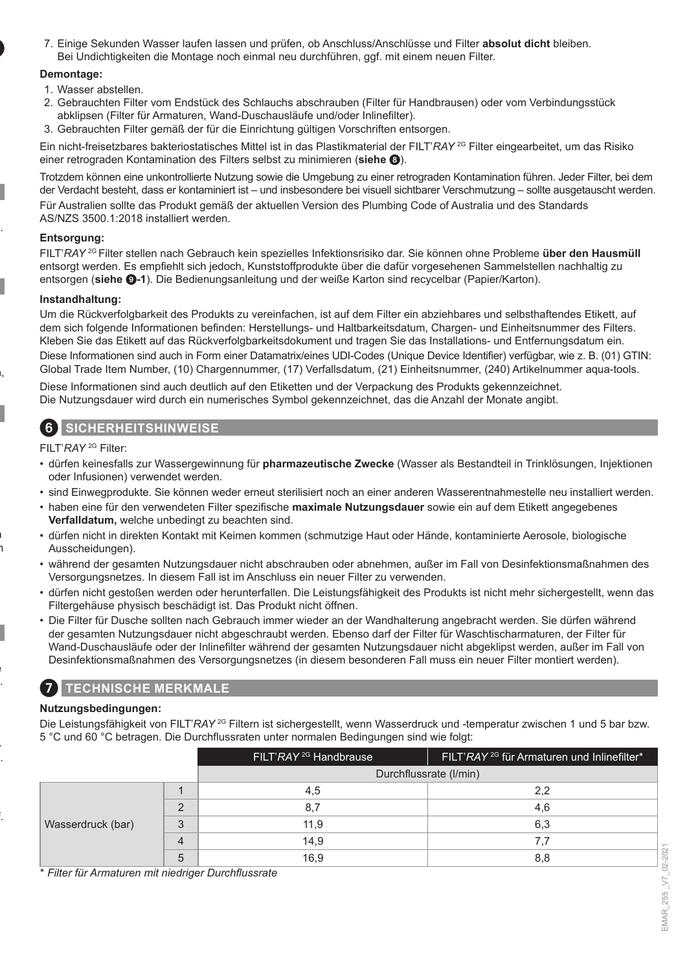7. Einige Sekunden Wasser laufen lassen und prüfen, ob Anschluss/Anschlüsse und Filter **absolut dicht** bleiben. Bei Undichtigkeiten die Montage noch einmal neu durchführen, ggf. mit einem neuen Filter.

#### **Demontage:**

- 1. Wasser abstellen.
- 2. Gebrauchten Filter vom Endstück des Schlauchs abschrauben (Filter für Handbrausen) oder vom Verbindungsstück abklipsen (Filter für Armaturen, Wand-Duschausläufe und/oder Inlinefilter).
- 3. Gebrauchten Filter gemäß der für die Einrichtung gültigen Vorschriften entsorgen.

Ein nicht-freisetzbares bakteriostatisches Mittel ist in das Plastikmaterial der FILT'*RAY* 2G Filter eingearbeitet, um das Risiko einer retrograden Kontamination des Filters selbst zu minimieren (**siehe** 8).

Trotzdem können eine unkontrollierte Nutzung sowie die Umgebung zu einer retrograden Kontamination führen. Jeder Filter, bei dem der Verdacht besteht, dass er kontaminiert ist – und insbesondere bei visuell sichtbarer Verschmutzung – sollte ausgetauscht werden. Für Australien sollte das Produkt gemäß der aktuellen Version des Plumbing Code of Australia und des Standards AS/NZS 3500.1:2018 installiert werden.

#### **Entsorgung:**

FILT'*RAY* 2G Filter stellen nach Gebrauch kein spezielles Infektionsrisiko dar. Sie können ohne Probleme **über den Hausmüll** entsorgt werden. Es empfiehlt sich jedoch, Kunststoffprodukte über die dafür vorgesehenen Sammelstellen nachhaltig zu entsorgen (**siehe** 9**-1**). Die Bedienungsanleitung und der weiße Karton sind recycelbar (Papier/Karton).

#### **Instandhaltung:**

Um die Rückverfolgbarkeit des Produkts zu vereinfachen, ist auf dem Filter ein abziehbares und selbsthaftendes Etikett, auf dem sich folgende Informationen befinden: Herstellungs- und Haltbarkeitsdatum, Chargen- und Einheitsnummer des Filters. Kleben Sie das Etikett auf das Rückverfolgbarkeitsdokument und tragen Sie das Installations- und Entfernungsdatum ein. Diese Informationen sind auch in Form einer Datamatrix/eines UDI-Codes (Unique Device Identifier) verfügbar, wie z. B. (01) GTIN: Global Trade Item Number, (10) Chargennummer, (17) Verfallsdatum, (21) Einheitsnummer, (240) Artikelnummer aqua-tools.

Diese Informationen sind auch deutlich auf den Etiketten und der Verpackung des Produkts gekennzeichnet. Die Nutzungsdauer wird durch ein numerisches Symbol gekennzeichnet, das die Anzahl der Monate angibt.

### 6 **SICHERHEITSHINWEISE**

FILT'*RAY* 2G Filter:

- dürfen keinesfalls zur Wassergewinnung für **pharmazeutische Zwecke** (Wasser als Bestandteil in Trinklösungen, Injektionen oder Infusionen) verwendet werden.
- sind Einwegprodukte. Sie können weder erneut sterilisiert noch an einer anderen Wasserentnahmestelle neu installiert werden.
- haben eine für den verwendeten Filter spezifische **maximale Nutzungsdauer** sowie ein auf dem Etikett angegebenes **Verfalldatum,** welche unbedingt zu beachten sind.
- dürfen nicht in direkten Kontakt mit Keimen kommen (schmutzige Haut oder Hände, kontaminierte Aerosole, biologische Ausscheidungen).
- während der gesamten Nutzungsdauer nicht abschrauben oder abnehmen, außer im Fall von Desinfektionsmaßnahmen des Versorgungsnetzes. In diesem Fall ist im Anschluss ein neuer Filter zu verwenden.
- dürfen nicht gestoßen werden oder herunterfallen. Die Leistungsfähigkeit des Produkts ist nicht mehr sichergestellt, wenn das Filtergehäuse physisch beschädigt ist. Das Produkt nicht öffnen.
- Die Filter für Dusche sollten nach Gebrauch immer wieder an der Wandhalterung angebracht werden. Sie dürfen während der gesamten Nutzungsdauer nicht abgeschraubt werden. Ebenso darf der Filter für Waschtischarmaturen, der Filter für Wand-Duschausläufe oder der Inlinefilter während der gesamten Nutzungsdauer nicht abgeklipst werden, außer im Fall von Desinfektionsmaßnahmen des Versorgungsnetzes (in diesem besonderen Fall muss ein neuer Filter montiert werden).

### 7 **TECHNISCHE MERKMALE**

#### **Nutzungsbedingungen:**

Die Leistungsfähigkeit von FILT'*RAY* 2G Filtern ist sichergestellt, wenn Wasserdruck und -temperatur zwischen 1 und 5 bar bzw. 5 °C und 60 °C betragen. Die Durchflussraten unter normalen Bedingungen sind wie folgt:

|                   |                | FILT'RAY <sup>2G</sup> Handbrause | FILT'RAY <sup>2G</sup> für Armaturen und Inlinefilter* |
|-------------------|----------------|-----------------------------------|--------------------------------------------------------|
|                   |                | Durchflussrate (I/min)            |                                                        |
| Wasserdruck (bar) |                | 4.5                               | 2.2                                                    |
|                   | $\Omega$       | 8.7                               | 4,6                                                    |
|                   | 3              | 11.9                              | 6,3                                                    |
|                   | $\overline{4}$ | 14,9                              |                                                        |
|                   | 5              | 16.9                              | 8.8                                                    |

\* *Filter für Armaturen mit niedriger Durchflussrate*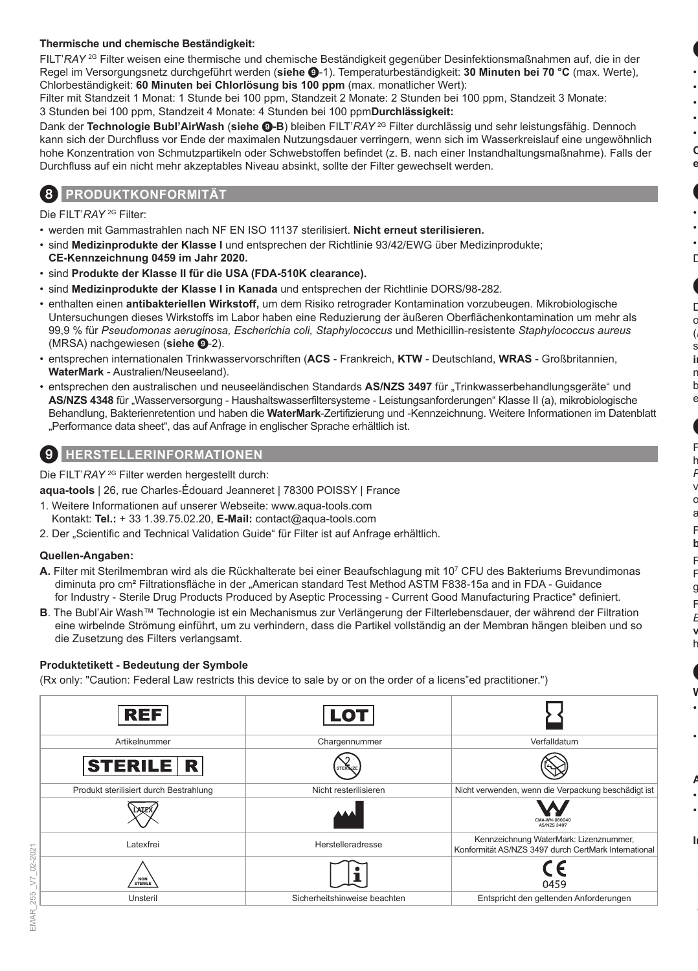#### **Thermische und chemische Beständigkeit:**

FILT'*RAY* 2G Filter weisen eine thermische und chemische Beständigkeit gegenüber Desinfektionsmaßnahmen auf, die in der Regel im Versorgungsnetz durchgeführt werden (**siehe** 9-1). Temperaturbeständigkeit: **30 Minuten bei 70 °C** (max. Werte), Chlorbeständigkeit: **60 Minuten bei Chlorlösung bis 100 ppm** (max. monatlicher Wert):

Filter mit Standzeit 1 Monat: 1 Stunde bei 100 ppm, Standzeit 2 Monate: 2 Stunden bei 100 ppm, Standzeit 3 Monate: 3 Stunden bei 100 ppm, Standzeit 4 Monate: 4 Stunden bei 100 ppm**Durchlässigkeit:**

Dank der **Technologie Bubl'AirWash** (**siehe** 9**-B**) bleiben FILT'*RAY* 2G Filter durchlässig und sehr leistungsfähig. Dennoch kann sich der Durchfluss vor Ende der maximalen Nutzungsdauer verringern, wenn sich im Wasserkreislauf eine ungewöhnlich hohe Konzentration von Schmutzpartikeln oder Schwebstoffen befindet (z. B. nach einer Instandhaltungsmaßnahme). Falls der Durchfluss auf ein nicht mehr akzeptables Niveau absinkt, sollte der Filter gewechselt werden.

### 8 **PRODUKTKONFORMITÄT**

Die FILT'*RAY* 2G Filter:

- werden mit Gammastrahlen nach NF EN ISO 11137 sterilisiert. **Nicht erneut sterilisieren.**
- sind **Medizinprodukte der Klasse I** und entsprechen der Richtlinie 93/42/EWG über Medizinprodukte; **CE-Kennzeichnung 0459 im Jahr 2020.**
- sind **Produkte der Klasse II für die USA (FDA-510K clearance).**
- sind **Medizinprodukte der Klasse I in Kanada** und entsprechen der Richtlinie DORS/98-282.
- enthalten einen **antibakteriellen Wirkstoff,** um dem Risiko retrograder Kontamination vorzubeugen. Mikrobiologische Untersuchungen dieses Wirkstoffs im Labor haben eine Reduzierung der äußeren Oberflächenkontamination um mehr als 99,9 % für *Pseudomonas aeruginosa, Escherichia coli, Staphylococcus* und Methicillin-resistente *Staphylococcus aureus* (MRSA) nachgewiesen (**siehe** 9-2).
- entsprechen internationalen Trinkwasservorschriften (**ACS**  Frankreich, **KTW**  Deutschland, **WRAS**  Großbritannien, **WaterMark** - Australien/Neuseeland).
- entsprechen den australischen und neuseeländischen Standards AS/NZS 3497 für "Trinkwasserbehandlungsgeräte" und AS/NZS 4348 für "Wasserversorgung - Haushaltswasserfiltersysteme - Leistungsanforderungen" Klasse II (a), mikrobiologische Behandlung, Bakterienretention und haben die **WaterMark**-Zertifizierung und -Kennzeichnung. Weitere Informationen im Datenblatt "Performance data sheet", das auf Anfrage in englischer Sprache erhältlich ist.

### 9 **HERSTELLERINFORMATIONEN**

Die FILT'*RAY* 2G Filter werden hergestellt durch:

**aqua-tools** | 26, rue Charles-Édouard Jeanneret | 78300 POISSY | France

- 1. Weitere Informationen auf unserer Webseite: www.aqua-tools.com Kontakt: **Tel.:** + 33 1.39.75.02.20, **E-Mail:** contact@aqua-tools.com
- 2. Der "Scientific and Technical Validation Guide" für Filter ist auf Anfrage erhältlich.

#### **Quellen-Angaben:**

- **A.** Filter mit Sterilmembran wird als die Rückhalterate bei einer Beaufschlagung mit 10<sup>7</sup> CFU des Bakteriums Brevundimonas diminuta pro cm² Filtrationsfläche in der "American standard Test Method ASTM F838-15a and in FDA - Guidance for Industry - Sterile Drug Products Produced by Aseptic Processing - Current Good Manufacturing Practice" definiert.
- **B**. The Bubl'Air Wash™ Technologie ist ein Mechanismus zur Verlängerung der Filterlebensdauer, der während der Filtration eine wirbelnde Strömung einführt, um zu verhindern, dass die Partikel vollständig an der Membran hängen bleiben und so die Zusetzung des Filters verlangsamt.

#### **Produktetikett - Bedeutung der Symbole**

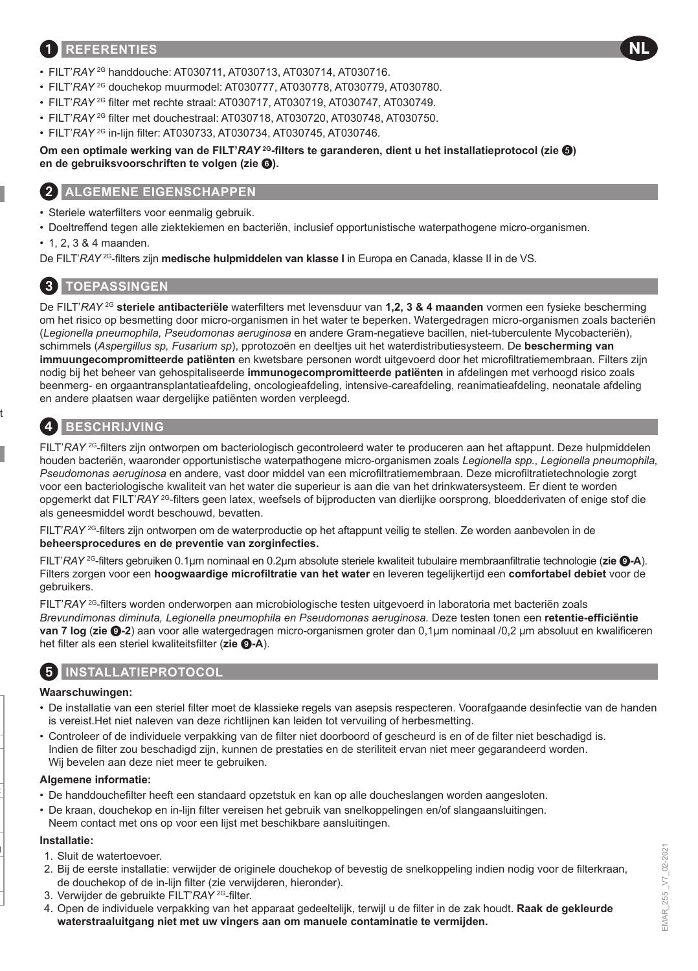### 1 **REFERENTIES**

- FILT'*RAY* 2G handdouche: AT030711, AT030713, AT030714, AT030716.
- FILT'*RAY* 2G douchekop muurmodel: AT030777, AT030778, AT030779, AT030780.
- FILT'*RAY* 2G filter met rechte straal: AT030717, AT030719, AT030747, AT030749.
- FILT'*RAY* 2G filter met douchestraal: AT030718, AT030720, AT030748, AT030750.
- FILT'*RAY* 2G in-lijn filter: AT030733, AT030734, AT030745, AT030746.

#### **Om een optimale werking van de FILT'***RAY* **<sup>2G</sup>-filters te garanderen, dient u het installatieprotocol (zie <sup>(3)</sup>) en de gebruiksvoorschriften te volgen (zie** 6**).**

### 2 **ALGEMENE EIGENSCHAPPEN**

- Steriele waterfilters voor eenmalig gebruik.
- Doeltreffend tegen alle ziektekiemen en bacteriën, inclusief opportunistische waterpathogene micro-organismen.
- 1, 2, 3 & 4 maanden.

De FILT'*RAY* 2G-filters zijn **medische hulpmiddelen van klasse I** in Europa en Canada, klasse II in de VS.

# 3 **TOEPASSINGEN**

De FILT'*RAY* 2G **steriele antibacteriële** waterfilters met levensduur van **1,2, 3 & 4 maanden** vormen een fysieke bescherming om het risico op besmetting door micro-organismen in het water te beperken. Watergedragen micro-organismen zoals bacteriën (*Legionella pneumophila, Pseudomonas aeruginosa* en andere Gram-negatieve bacillen, niet-tuberculente Mycobacteriën), schimmels (*Aspergillus sp, Fusarium sp*), pprotozoën en deeltjes uit het waterdistributiesysteem. De **bescherming van immuungecompromitteerde patiënten** en kwetsbare personen wordt uitgevoerd door het microfiltratiemembraan. Filters zijn nodig bij het beheer van gehospitaliseerde **immunogecompromitteerde patiënten** in afdelingen met verhoogd risico zoals beenmerg- en orgaantransplantatieafdeling, oncologieafdeling, intensive-careafdeling, reanimatieafdeling, neonatale afdeling en andere plaatsen waar dergelijke patiënten worden verpleegd.

# 4 **BESCHRIJVING**

FILT'*RAY* 2G-filters zijn ontworpen om bacteriologisch gecontroleerd water te produceren aan het aftappunt. Deze hulpmiddelen houden bacteriën, waaronder opportunistische waterpathogene micro-organismen zoals *Legionella spp., Legionella pneumophila, Pseudomonas aeruginosa* en andere, vast door middel van een microfiltratiemembraan. Deze microfiltratietechnologie zorgt voor een bacteriologische kwaliteit van het water die superieur is aan die van het drinkwatersysteem. Er dient te worden opgemerkt dat FILT'*RAY* 2G-filters geen latex, weefsels of bijproducten van dierlijke oorsprong, bloedderivaten of enige stof die als geneesmiddel wordt beschouwd, bevatten.

FILT'*RAY* 2G-filters zijn ontworpen om de waterproductie op het aftappunt veilig te stellen. Ze worden aanbevolen in de **beheersprocedures en de preventie van zorginfecties.**

FILT'*RAY* 2G-filters gebruiken 0.1μm nominaal en 0.2μm absolute steriele kwaliteit tubulaire membraanfiltratie technologie (**zie** 9**-A**). Filters zorgen voor een **hoogwaardige microfiltratie van het water** en leveren tegelijkertijd een **comfortabel debiet** voor de gebruikers.

FILT'*RAY* 2G-filters worden onderworpen aan microbiologische testen uitgevoerd in laboratoria met bacteriën zoals *Brevundimonas diminuta, Legionella pneumophila en Pseudomonas aeruginosa.* Deze testen tonen een **retentie-efficiëntie van 7 log** (**zie** 9**-2**) aan voor alle watergedragen micro-organismen groter dan 0,1μm nominaal /0,2 μm absoluut en kwalificeren het filter als een steriel kwaliteitsfilter (**zie** 9**-A**).

### 5 **INSTALLATIEPROTOCOL**

#### **Waarschuwingen:**

- De installatie van een steriel filter moet de klassieke regels van asepsis respecteren. Voorafgaande desinfectie van de handen is vereist.Het niet naleven van deze richtlijnen kan leiden tot vervuiling of herbesmetting.
- Controleer of de individuele verpakking van de filter niet doorboord of gescheurd is en of de filter niet beschadigd is. Indien de filter zou beschadigd zijn, kunnen de prestaties en de steriliteit ervan niet meer gegarandeerd worden. Wij bevelen aan deze niet meer te gebruiken.

#### **Algemene informatie:**

- De handdouchefilter heeft een standaard opzetstuk en kan op alle doucheslangen worden aangesloten.
- De kraan, douchekop en in-lijn filter vereisen het gebruik van snelkoppelingen en/of slangaansluitingen. Neem contact met ons op voor een lijst met beschikbare aansluitingen.

#### **Installatie:**

- 1. Sluit de watertoevoer.
- 2. Bij de eerste installatie: verwijder de originele douchekop of bevestig de snelkoppeling indien nodig voor de filterkraan, de douchekop of de in-lijn filter (zie verwijderen, hieronder).
- 3. Verwijder de gebruikte FILT'*RAY* 2G-filter.
- 4. Open de individuele verpakking van het apparaat gedeeltelijk, terwijl u de filter in de zak houdt. **Raak de gekleurde waterstraaluitgang niet met uw vingers aan om manuele contaminatie te vermijden.**

**NL**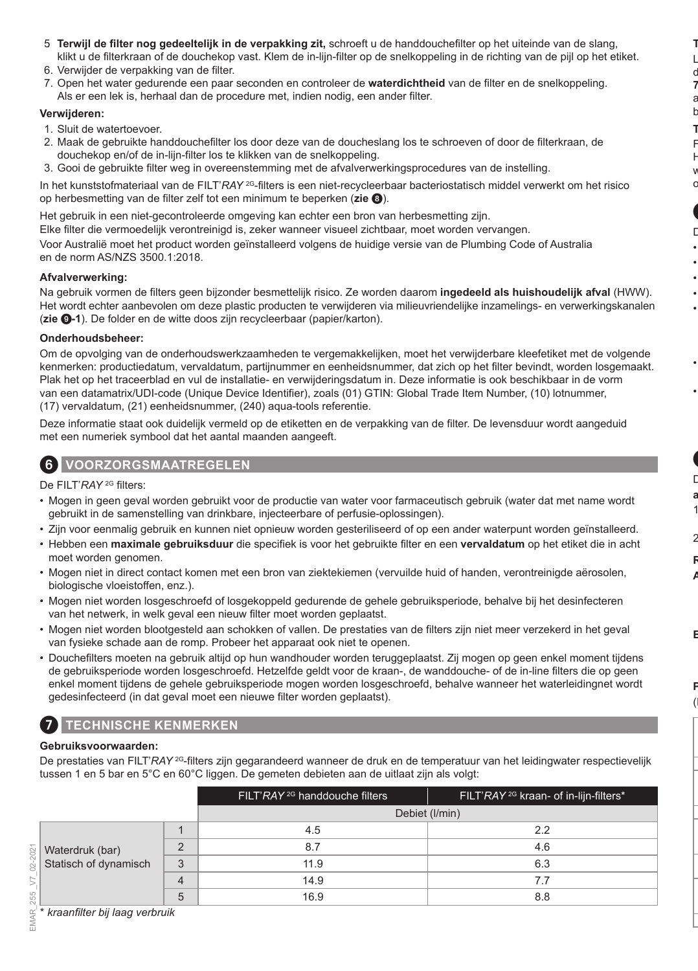- 5. **Terwijl de filter nog gedeeltelijk in de verpakking zit,** schroeft u de handdouchefilter op het uiteinde van de slang, klikt u de filterkraan of de douchekop vast. Klem de in-lijn-filter op de snelkoppeling in de richting van de pijl op het etiket.
- 6. Verwijder de verpakking van de filter.
- 7. Open het water gedurende een paar seconden en controleer de **waterdichtheid** van de filter en de snelkoppeling. Als er een lek is, herhaal dan de procedure met, indien nodig, een ander filter.

#### **Verwijderen:**

- 1. Sluit de watertoevoer.
- 2. Maak de gebruikte handdouchefilter los door deze van de doucheslang los te schroeven of door de filterkraan, de douchekop en/of de in-lijn-filter los te klikken van de snelkoppeling.
- 3. Gooi de gebruikte filter weg in overeenstemming met de afvalverwerkingsprocedures van de instelling.

In het kunststofmateriaal van de FILT'*RAY* 2G-filters is een niet-recycleerbaar bacteriostatisch middel verwerkt om het risico op herbesmetting van de filter zelf tot een minimum te beperken (**zie** 8).

Het gebruik in een niet-gecontroleerde omgeving kan echter een bron van herbesmetting zijn. Elke filter die vermoedelijk verontreinigd is, zeker wanneer visueel zichtbaar, moet worden vervangen.

Voor Australië moet het product worden geïnstalleerd volgens de huidige versie van de Plumbing Code of Australia en de norm AS/NZS 3500.1:2018.

#### **Afvalverwerking:**

Na gebruik vormen de filters geen bijzonder besmettelijk risico. Ze worden daarom **ingedeeld als huishoudelijk afval** (HWW). Het wordt echter aanbevolen om deze plastic producten te verwijderen via milieuvriendelijke inzamelings- en verwerkingskanalen (**zie** 9**-1**). De folder en de witte doos zijn recycleerbaar (papier/karton).

#### **Onderhoudsbeheer:**

Om de opvolging van de onderhoudswerkzaamheden te vergemakkelijken, moet het verwijderbare kleefetiket met de volgende kenmerken: productiedatum, vervaldatum, partijnummer en eenheidsnummer, dat zich op het filter bevindt, worden losgemaakt. Plak het op het traceerblad en vul de installatie- en verwijderingsdatum in. Deze informatie is ook beschikbaar in de vorm van een datamatrix/UDI-code (Unique Device Identifier), zoals (01) GTIN: Global Trade Item Number, (10) lotnummer, (17) vervaldatum, (21) eenheidsnummer, (240) aqua-tools referentie.

Deze informatie staat ook duidelijk vermeld op de etiketten en de verpakking van de filter. De levensduur wordt aangeduid met een numeriek symbool dat het aantal maanden aangeeft.

### 6 **VOORZORGSMAATREGELEN**

De FILT'*RAY* 2G filters:

- Mogen in geen geval worden gebruikt voor de productie van water voor farmaceutisch gebruik (water dat met name wordt gebruikt in de samenstelling van drinkbare, injecteerbare of perfusie-oplossingen).
- Zijn voor eenmalig gebruik en kunnen niet opnieuw worden gesteriliseerd of op een ander waterpunt worden geïnstalleerd.
- Hebben een **maximale gebruiksduur** die specifiek is voor het gebruikte filter en een **vervaldatum** op het etiket die in acht moet worden genomen.
- Mogen niet in direct contact komen met een bron van ziektekiemen (vervuilde huid of handen, verontreinigde aërosolen, biologische vloeistoffen, enz.).
- Mogen niet worden losgeschroefd of losgekoppeld gedurende de gehele gebruiksperiode, behalve bij het desinfecteren van het netwerk, in welk geval een nieuw filter moet worden geplaatst.
- Mogen niet worden blootgesteld aan schokken of vallen. De prestaties van de filters zijn niet meer verzekerd in het geval van fysieke schade aan de romp. Probeer het apparaat ook niet te openen.
- Douchefilters moeten na gebruik altijd op hun wandhouder worden teruggeplaatst. Zij mogen op geen enkel moment tijdens de gebruiksperiode worden losgeschroefd. Hetzelfde geldt voor de kraan-, de wanddouche- of de in-line filters die op geen enkel moment tijdens de gehele gebruiksperiode mogen worden losgeschroefd, behalve wanneer het waterleidingnet wordt gedesinfecteerd (in dat geval moet een nieuwe filter worden geplaatst).

### 7 **TECHNISCHE KENMERKEN**

#### **Gebruiksvoorwaarden:**

De prestaties van FILT'*RAY* <sup>2G</sup>-filters zijn gegarandeerd wanneer de druk en de temperatuur van het leidingwater respectievelijk tussen 1 en 5 bar en 5°C en 60°C liggen. De gemeten debieten aan de uitlaat zijn als volgt:

|                                          |   | FILT'RAY <sup>2G</sup> handdouche filters | FILT'RAY <sup>2G</sup> kraan- of in-lijn-filters* |
|------------------------------------------|---|-------------------------------------------|---------------------------------------------------|
|                                          |   |                                           | Debiet (I/min)                                    |
|                                          |   | 4.5                                       | 2.2                                               |
| Waterdruk (bar)<br>Statisch of dynamisch |   | 8.7                                       | 4.6                                               |
|                                          | 3 | 11.9                                      | 6.3                                               |
|                                          | Δ | 14.9                                      | 7.7                                               |
|                                          | 5 | 16.9                                      | 8.8                                               |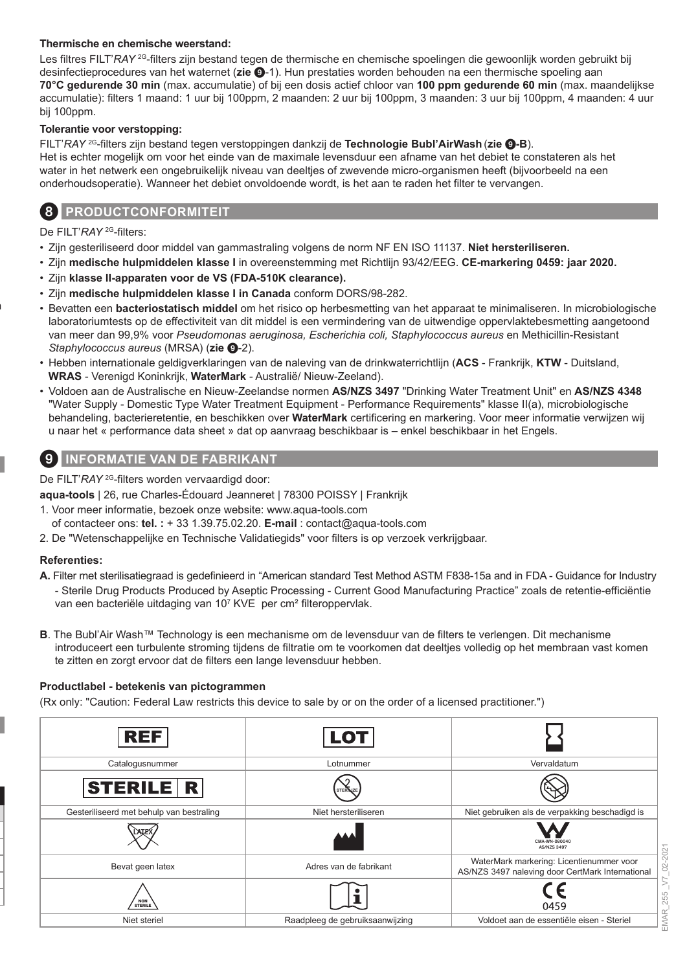#### **Thermische en chemische weerstand:**

Les filtres FILT'*RAY* <sup>2G</sup>-filters zijn bestand tegen de thermische en chemische spoelingen die gewoonlijk worden gebruikt bij desinfectieprocedures van het waternet (**zie** 9-1). Hun prestaties worden behouden na een thermische spoeling aan **70°C gedurende 30 min** (max. accumulatie) of bij een dosis actief chloor van **100 ppm gedurende 60 min** (max. maandelijkse accumulatie): filters 1 maand: 1 uur bij 100ppm, 2 maanden: 2 uur bij 100ppm, 3 maanden: 3 uur bij 100ppm, 4 maanden: 4 uur bij 100ppm.

#### **Tolerantie voor verstopping:**

FILT'*RAY* 2G-filters zijn bestand tegen verstoppingen dankzij de **Technologie Bubl'AirWash** (**zie** 9**-B**). Het is echter mogelijk om voor het einde van de maximale levensduur een afname van het debiet te constateren als het water in het netwerk een ongebruikelijk niveau van deeltjes of zwevende micro-organismen heeft (bijvoorbeeld na een onderhoudsoperatie). Wanneer het debiet onvoldoende wordt, is het aan te raden het filter te vervangen.

### 8 **PRODUCTCONFORMITEIT**

De FILT'*RAY* 2G-filters:

- Zijn gesteriliseerd door middel van gammastraling volgens de norm NF EN ISO 11137. **Niet hersteriliseren.**
- Zijn **medische hulpmiddelen klasse I** in overeenstemming met Richtlijn 93/42/EEG. **CE-markering 0459: jaar 2020.**
- Zijn **klasse II-apparaten voor de VS (FDA-510K clearance).**
- Zijn **medische hulpmiddelen klasse I in Canada** conform DORS/98-282.
- Bevatten een **bacteriostatisch middel** om het risico op herbesmetting van het apparaat te minimaliseren. In microbiologische laboratoriumtests op de effectiviteit van dit middel is een vermindering van de uitwendige oppervlaktebesmetting aangetoond van meer dan 99,9% voor *Pseudomonas aeruginosa, Escherichia coli, Staphylococcus aureus* en Methicillin-Resistant *Staphylococcus aureus* (MRSA) (zie <sup> $Q$ </sup>-2).
- Hebben internationale geldigverklaringen van de naleving van de drinkwaterrichtlijn (**ACS**  Frankrijk, **KTW**  Duitsland, **WRAS** - Verenigd Koninkrijk, **WaterMark** - Australië/ Nieuw-Zeeland).
- Voldoen aan de Australische en Nieuw-Zeelandse normen **AS/NZS 3497** "Drinking Water Treatment Unit" en **AS/NZS 4348** "Water Supply - Domestic Type Water Treatment Equipment - Performance Requirements" klasse II(a), microbiologische behandeling, bacterieretentie, en beschikken over **WaterMark** certificering en markering. Voor meer informatie verwijzen wij u naar het « performance data sheet » dat op aanvraag beschikbaar is – enkel beschikbaar in het Engels.

### 9 **INFORMATIE VAN DE FABRIKANT**

De FILT'*RAY* <sup>2G</sup>-filters worden vervaardigd door:

**aqua-tools** | 26, rue Charles-Édouard Jeanneret | 78300 POISSY | Frankrijk

- 1. Voor meer informatie, bezoek onze website: www.aqua-tools.com
	- of contacteer ons: **tel. :** + 33 1.39.75.02.20. **E-mail** : contact@aqua-tools.com
- 2. De "Wetenschappelijke en Technische Validatiegids" voor filters is op verzoek verkrijgbaar.

#### **Referenties:**

- **A.** Filter met sterilisatiegraad is gedefinieerd in "American standard Test Method ASTM F838-15a and in FDA Guidance for Industry
- Sterile Drug Products Produced by Aseptic Processing Current Good Manufacturing Practice" zoals de retentie-efficiëntie van een bacteriële uitdaging van 10<sup>7</sup> KVE per cm<sup>2</sup> filteroppervlak.
- **B**. The Bubl'Air Wash™ Technology is een mechanisme om de levensduur van de filters te verlengen. Dit mechanisme introduceert een turbulente stroming tijdens de filtratie om te voorkomen dat deeltjes volledig op het membraan vast komen te zitten en zorgt ervoor dat de filters een lange levensduur hebben.

#### **Productlabel - betekenis van pictogrammen**

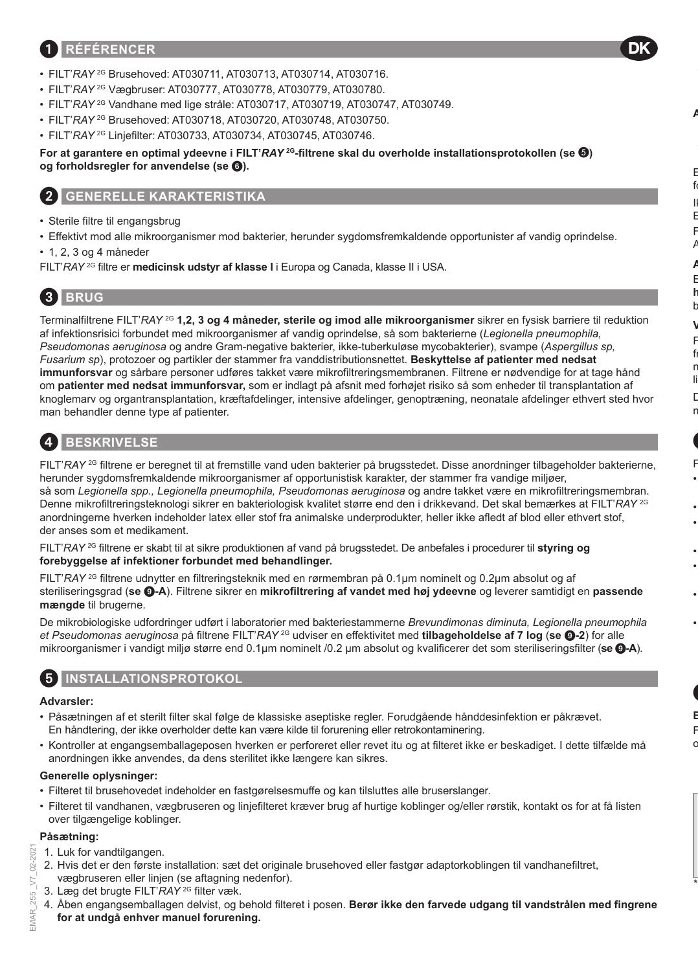### 1 **RÉFÉRENCER**

- FILT'*RAY* 2G Brusehoved: AT030711, AT030713, AT030714, AT030716.
- FILT'*RAY* 2G Vægbruser: AT030777, AT030778, AT030779, AT030780.
- FILT'*RAY* 2G Vandhane med lige stråle: AT030717, AT030719, AT030747, AT030749.
- FILT'*RAY* 2G Brusehoved: AT030718, AT030720, AT030748, AT030750.
- FILT'*RAY* 2G Linjefilter: AT030733, AT030734, AT030745, AT030746.

**For at garantere en optimal ydeevne i FILT'***RAY* **2G-filtrene skal du overholde installationsprotokollen (se ) og forholdsregler for anvendelse (se** 6**).**

### 2 **GENERELLE KARAKTERISTIKA**

- Sterile filtre til engangsbrug
- Effektivt mod alle mikroorganismer mod bakterier, herunder sygdomsfremkaldende opportunister af vandig oprindelse.
- 1, 2, 3 og 4 måneder
- FILT'*RAY* 2G filtre er **medicinsk udstyr af klasse I** i Europa og Canada, klasse II i USA.

# 3 **BRUG**

Terminalfiltrene FILT'*RAY* 2G **1,2, 3 og 4 måneder, sterile og imod alle mikroorganismer** sikrer en fysisk barriere til reduktion af infektionsrisici forbundet med mikroorganismer af vandig oprindelse, så som bakterierne (*Legionella pneumophila, Pseudomonas aeruginosa* og andre Gram-negative bakterier, ikke-tuberkuløse mycobakterier), svampe (*Aspergillus sp, Fusarium sp*), protozoer og partikler der stammer fra vanddistributionsnettet. **Beskyttelse af patienter med nedsat immunforsvar** og sårbare personer udføres takket være mikrofiltreringsmembranen. Filtrene er nødvendige for at tage hånd om **patienter med nedsat immunforsvar,** som er indlagt på afsnit med forhøjet risiko så som enheder til transplantation af knoglemarv og organtransplantation, kræftafdelinger, intensive afdelinger, genoptræning, neonatale afdelinger ethvert sted hvor man behandler denne type af patienter.

# 4 **BESKRIVELSE**

FILT'*RAY* <sup>2G</sup> filtrene er beregnet til at fremstille vand uden bakterier på brugsstedet. Disse anordninger tilbageholder bakterierne, herunder sygdomsfremkaldende mikroorganismer af opportunistisk karakter, der stammer fra vandige miljøer, så som *Legionella spp., Legionella pneumophila, Pseudomonas aeruginosa* og andre takket være en mikrofiltreringsmembran. Denne mikrofiltreringsteknologi sikrer en bakteriologisk kvalitet større end den i drikkevand. Det skal bemærkes at FILT'*RAY* 2G anordningerne hverken indeholder latex eller stof fra animalske underprodukter, heller ikke afledt af blod eller ethvert stof, der anses som et medikament.

FILT'*RAY* 2G filtrene er skabt til at sikre produktionen af vand på brugsstedet. De anbefales i procedurer til **styring og forebyggelse af infektioner forbundet med behandlinger.**

FILT'*RAY* 2G filtrene udnytter en filtreringsteknik med en rørmembran på 0.1µm nominelt og 0.2µm absolut og af steriliseringsgrad (**se** 9**-A**). Filtrene sikrer en **mikrofiltrering af vandet med høj ydeevne** og leverer samtidigt en **passende mængde** til brugerne.

De mikrobiologiske udfordringer udført i laboratorier med bakteriestammerne *Brevundimonas diminuta, Legionella pneumophila et Pseudomonas aeruginosa* på filtrene FILT'*RAY* 2G udviser en effektivitet med **tilbageholdelse af 7 log** (**se** 9**-2**) for alle mikroorganismer i vandigt miljø større end 0.1µm nominelt /0.2 μm absolut og kvalificerer det som steriliseringsfilter (**se** 9**-A**).

### 5 **INSTALLATIONSPROTOKOL**

### **Advarsler:**

- Påsætningen af et sterilt filter skal følge de klassiske aseptiske regler. Forudgående hånddesinfektion er påkrævet. En håndtering, der ikke overholder dette kan være kilde til forurening eller retrokontaminering.
- Kontroller at engangsemballageposen hverken er perforeret eller revet itu og at filteret ikke er beskadiget. I dette tilfælde må anordningen ikke anvendes, da dens sterilitet ikke længere kan sikres.

### **Generelle oplysninger:**

- Filteret til brusehovedet indeholder en fastgørelsesmuffe og kan tilsluttes alle bruserslanger.
- Filteret til vandhanen, vægbruseren og linjefilteret kræver brug af hurtige koblinger og/eller rørstik, kontakt os for at få listen over tilgængelige koblinger.

#### **Påsætning:**

- 1. Luk for vandtilgangen.
- 2. Hvis det er den første installation: sæt det originale brusehoved eller fastgør adaptorkoblingen til vandhanefiltret, vægbruseren eller linjen (se aftagning nedenfor).
- 3. Læg det brugte FILT'*RAY* 2G filter væk.
- 4. Åben engangsemballagen delvist, og behold filteret i posen. **Berør ikke den farvede udgang til vandstrålen med fingrene for at undgå enhver manuel forurening.**

202 š

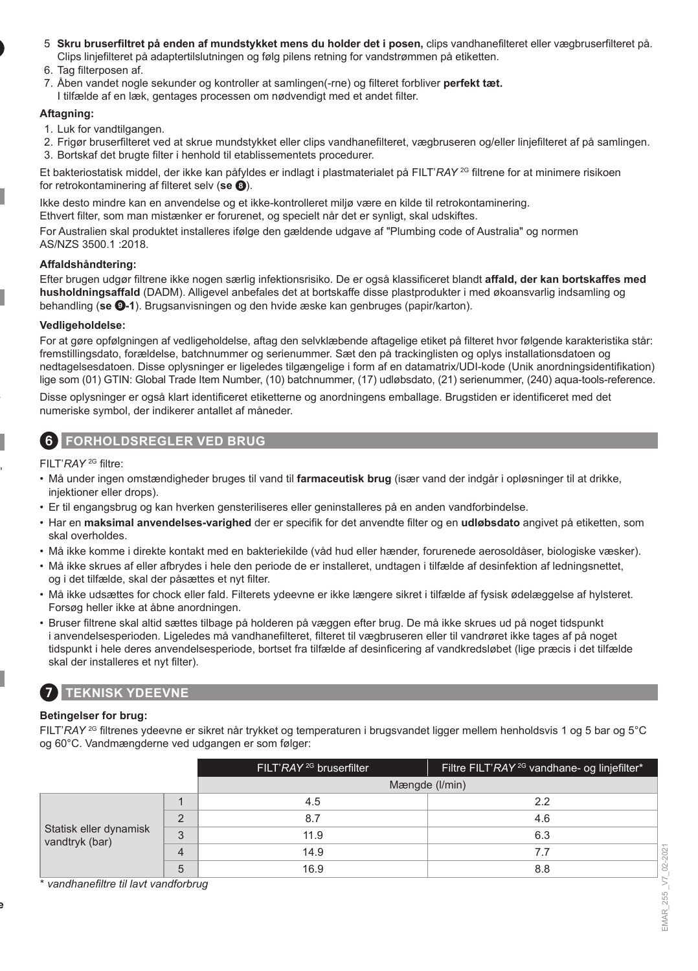- 5. **Skru bruserfiltret på enden af mundstykket mens du holder det i posen,** clips vandhanefilteret eller vægbruserfilteret på. Clips linjefilteret på adaptertilslutningen og følg pilens retning for vandstrømmen på etiketten.
- 6. Tag filterposen af
- 7. Åben vandet nogle sekunder og kontroller at samlingen(-rne) og filteret forbliver **perfekt tæt.**
- I tilfælde af en læk, gentages processen om nødvendigt med et andet filter.

#### **Aftagning:**

- 1. Luk for vandtilgangen.
- 2. Frigør bruserfilteret ved at skrue mundstykket eller clips vandhanefilteret, vægbruseren og/eller linjefilteret af på samlingen.
- 3. Bortskaf det brugte filter i henhold til etablissementets procedurer.

Et bakteriostatisk middel, der ikke kan påfyldes er indlagt i plastmaterialet på FILT'*RAY* 2G filtrene for at minimere risikoen for retrokontaminering af filteret selv (**se** 8).

Ikke desto mindre kan en anvendelse og et ikke-kontrolleret miljø være en kilde til retrokontaminering.

Ethvert filter, som man mistænker er forurenet, og specielt når det er synligt, skal udskiftes.

For Australien skal produktet installeres ifølge den gældende udgave af "Plumbing code of Australia" og normen AS/NZS 3500.1 :2018.

#### **Affaldshåndtering:**

Efter brugen udgør filtrene ikke nogen særlig infektionsrisiko. De er også klassificeret blandt **affald, der kan bortskaffes med husholdningsaffald** (DADM). Alligevel anbefales det at bortskaffe disse plastprodukter i med økoansvarlig indsamling og behandling (**se** 9**-1**). Brugsanvisningen og den hvide æske kan genbruges (papir/karton).

#### **Vedligeholdelse:**

For at gøre opfølgningen af vedligeholdelse, aftag den selvklæbende aftagelige etiket på filteret hvor følgende karakteristika står: fremstillingsdato, forældelse, batchnummer og serienummer. Sæt den på trackinglisten og oplys installationsdatoen og nedtagelsesdatoen. Disse oplysninger er ligeledes tilgængelige i form af en datamatrix/UDI-kode (Unik anordningsidentifikation) lige som (01) GTIN: Global Trade Item Number, (10) batchnummer, (17) udløbsdato, (21) serienummer, (240) aqua-tools-reference.

Disse oplysninger er også klart identificeret etiketterne og anordningens emballage. Brugstiden er identificeret med det numeriske symbol, der indikerer antallet af måneder.

### 6 **FORHOLDSREGLER VED BRUG**

FILT'*RAY* 2G filtre:

- Må under ingen omstændigheder bruges til vand til **farmaceutisk brug** (især vand der indgår i opløsninger til at drikke, injektioner eller drops).
- Er til engangsbrug og kan hverken gensteriliseres eller geninstalleres på en anden vandforbindelse.
- Har en **maksimal anvendelses-varighed** der er specifik for det anvendte filter og en **udløbsdato** angivet på etiketten, som skal overholdes.
- Må ikke komme i direkte kontakt med en bakteriekilde (våd hud eller hænder, forurenede aerosoldåser, biologiske væsker).
- Må ikke skrues af eller afbrydes i hele den periode de er installeret, undtagen i tilfælde af desinfektion af ledningsnettet, og i det tilfælde, skal der påsættes et nyt filter.
- Må ikke udsættes for chock eller fald. Filterets ydeevne er ikke længere sikret i tilfælde af fysisk ødelæggelse af hylsteret. Forsøg heller ikke at åbne anordningen.
- Bruser filtrene skal altid sættes tilbage på holderen på væggen efter brug. De må ikke skrues ud på noget tidspunkt i anvendelsesperioden. Ligeledes må vandhanefilteret, filteret til vægbruseren eller til vandrøret ikke tages af på noget tidspunkt i hele deres anvendelsesperiode, bortset fra tilfælde af desinficering af vandkredsløbet (lige præcis i det tilfælde skal der installeres et nyt filter).

# 7 **TEKNISK YDEEVNE**

#### **Betingelser for brug:**

FILT'*RAY* 2G filtrenes ydeevne er sikret når trykket og temperaturen i brugsvandet ligger mellem henholdsvis 1 og 5 bar og 5°C og 60°C. Vandmængderne ved udgangen er som følger:

|                                          |                | FILT'RAY <sup>2G</sup> bruserfilter | Filtre FILT'RAY <sup>2G</sup> vandhane- og linjefilter* |
|------------------------------------------|----------------|-------------------------------------|---------------------------------------------------------|
|                                          |                | Mængde (I/min)                      |                                                         |
| Statisk eller dynamisk<br>vandtryk (bar) |                | 4.5                                 | 2.2                                                     |
|                                          | $\Omega$       | 8.7                                 | 4.6                                                     |
|                                          | 3              | 11.9                                | 6.3                                                     |
|                                          | $\overline{4}$ | 14.9                                | 7.7                                                     |
|                                          | 5              | 16.9                                | 8.8                                                     |

\* *vandhanefiltre til lavt vandforbrug*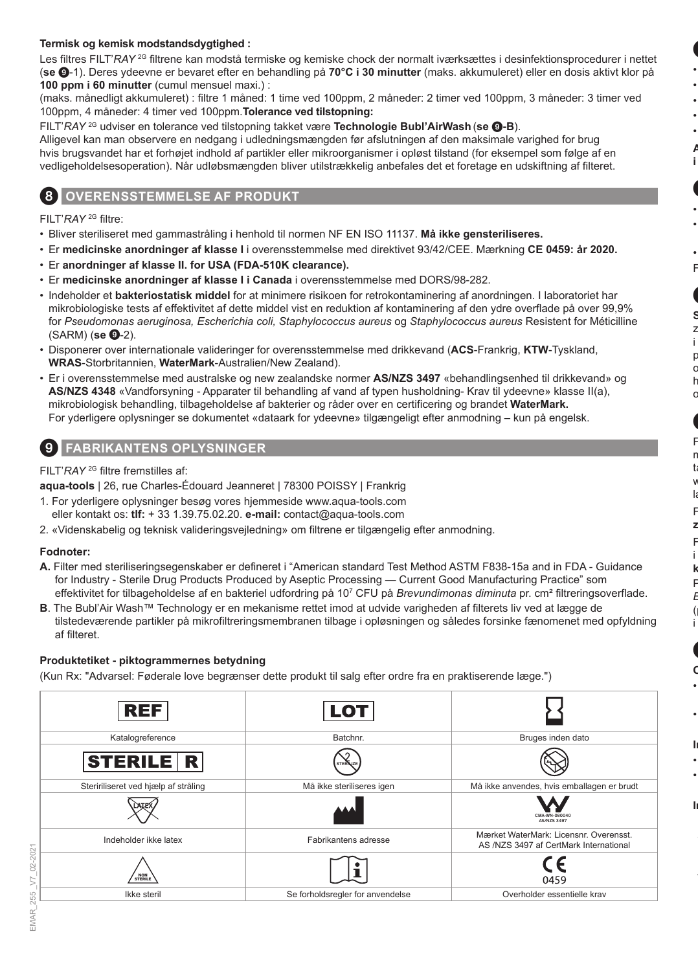#### **Termisk og kemisk modstandsdygtighed :**

Les filtres FILT'*RAY* <sup>2G</sup> filtrene kan modstå termiske og kemiske chock der normalt iværksættes i desinfektionsprocedurer i nettet (**se** 9-1). Deres ydeevne er bevaret efter en behandling på **70°C i 30 minutter** (maks. akkumuleret) eller en dosis aktivt klor på **100 ppm i 60 minutter** (cumul mensuel maxi.) :

(maks. månedligt akkumuleret) : filtre 1 måned: 1 time ved 100ppm, 2 måneder: 2 timer ved 100ppm, 3 måneder: 3 timer ved 100ppm, 4 måneder: 4 timer ved 100ppm.**Tolerance ved tilstopning:**

FILT'*RAY* 2G udviser en tolerance ved tilstopning takket være **Technologie Bubl'AirWash** (**se** 9**-B**).

Alligevel kan man observere en nedgang i udledningsmængden før afslutningen af den maksimale varighed for brug hvis brugsvandet har et forhøjet indhold af partikler eller mikroorganismer i opløst tilstand (for eksempel som følge af en vedligeholdelsesoperation). Når udløbsmængden bliver utilstrækkelig anbefales det et foretage en udskiftning af filteret.

### **OVERENSSTEMMELSE AF PRODUKT**

FILT'*RAY* 2G filtre:

- Bliver steriliseret med gammastråling i henhold til normen NF EN ISO 11137. **Må ikke gensteriliseres.**
- Er **medicinske anordninger af klasse I** i overensstemmelse med direktivet 93/42/CEE. Mærkning **CE 0459: år 2020.**
- Er **anordninger af klasse II. for USA (FDA-510K clearance).**
- Er **medicinske anordninger af klasse I i Canada** i overensstemmelse med DORS/98-282.
- Indeholder et **bakteriostatisk middel** for at minimere risikoen for retrokontaminering af anordningen. I laboratoriet har mikrobiologiske tests af effektivitet af dette middel vist en reduktion af kontaminering af den ydre overflade på over 99,9% for *Pseudomonas aeruginosa, Escherichia coli, Staphylococcus aureus* og *Staphylococcus aureus* Resistent for Méticilline (SARM) (**se @-**2).
- Disponerer over internationale valideringer for overensstemmelse med drikkevand (**ACS**-Frankrig, **KTW**-Tyskland, **WRAS**-Storbritannien, **WaterMark**-Australien/New Zealand).
- Er i overensstemmelse med australske og new zealandske normer **AS/NZS 3497** «behandlingsenhed til drikkevand» og **AS/NZS 4348** «Vandforsyning - Apparater til behandling af vand af typen husholdning- Krav til ydeevne» klasse II(a), mikrobiologisk behandling, tilbageholdelse af bakterier og råder over en certificering og brandet **WaterMark.** For yderligere oplysninger se dokumentet «dataark for ydeevne» tilgængeligt efter anmodning – kun på engelsk.

### 9 **FABRIKANTENS OPLYSNINGER**

FILT'*RAY* 2G filtre fremstilles af:

**aqua-tools** | 26, rue Charles-Édouard Jeanneret | 78300 POISSY | Frankrig

- 1. For yderligere oplysninger besøg vores hjemmeside www.aqua-tools.com eller kontakt os: **tlf:** + 33 1.39.75.02.20. **e-mail:** contact@aqua-tools.com
- 2. «Videnskabelig og teknisk valideringsvejledning» om filtrene er tilgængelig efter anmodning.

#### **Fodnoter:**

- **A.** Filter med steriliseringsegenskaber er defineret i "American standard Test Method ASTM F838-15a and in FDA Guidance for Industry - Sterile Drug Products Produced by Aseptic Processing — Current Good Manufacturing Practice" som effektivitet for tilbageholdelse af en bakteriel udfordring på 10<sup>7</sup> CFU på *Brevundimonas diminuta* pr. cm² filtreringsoverflade.
- **B**. The Bubl'Air Wash™ Technology er en mekanisme rettet imod at udvide varigheden af filterets liv ved at lægge de tilstedeværende partikler på mikrofiltreringsmembranen tilbage i opløsningen og således forsinke fænomenet med opfyldning af filteret.

#### **Produktetiket - piktogrammernes betydning**

(Kun Rx: "Advarsel: Føderale love begrænser dette produkt til salg efter ordre fra en praktiserende læge.")

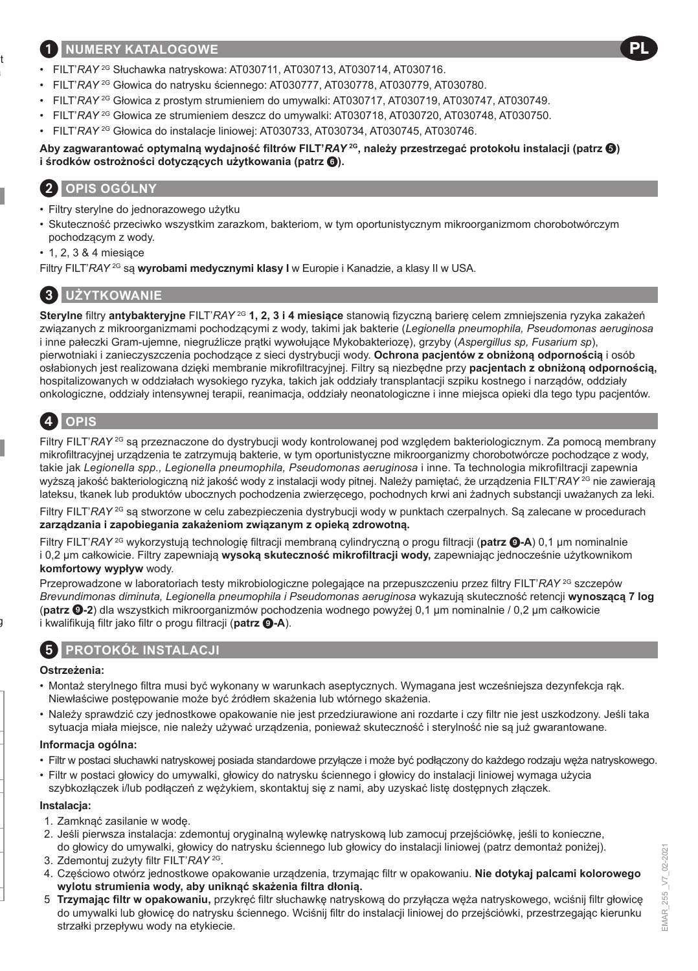### 1 **NUMERY KATALOGOWE**

- FILT'*RAY* 2G Słuchawka natryskowa: AT030711, AT030713, AT030714, AT030716.
- FILT'*RAY* 2G Głowica do natrysku ściennego: AT030777, AT030778, AT030779, AT030780.
- FILT'*RAY* 2G Głowica z prostym strumieniem do umywalki: AT030717, AT030719, AT030747, AT030749.
- FILT'*RAY* 2G Głowica ze strumieniem deszcz do umywalki: AT030718, AT030720, AT030748, AT030750.
- FILT'*RAY* 2G Głowica do instalacje liniowej: AT030733, AT030734, AT030745, AT030746.

#### **Aby zagwarantować optymalną wydajność filtrów FILT'***RAY* **2G, należy przestrzegać protokołu instalacji (patrz ) i środków ostrożności dotyczących użytkowania (patrz** 6**).**

# 2 **OPIS OGÓLNY**

- Filtry sterylne do jednorazowego użytku
- Skuteczność przeciwko wszystkim zarazkom, bakteriom, w tym oportunistycznym mikroorganizmom chorobotwórczym pochodzącym z wody.
- 1, 2, 3 & 4 miesiące
- Filtry FILT'*RAY* 2G są **wyrobami medycznymi klasy I** w Europie i Kanadzie, a klasy II w USA.

### 3 **UŻYTKOWANIE**

**Sterylne** filtry **antybakteryjne** FILT'*RAY* 2G **1, 2, 3 i 4 miesiące** stanowią fizyczną barierę celem zmniejszenia ryzyka zakażeń związanych z mikroorganizmami pochodzącymi z wody, takimi jak bakterie (*Legionella pneumophila, Pseudomonas aeruginosa* i inne pałeczki Gram-ujemne, niegruźlicze prątki wywołujące Mykobakteriozę), grzyby (*Aspergillus sp, Fusarium sp*), pierwotniaki i zanieczyszczenia pochodzące z sieci dystrybucji wody. **Ochrona pacjentów z obniżoną odpornością** i osób osłabionych jest realizowana dzięki membranie mikrofiltracyjnej. Filtry są niezbędne przy **pacjentach z obniżoną odpornością,**  hospitalizowanych w oddziałach wysokiego ryzyka, takich jak oddziały transplantacji szpiku kostnego i narządów, oddziały onkologiczne, oddziały intensywnej terapii, reanimacja, oddziały neonatologiczne i inne miejsca opieki dla tego typu pacjentów.

# 4 **OPIS**

Filtry FILT'*RAY* 2G są przeznaczone do dystrybucji wody kontrolowanej pod względem bakteriologicznym. Za pomocą membrany mikrofiltracyjnej urządzenia te zatrzymują bakterie, w tym oportunistyczne mikroorganizmy chorobotwórcze pochodzące z wody, takie jak *Legionella spp., Legionella pneumophila, Pseudomonas aeruginosa* i inne. Ta technologia mikrofiltracji zapewnia wyższą jakość bakteriologiczną niż jakość wody z instalacji wody pitnej. Należy pamiętać, że urządzenia FILT'*RAY* 2G nie zawierają lateksu, tkanek lub produktów ubocznych pochodzenia zwierzęcego, pochodnych krwi ani żadnych substancji uważanych za leki.

Filtry FILT'*RAY* <sup>2G</sup> są stworzone w celu zabezpieczenia dystrybucji wody w punktach czerpalnych. Są zalecane w procedurach **zarządzania i zapobiegania zakażeniom związanym z opieką zdrowotną.**

Filtry FILT'*RAY* 2G wykorzystują technologię filtracji membraną cylindryczną o progu filtracji (**patrz** 9**-A**) 0,1 μm nominalnie i 0,2 μm całkowicie. Filtry zapewniają **wysoką skuteczność mikrofiltracji wody,** zapewniając jednocześnie użytkownikom **komfortowy wypływ** wody.

Przeprowadzone w laboratoriach testy mikrobiologiczne polegające na przepuszczeniu przez filtry FILT'*RAY* 2G szczepów *Brevundimonas diminuta, Legionella pneumophila i Pseudomonas aeruginosa* wykazują skuteczność retencji **wynoszącą 7 log** (**patrz** 9**-2**) dla wszystkich mikroorganizmów pochodzenia wodnego powyżej 0,1 μm nominalnie / 0,2 μm całkowicie i kwalifikuja filtr jako filtr o progu filtracji (**patrz <b>@-A**).

### 5 **PROTOKÓŁ INSTALACJI**

#### **Ostrzeżenia:**

- Montaż sterylnego filtra musi być wykonany w warunkach aseptycznych. Wymagana jest wcześniejsza dezynfekcja rąk. Niewłaściwe postępowanie może być źródłem skażenia lub wtórnego skażenia.
- Należy sprawdzić czy jednostkowe opakowanie nie jest przedziurawione ani rozdarte i czy filtr nie jest uszkodzony. Jeśli taka sytuacja miała miejsce, nie należy używać urządzenia, ponieważ skuteczność i sterylność nie są już gwarantowane.

#### **Informacja ogólna:**

- Filtr w postaci słuchawki natryskowej posiada standardowe przyłącze i może być podłączony do każdego rodzaju węża natryskowego.
- Filtr w postaci głowicy do umywalki, głowicy do natrysku ściennego i głowicy do instalacji liniowej wymaga użycia szybkozłączek i/lub podłączeń z wężykiem, skontaktuj się z nami, aby uzyskać listę dostępnych złączek.

#### **Instalacja:**

- 1. Zamknąć zasilanie w wodę.
- 2. Jeśli pierwsza instalacja: zdemontuj oryginalną wylewkę natryskową lub zamocuj przejściówkę, jeśli to konieczne, do głowicy do umywalki, głowicy do natrysku ściennego lub głowicy do instalacji liniowej (patrz demontaż poniżej).
- 3. Zdemontuj zużyty filtr FILT'*RAY* 2G.
- 4. Częściowo otwórz jednostkowe opakowanie urządzenia, trzymając filtr w opakowaniu. **Nie dotykaj palcami kolorowego wylotu strumienia wody, aby uniknąć skażenia filtra dłonią.**
- 5. **Trzymając filtr w opakowaniu,** przykręć filtr słuchawkę natryskową do przyłącza węża natryskowego, wciśnij filtr głowicę do umywalki lub głowicę do natrysku ściennego. Wciśnij filtr do instalacji liniowej do przejściówki, przestrzegając kierunku strzałki przepływu wody na etykiecie.

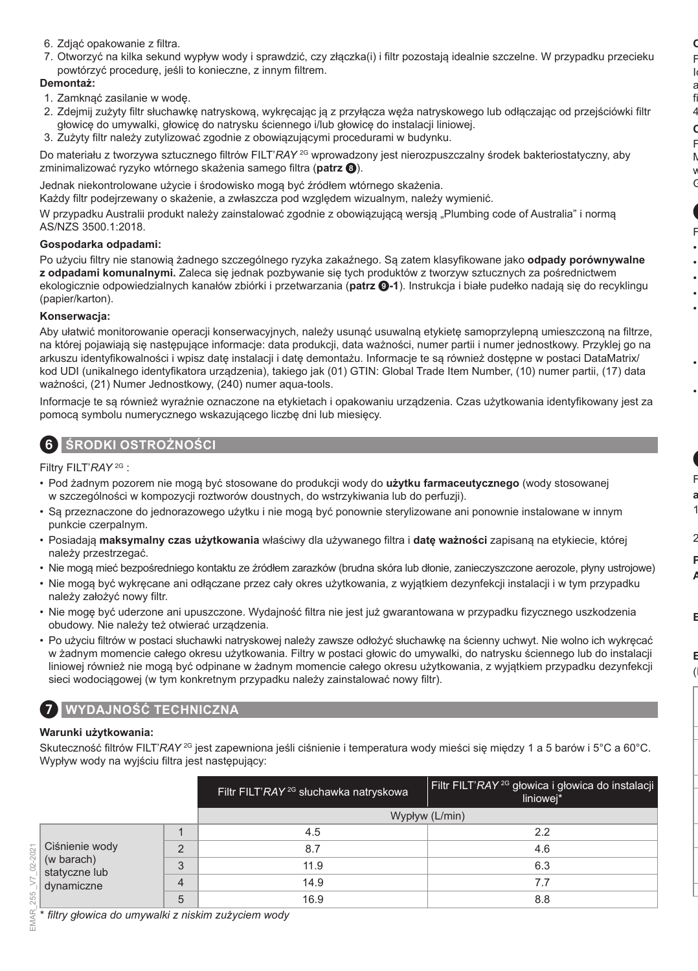- 6. Zdjąć opakowanie z filtra.
- 7. Otworzyć na kilka sekund wypływ wody i sprawdzić, czy złączka(i) i filtr pozostają idealnie szczelne. W przypadku przecieku powtórzyć procedurę, jeśli to konieczne, z innym filtrem.

#### **Demontaż:**

- 1. Zamknąć zasilanie w wodę.
- 2. Zdejmij zużyty filtr słuchawkę natryskową, wykręcając ją z przyłącza węża natryskowego lub odłączając od przejściówki filtr głowicę do umywalki, głowicę do natrysku ściennego i/lub głowicę do instalacji liniowej.
- 3. Zużyty filtr należy zutylizować zgodnie z obowiązującymi procedurami w budynku.

Do materiału z tworzywa sztucznego filtrów FILT'*RAY* 2G wprowadzony jest nierozpuszczalny środek bakteriostatyczny, aby zminimalizować ryzyko wtórnego skażenia samego filtra (**patrz** 8).

Jednak niekontrolowane użycie i środowisko mogą być źródłem wtórnego skażenia.

Każdy filtr podejrzewany o skażenie, a zwłaszcza pod względem wizualnym, należy wymienić.

W przypadku Australii produkt należy zainstalować zgodnie z obowiązującą wersią "Plumbing code of Australia" i normą AS/NZS 3500.1:2018.

#### **Gospodarka odpadami:**

Po użyciu filtry nie stanowią żadnego szczególnego ryzyka zakaźnego. Są zatem klasyfikowane jako **odpady porównywalne z odpadami komunalnymi.** Zaleca się jednak pozbywanie się tych produktów z tworzyw sztucznych za pośrednictwem ekologicznie odpowiedzialnych kanałów zbiórki i przetwarzania (**patrz** 9**-1**). Instrukcja i białe pudełko nadają się do recyklingu (papier/karton).

#### **Konserwacja:**

Aby ułatwić monitorowanie operacji konserwacyjnych, należy usunąć usuwalną etykietę samoprzylepną umieszczoną na filtrze, na której pojawiają się następujące informacje: data produkcji, data ważności, numer partii i numer jednostkowy. Przyklej go na arkuszu identyfikowalności i wpisz datę instalacji i datę demontażu. Informacje te są również dostępne w postaci DataMatrix/ kod UDI (unikalnego identyfikatora urządzenia), takiego jak (01) GTIN: Global Trade Item Number, (10) numer partii, (17) data ważności, (21) Numer Jednostkowy, (240) numer aqua-tools.

Informacje te są również wyraźnie oznaczone na etykietach i opakowaniu urządzenia. Czas użytkowania identyfikowany jest za pomocą symbolu numerycznego wskazującego liczbę dni lub miesięcy.

### 6 **ŚRODKI OSTROŻNOŚCI**

Filtry FILT'*RAY* 2G :

- Pod żadnym pozorem nie mogą być stosowane do produkcji wody do **użytku farmaceutycznego** (wody stosowanej w szczególności w kompozycji roztworów doustnych, do wstrzykiwania lub do perfuzji).
- Są przeznaczone do jednorazowego użytku i nie mogą być ponownie sterylizowane ani ponownie instalowane w innym punkcie czerpalnym.
- Posiadają **maksymalny czas użytkowania** właściwy dla używanego filtra i **datę ważności** zapisaną na etykiecie, której należy przestrzegać.
- Nie mogą mieć bezpośredniego kontaktu ze źródłem zarazków (brudna skóra lub dłonie, zanieczyszczone aerozole, płyny ustrojowe)
- Nie mogą być wykręcane ani odłączane przez cały okres użytkowania, z wyjątkiem dezynfekcji instalacji i w tym przypadku należy założyć nowy filtr.
- Nie mogę być uderzone ani upuszczone. Wydajność filtra nie jest już gwarantowana w przypadku fizycznego uszkodzenia obudowy. Nie należy też otwierać urządzenia.
- Po użyciu filtrów w postaci słuchawki natryskowej należy zawsze odłożyć słuchawkę na ścienny uchwyt. Nie wolno ich wykręcać w żadnym momencie całego okresu użytkowania. Filtry w postaci głowic do umywalki, do natrysku ściennego lub do instalacji liniowej również nie mogą być odpinane w żadnym momencie całego okresu użytkowania, z wyjątkiem przypadku dezynfekcji sieci wodociągowej (w tym konkretnym przypadku należy zainstalować nowy filtr).

### 7 **WYDAJNOŚĆ TECHNICZNA**

#### **Warunki użytkowania:**

Skuteczność filtrów FILT'*RAY* 2G jest zapewniona jeśli ciśnienie i temperatura wody mieści się między 1 a 5 barów i 5°C a 60°C. Wypływ wody na wyjściu filtra jest następujący:

|                                                                                 | Filtr FILT'RAY <sup>2G</sup> słuchawka natryskowa | Filtr FILT'RAY <sup>2G</sup> głowica i głowica do instalacji<br>liniowej* |
|---------------------------------------------------------------------------------|---------------------------------------------------|---------------------------------------------------------------------------|
|                                                                                 |                                                   | Wypływ (L/min)                                                            |
|                                                                                 | 4.5                                               | 2.2                                                                       |
| Ciśnienie wody<br>c<br>(w barach)<br>3<br>statyczne lub<br>4<br>dynamiczne<br>5 | 8.7                                               | 4.6                                                                       |
|                                                                                 | 11.9                                              | 6.3                                                                       |
|                                                                                 | 14.9                                              | 7.7                                                                       |
|                                                                                 | 16.9                                              | 8.8                                                                       |

\* *filtry głowica do umywalki z niskim zużyciem wody*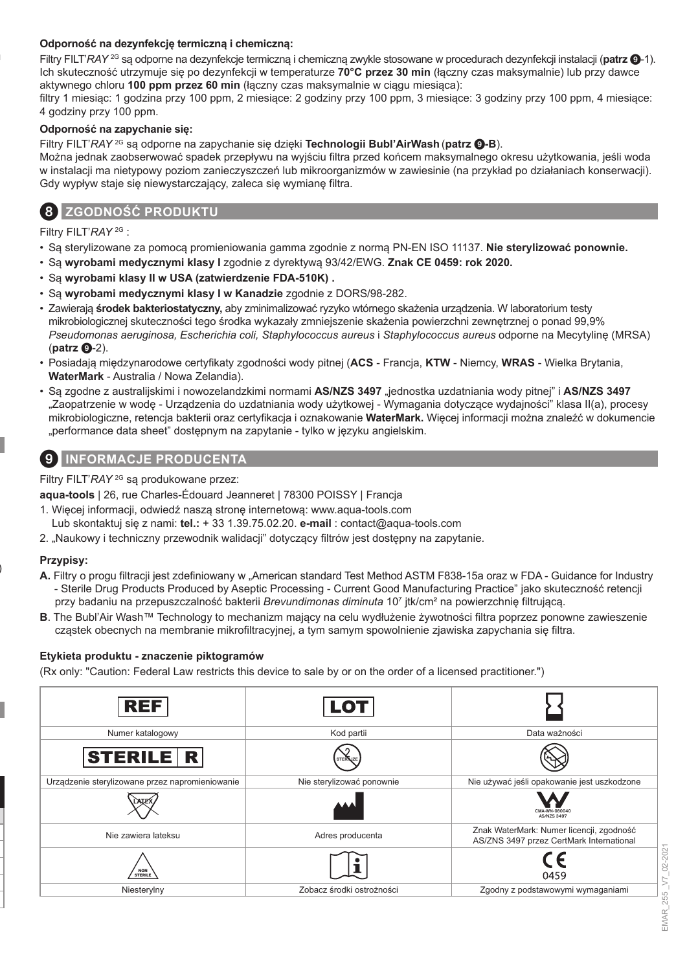#### **Odporność na dezynfekcję termiczną i chemiczną:**

Filtry FILT'*RAY* 2G są odporne na dezynfekcje termiczną i chemiczną zwykle stosowane w procedurach dezynfekcji instalacji (**patrz** 9-1). Ich skuteczność utrzymuje się po dezynfekcji w temperaturze **70°C przez 30 min** (łączny czas maksymalnie) lub przy dawce aktywnego chloru **100 ppm przez 60 min** (łączny czas maksymalnie w ciągu miesiąca):

filtry 1 miesiąc: 1 godzina przy 100 ppm, 2 miesiące: 2 godziny przy 100 ppm, 3 miesiące: 3 godziny przy 100 ppm, 4 miesiące: 4 godziny przy 100 ppm.

#### **Odporność na zapychanie się:**

Filtry FILT'*RAY* 2G są odporne na zapychanie się dzięki **Technologii Bubl'AirWash** (**patrz** 9**-B**).

Można jednak zaobserwować spadek przepływu na wyjściu filtra przed końcem maksymalnego okresu użytkowania, jeśli woda w instalacji ma nietypowy poziom zanieczyszczeń lub mikroorganizmów w zawiesinie (na przykład po działaniach konserwacji). Gdy wypływ staje się niewystarczający, zaleca się wymianę filtra.



### 8 **ZGODNOŚĆ PRODUKTU**

Filtry FILT'*RAY* 2G :

- Są sterylizowane za pomocą promieniowania gamma zgodnie z normą PN-EN ISO 11137. **Nie sterylizować ponownie.**
- Są **wyrobami medycznymi klasy I** zgodnie z dyrektywą 93/42/EWG. **Znak CE 0459: rok 2020.**
- Są **wyrobami klasy II w USA (zatwierdzenie FDA-510K) .**
- Są **wyrobami medycznymi klasy I w Kanadzie** zgodnie z DORS/98-282.
- Zawierają **środek bakteriostatyczny,** aby zminimalizować ryzyko wtórnego skażenia urządzenia. W laboratorium testy mikrobiologicznej skuteczności tego środka wykazały zmniejszenie skażenia powierzchni zewnętrznej o ponad 99,9% *Pseudomonas aeruginosa, Escherichia coli, Staphylococcus aureus* i *Staphylococcus aureus* odporne na Mecytylinę (MRSA) (**patrz**  $\mathbf{Q}$ -2).
- Posiadają międzynarodowe certyfikaty zgodności wody pitnej (**ACS**  Francja, **KTW**  Niemcy, **WRAS**  Wielka Brytania, **WaterMark** - Australia / Nowa Zelandia).
- Są zgodne z australijskimi i nowozelandzkimi normami **AS/NZS 3497** "jednostka uzdatniania wody pitnej" i **AS/NZS 3497** "Zaopatrzenie w wodę - Urządzenia do uzdatniania wody użytkowej - Wymagania dotyczące wydajności" klasa II(a), procesy mikrobiologiczne, retencja bakterii oraz certyfikacja i oznakowanie **WaterMark.** Więcej informacji można znaleźć w dokumencie "performance data sheet" dostępnym na zapytanie - tylko w języku angielskim.

### 9 **INFORMACJE PRODUCENTA**

Filtry FILT'*RAY* 2G są produkowane przez:

**aqua-tools** | 26, rue Charles-Édouard Jeanneret | 78300 POISSY | Francja

- 1. Więcej informacji, odwiedź naszą stronę internetową: www.aqua-tools.com
- Lub skontaktuj się z nami: **tel.:** + 33 1.39.75.02.20. **e-mail** : contact@aqua-tools.com
- 2. "Naukowy i techniczny przewodnik walidacji" dotyczący filtrów jest dostępny na zapytanie.

#### **Przypisy:**

- **A.** Filtry o progu filtracji jest zdefiniowany w "American standard Test Method ASTM F838-15a oraz w FDA Guidance for Industry - Sterile Drug Products Produced by Aseptic Processing - Current Good Manufacturing Practice" jako skuteczność retencji przy badaniu na przepuszczalność bakterii *Brevundimonas diminuta* 10<sup>7</sup> jtk/cm² na powierzchnię filtrującą.
- **B**. The Bubl'Air Wash™ Technology to mechanizm mający na celu wydłużenie żywotności filtra poprzez ponowne zawieszenie cząstek obecnych na membranie mikrofiltracyjnej, a tym samym spowolnienie zjawiska zapychania się filtra.

#### **Etykieta produktu - znaczenie piktogramów**

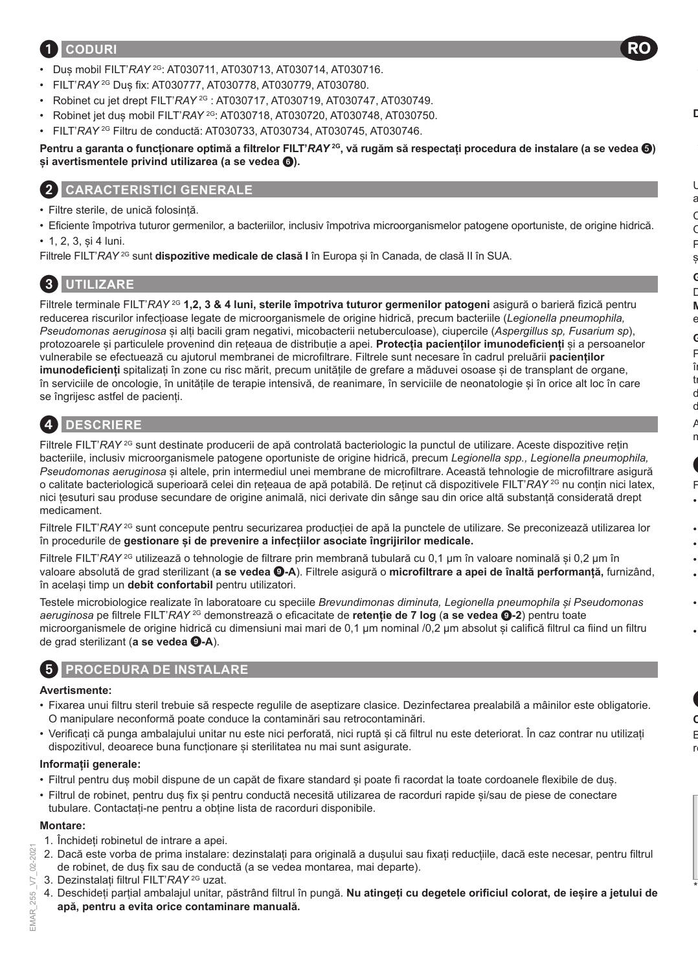### 1 **CODURI**

- Duș mobil FILT'*RAY* 2G: AT030711, AT030713, AT030714, AT030716.
- FILT'*RAY* 2G Duș fix: AT030777, AT030778, AT030779, AT030780.
- Robinet cu jet drept FILT'*RAY* 2G : AT030717, AT030719, AT030747, AT030749.
- Robinet jet duș mobil FILT'*RAY* 2G: AT030718, AT030720, AT030748, AT030750.
- FILT'*RAY* 2G Filtru de conductă: AT030733, AT030734, AT030745, AT030746.

**Pentru a garanta o funcționare optimă a filtrelor FILT'***RAY***<sup>26</sup>, vă rugăm să respectați procedura de instalare (a se vedea <sup>6</sup>) și avertismentele privind utilizarea (a se vedea** 6**).**

RO

### 2 **CARACTERISTICI GENERALE**

- Filtre sterile, de unică folosință.
- Eficiente împotriva tuturor germenilor, a bacteriilor, inclusiv împotriva microorganismelor patogene oportuniste, de origine hidrică.
- 1, 2, 3, și 4 luni.

Filtrele FILT'*RAY*<sup>2G</sup> sunt *dispozitive medicale de clasă I* în Europa și în Canada, de clasă II în SUA.

# 3 **UTILIZARE**

Filtrele terminale FILT'*RAY* 2G **1,2, 3 & 4 luni, sterile împotriva tuturor germenilor patogeni** asigură o barieră fizică pentru reducerea riscurilor infecțioase legate de microorganismele de origine hidrică, precum bacteriile (*Legionella pneumophila, Pseudomonas aeruginosa* și alți bacili gram negativi, micobacterii netuberculoase), ciupercile (*Aspergillus sp, Fusarium sp*), protozoarele și particulele provenind din rețeaua de distribuție a apei. **Protecția pacienților imunodeficienți** și a persoanelor vulnerabile se efectuează cu ajutorul membranei de microfiltrare. Filtrele sunt necesare în cadrul preluării **pacienților imunodeficienți** spitalizați în zone cu risc mărit, precum unitățile de grefare a măduvei osoase și de transplant de organe, în serviciile de oncologie, în unitățile de terapie intensivă, de reanimare, în serviciile de neonatologie și în orice alt loc în care se îngrijesc astfel de pacienți.

# 4 **DESCRIERE**

Filtrele FILT'*RAY* <sup>2G</sup> sunt destinate producerii de apă controlată bacteriologic la punctul de utilizare. Aceste dispozitive retin bacteriile, inclusiv microorganismele patogene oportuniste de origine hidrică, precum *Legionella spp., Legionella pneumophila, Pseudomonas aeruginosa* și altele, prin intermediul unei membrane de microfiltrare. Această tehnologie de microfiltrare asigură o calitate bacteriologică superioară celei din rețeaua de apă potabilă. De reținut că dispozitivele FILT'*RAY* 2G nu conțin nici latex, nici țesuturi sau produse secundare de origine animală, nici derivate din sânge sau din orice altă substanță considerată drept medicament.

Filtrele FILT'*RAY* <sup>2G</sup> sunt concepute pentru securizarea productiei de apă la punctele de utilizare. Se preconizează utilizarea lor în procedurile de **gestionare și de prevenire a infecțiilor asociate îngrijirilor medicale.**

Filtrele FILT'*RAY* <sup>2G</sup> utilizează o tehnologie de filtrare prin membrană tubulară cu 0,1 µm în valoare nominală și 0,2 µm în valoare absolută de grad sterilizant (**a se vedea** 9**-A**). Filtrele asigură o **microfiltrare a apei de înaltă performanță,** furnizând, în același timp un **debit confortabil** pentru utilizatori.

Testele microbiologice realizate în laboratoare cu speciile *Brevundimonas diminuta, Legionella pneumophila și Pseudomonas aeruginosa* pe filtrele FILT'*RAY* 2G demonstrează o eficacitate de **retenție de 7 log** (**a se vedea** 9**-2**) pentru toate microorganismele de origine hidrică cu dimensiuni mai mari de 0,1 µm nominal /0,2 μm absolut și califică filtrul ca fiind un filtru de grad sterilizant (a se vedea  $Q-A$ ).

### 5 **PROCEDURA DE INSTALARE**

#### **Avertismente:**

- Fixarea unui filtru steril trebuie să respecte regulile de aseptizare clasice. Dezinfectarea prealabilă a mâinilor este obligatorie. O manipulare neconformă poate conduce la contaminări sau retrocontaminări.
- Verificați că punga ambalajului unitar nu este nici perforată, nici ruptă și că filtrul nu este deteriorat. În caz contrar nu utilizați dispozitivul, deoarece buna functionare și sterilitatea nu mai sunt asigurate.

#### **Informații generale:**

- Filtrul pentru duș mobil dispune de un capăt de fixare standard și poate fi racordat la toate cordoanele flexibile de duș.
- Filtrul de robinet, pentru duș fix și pentru conductă necesită utilizarea de racorduri rapide și/sau de piese de conectare tubulare. Contactați-ne pentru a obține lista de racorduri disponibile.

#### **Montare:**

- 1. Închideți robinetul de intrare a apei.
- 2. Dacă este vorba de prima instalare: dezinstalați para originală a dușului sau fixați reducțiile, dacă este necesar, pentru filtrul de robinet, de duș fix sau de conductă (a se vedea montarea, mai departe).
- 3. Dezinstalați filtrul FILT'*RAY* 2G uzat.
- 4. Deschideți parțial ambalajul unitar, păstrând filtrul în pungă. **Nu atingeți cu degetele orificiul colorat, de ieșire a jetului de apă, pentru a evita orice contaminare manuală.**

02-2021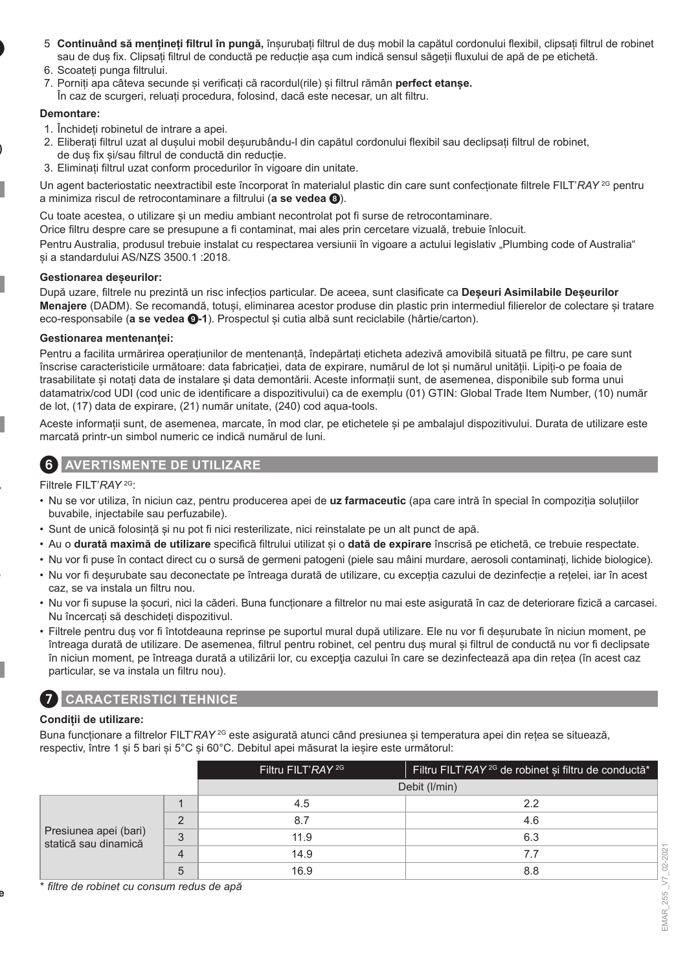- 5. **Continuând să mențineți filtrul în pungă,** înșurubați filtrul de duș mobil la capătul cordonului flexibil, clipsați filtrul de robinet sau de duș fix. Clipsați filtrul de conductă pe reducție așa cum indică sensul săgeții fluxului de apă de pe etichetă.
- 6. Scoateți punga filtrului.
- 7. Porniți apa câteva secunde și verificați că racordul(rile) și filtrul rămân **perfect etanșe.**
- În caz de scurgeri, reluați procedura, folosind, dacă este necesar, un alt filtru.

#### **Demontare:**

- 1. Închideți robinetul de intrare a apei.
- 2. Eliberați filtrul uzat al dușului mobil deșurubându-l din capătul cordonului flexibil sau declipsați filtrul de robinet, de duș fix și/sau filtrul de conductă din reducție.
- 3. Eliminați filtrul uzat conform procedurilor în vigoare din unitate.

Un agent bacteriostatic neextractibil este încorporat în materialul plastic din care sunt confecționate filtrele FILT'*RAY* 2G pentru a minimiza riscul de retrocontaminare a filtrului (**a se vedea** 8).

Cu toate acestea, o utilizare și un mediu ambiant necontrolat pot fi surse de retrocontaminare.

Orice filtru despre care se presupune a fi contaminat, mai ales prin cercetare vizuală, trebuie înlocuit.

Pentru Australia, produsul trebuie instalat cu respectarea versiunii în vigoare a actului legislativ "Plumbing code of Australia" și a standardului AS/NZS 3500.1 :2018.

#### **Gestionarea deșeurilor:**

După uzare, filtrele nu prezintă un risc infecțios particular. De aceea, sunt clasificate ca **Deșeuri Asimilabile Deșeurilor Menajere** (DADM). Se recomandă, totuși, eliminarea acestor produse din plastic prin intermediul filierelor de colectare și tratare eco-responsabile (**a se vedea** 9**-1**). Prospectul și cutia albă sunt reciclabile (hârtie/carton).

#### **Gestionarea mentenanței:**

Pentru a facilita urmărirea operațiunilor de mentenanță, îndepărtați eticheta adezivă amovibilă situată pe filtru, pe care sunt înscrise caracteristicile următoare: data fabricației, data de expirare, numărul de lot și numărul unității. Lipiți-o pe foaia de trasabilitate și notați data de instalare și data demontării. Aceste informații sunt, de asemenea, disponibile sub forma unui datamatrix/cod UDI (cod unic de identificare a dispozitivului) ca de exemplu (01) GTIN: Global Trade Item Number, (10) număr de lot, (17) data de expirare, (21) număr unitate, (240) cod aqua-tools.

Aceste informații sunt, de asemenea, marcate, în mod clar, pe etichetele și pe ambalajul dispozitivului. Durata de utilizare este marcată printr-un simbol numeric ce indică numărul de luni.

### 6 **AVERTISMENTE DE UTILIZARE**

Filtrele FILT'*RAY* 2G:

- Nu se vor utiliza, în niciun caz, pentru producerea apei de **uz farmaceutic** (apa care intră în special în compoziția soluțiilor buvabile, injectabile sau perfuzabile).
- Sunt de unică folosință și nu pot fi nici resterilizate, nici reinstalate pe un alt punct de apă.
- Au o **durată maximă de utilizare** specifică filtrului utilizat și o **dată de expirare** înscrisă pe etichetă, ce trebuie respectate.
- Nu vor fi puse în contact direct cu o sursă de germeni patogeni (piele sau mâini murdare, aerosoli contaminați, lichide biologice).
- Nu vor fi deșurubate sau deconectate pe întreaga durată de utilizare, cu excepția cazului de dezinfecție a rețelei, iar în acest caz, se va instala un filtru nou.
- Nu vor fi supuse la șocuri, nici la căderi. Buna funcționare a filtrelor nu mai este asigurată în caz de deteriorare fizică a carcasei. Nu încercați să deschideți dispozitivul.
- Filtrele pentru duș vor fi întotdeauna reprinse pe suportul mural după utilizare. Ele nu vor fi deșurubate în niciun moment, pe întreaga durată de utilizare. De asemenea, filtrul pentru robinet, cel pentru duș mural și filtrul de conductă nu vor fi declipsate în niciun moment, pe întreaga durată a utilizării lor, cu excepţia cazului în care se dezinfectează apa din rețea (în acest caz particular, se va instala un filtru nou).

### 7 **CARACTERISTICI TEHNICE**

#### **Condiții de utilizare:**

Buna functionare a filtrelor FILT<sup>'</sup>RAY<sup>2G</sup> este asigurată atunci când presiunea și temperatura apei din rețea se situează, respectiv, între 1 și 5 bari și 5°C și 60°C. Debitul apei măsurat la ieșire este următorul:

|                                               |   | Filtru FILT'RAY <sup>2G</sup> | Filtru FILT'RAY <sup>2G</sup> de robinet si filtru de conductă <sup>*</sup> |
|-----------------------------------------------|---|-------------------------------|-----------------------------------------------------------------------------|
|                                               |   |                               | Debit (I/min)                                                               |
| Presiunea apei (bari)<br>statică sau dinamică |   | 4.5                           | 22                                                                          |
|                                               |   | 8.7                           | 4.6                                                                         |
|                                               | 3 | 11.9                          | 6.3                                                                         |
|                                               | 4 | 14.9                          | 7.7                                                                         |
|                                               |   | 16.9                          | 8.8                                                                         |

\* *filtre de robinet cu consum redus de apă*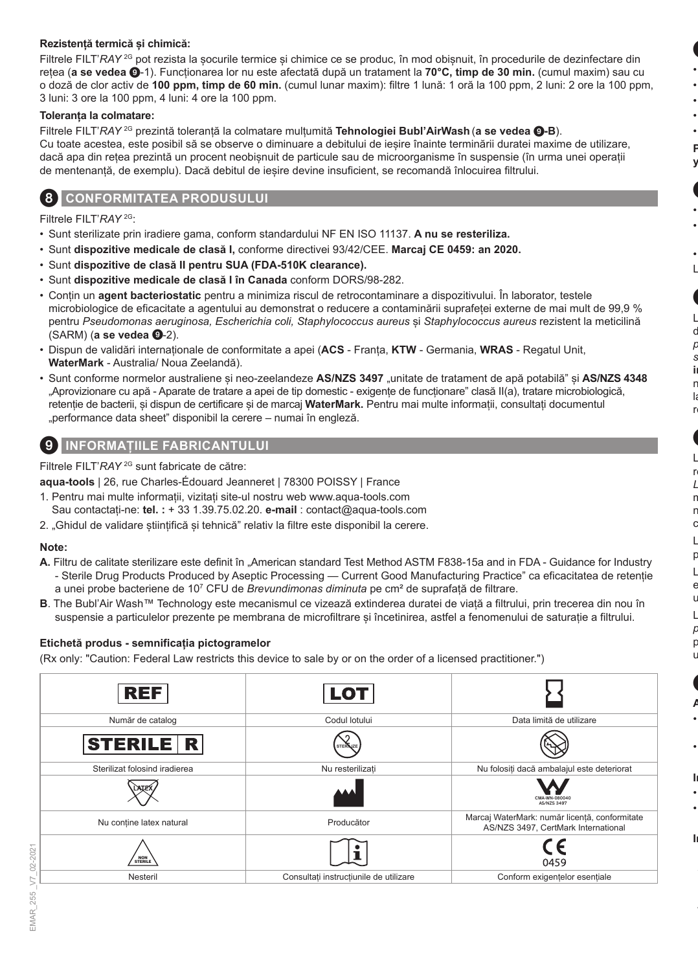#### **Rezistență termică și chimică:**

Filtrele FILT'*RAY* <sup>2G</sup> pot rezista la socurile termice și chimice ce se produc, în mod obișnuit, în procedurile de dezinfectare din rețea (**a se vedea** 9-1). Funcționarea lor nu este afectată după un tratament la **70°C, timp de 30 min.** (cumul maxim) sau cu o doză de clor activ de **100 ppm, timp de 60 min.** (cumul lunar maxim): filtre 1 lună: 1 oră la 100 ppm, 2 luni: 2 ore la 100 ppm, 3 luni: 3 ore la 100 ppm, 4 luni: 4 ore la 100 ppm.

#### **Toleranța la colmatare:**

Filtrele FILT'*RAY* 2G prezintă toleranță la colmatare mulțumită **Tehnologiei Bubl'AirWash** (**a se vedea** 9**-B**). Cu toate acestea, este posibil să se observe o diminuare a debitului de ieșire înainte terminării duratei maxime de utilizare, dacă apa din retea prezintă un procent neobisnuit de particule sau de microorganisme în suspensie (în urma unei operații de mentenanță, de exemplu). Dacă debitul de ieșire devine insuficient, se recomandă înlocuirea filtrului.

### **CONFORMITATEA PRODUSULUI**

Filtrele FILT'*RAY* 2G:

- Sunt sterilizate prin iradiere gama, conform standardului NF EN ISO 11137. **A nu se resteriliza.**
- Sunt **dispozitive medicale de clasă I,** conforme directivei 93/42/CEE. **Marcaj CE 0459: an 2020.**
- Sunt **dispozitive de clasă II pentru SUA (FDA-510K clearance).**
- Sunt **dispozitive medicale de clasă I în Canada** conform DORS/98-282.
- Conțin un **agent bacteriostatic** pentru a minimiza riscul de retrocontaminare a dispozitivului. În laborator, testele microbiologice de eficacitate a agentului au demonstrat o reducere a contaminării suprafeței externe de mai mult de 99,9 % pentru *Pseudomonas aeruginosa, Escherichia coli, Staphylococcus aureus* și *Staphylococcus aureus* rezistent la meticilină (SARM) (**a se vedea @-**2).
- Dispun de validări internaționale de conformitate a apei (**ACS**  Franța, **KTW**  Germania, **WRAS**  Regatul Unit, **WaterMark** - Australia/ Noua Zeelandă).
- Sunt conforme normelor australiene și neo-zeelandeze **AS/NZS 3497** "unitate de tratament de apă potabilă" și **AS/NZS 4348** "Aprovizionare cu apă - Aparate de tratare a apei de tip domestic - exigențe de funcționare" clasă II(a), tratare microbiologică, retenție de bacterii, și dispun de certificare și de marcaj **WaterMark.** Pentru mai multe informații, consultați documentul "performance data sheet" disponibil la cerere – numai în engleză.

### **INFORMATIILE FABRICANTULUI**

Filtrele FILT'*RAY* 2G sunt fabricate de către:

**aqua-tools** | 26, rue Charles-Édouard Jeanneret | 78300 POISSY | France

- 1. Pentru mai multe informații, vizitați site-ul nostru web www.aqua-tools.com Sau contactați-ne: **tel. :** + 33 1.39.75.02.20. **e-mail** : contact@aqua-tools.com
- 2. "Ghidul de validare științifică și tehnică" relativ la filtre este disponibil la cerere.

#### **Note:**

- **A.** Filtru de calitate sterilizare este definit în "American standard Test Method ASTM F838-15a and in FDA Guidance for Industry - Sterile Drug Products Produced by Aseptic Processing — Current Good Manufacturing Practice" ca eficacitatea de retenție a unei probe bacteriene de 10<sup>7</sup> CFU de *Brevundimonas diminuta* pe cm² de suprafață de filtrare.
- **B**. The Bubl'Air Wash™ Technology este mecanismul ce vizează extinderea duratei de viață a filtrului, prin trecerea din nou în suspensie a particulelor prezente pe membrana de microfiltrare și încetinirea, astfel a fenomenului de saturație a filtrului.

#### **Etichetă produs - semnificația pictogramelor**

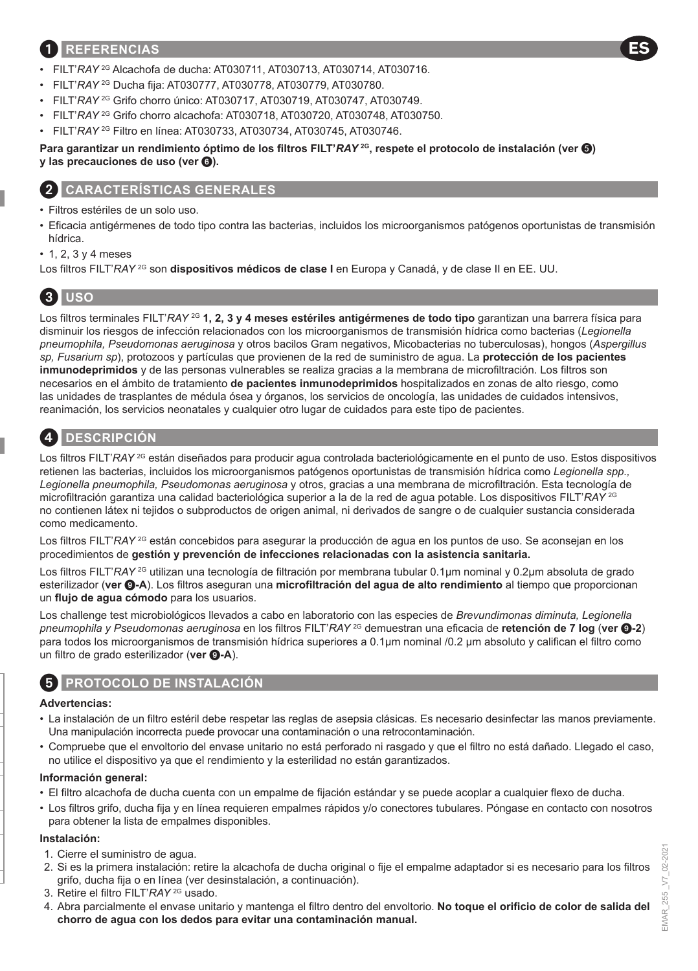### 1 **REFERENCIAS**

- FILT'*RAY* 2G Alcachofa de ducha: AT030711, AT030713, AT030714, AT030716.
- FILT'*RAY* 2G Ducha fija: AT030777, AT030778, AT030779, AT030780.
- FILT'*RAY* 2G Grifo chorro único: AT030717, AT030719, AT030747, AT030749.
- FILT'*RAY* 2G Grifo chorro alcachofa: AT030718, AT030720, AT030748, AT030750.
- FILT'*RAY* 2G Filtro en línea: AT030733, AT030734, AT030745, AT030746.

**Para garantizar un rendimiento óptimo de los filtros FILT'***RAY* **2G, respete el protocolo de instalación (ver ) y** las precauciones de uso (ver  $\odot$ ).

### 2 **CARACTERÍSTICAS GENERALES**

- Filtros estériles de un solo uso.
- Eficacia antigérmenes de todo tipo contra las bacterias, incluidos los microorganismos patógenos oportunistas de transmisión hídrica.
- 1, 2, 3 y 4 meses
- Los filtros FILT'*RAY* 2G son **dispositivos médicos de clase I** en Europa y Canadá, y de clase II en EE. UU.

# 3 **USO**

Los filtros terminales FILT'*RAY* 2G **1, 2, 3 y 4 meses estériles antigérmenes de todo tipo** garantizan una barrera física para disminuir los riesgos de infección relacionados con los microorganismos de transmisión hídrica como bacterias (*Legionella pneumophila, Pseudomonas aeruginosa* y otros bacilos Gram negativos, Micobacterias no tuberculosas), hongos (*Aspergillus sp, Fusarium sp*), protozoos y partículas que provienen de la red de suministro de agua. La **protección de los pacientes inmunodeprimidos** y de las personas vulnerables se realiza gracias a la membrana de microfiltración. Los filtros son necesarios en el ámbito de tratamiento **de pacientes inmunodeprimidos** hospitalizados en zonas de alto riesgo, como las unidades de trasplantes de médula ósea y órganos, los servicios de oncología, las unidades de cuidados intensivos, reanimación, los servicios neonatales y cualquier otro lugar de cuidados para este tipo de pacientes.



### 4 **DESCRIPCIÓN**

Los filtros FILT'*RAY* <sup>2G</sup> están diseñados para producir agua controlada bacteriológicamente en el punto de uso. Estos dispositivos retienen las bacterias, incluidos los microorganismos patógenos oportunistas de transmisión hídrica como *Legionella spp., Legionella pneumophila, Pseudomonas aeruginosa* y otros, gracias a una membrana de microfiltración. Esta tecnología de microfiltración garantiza una calidad bacteriológica superior a la de la red de agua potable. Los dispositivos FILT'*RAY* 2G no contienen látex ni tejidos o subproductos de origen animal, ni derivados de sangre o de cualquier sustancia considerada como medicamento.

Los filtros FILT'*RAY* <sup>2G</sup> están concebidos para asegurar la producción de agua en los puntos de uso. Se aconsejan en los procedimientos de **gestión y prevención de infecciones relacionadas con la asistencia sanitaria.**

Los filtros FILT'*RAY* 2G utilizan una tecnología de filtración por membrana tubular 0.1µm nominal y 0.2µm absoluta de grado esterilizador (**ver** 9**-A**). Los filtros aseguran una **microfiltración del agua de alto rendimiento** al tiempo que proporcionan un **flujo de agua cómodo** para los usuarios.

Los challenge test microbiológicos llevados a cabo en laboratorio con las especies de *Brevundimonas diminuta, Legionella pneumophila y Pseudomonas aeruginosa* en los filtros FILT'*RAY* 2G demuestran una eficacia de **retención de 7 log** (**ver** 9**-2**) para todos los microorganismos de transmisión hídrica superiores a 0.1µm nominal /0.2 μm absoluto y califican el filtro como un filtro de grado esterilizador (ver **0-A**).

# 5 **PROTOCOLO DE INSTALACIÓN**

#### **Advertencias:**

- La instalación de un filtro estéril debe respetar las reglas de asepsia clásicas. Es necesario desinfectar las manos previamente. Una manipulación incorrecta puede provocar una contaminación o una retrocontaminación.
- Compruebe que el envoltorio del envase unitario no está perforado ni rasgado y que el filtro no está dañado. Llegado el caso, no utilice el dispositivo ya que el rendimiento y la esterilidad no están garantizados.

#### **Información general:**

- El filtro alcachofa de ducha cuenta con un empalme de fijación estándar y se puede acoplar a cualquier flexo de ducha.
- Los filtros grifo, ducha fija y en línea requieren empalmes rápidos y/o conectores tubulares. Póngase en contacto con nosotros para obtener la lista de empalmes disponibles.

#### **Instalación:**

- 1. Cierre el suministro de agua.
- 2. Si es la primera instalación: retire la alcachofa de ducha original o fije el empalme adaptador si es necesario para los filtros grifo, ducha fija o en línea (ver desinstalación, a continuación).
- 3. Retire el filtro FILT'*RAY* 2G usado.
- 4. Abra parcialmente el envase unitario y mantenga el filtro dentro del envoltorio. **No toque el orificio de color de salida del chorro de agua con los dedos para evitar una contaminación manual.**

**ES**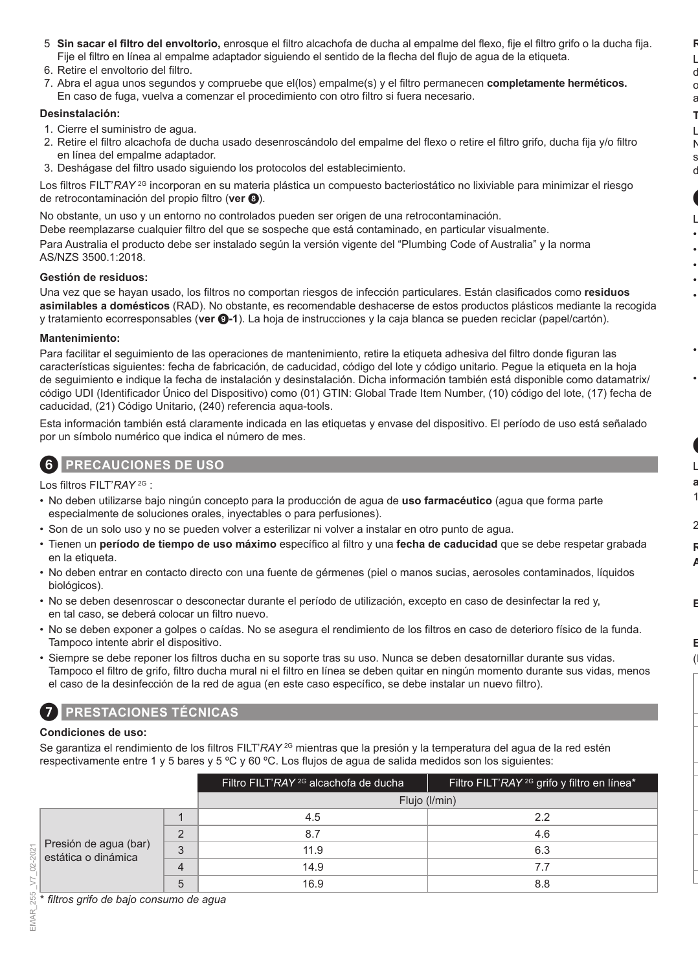- 5. **Sin sacar el filtro del envoltorio,** enrosque el filtro alcachofa de ducha al empalme del flexo, fije el filtro grifo o la ducha fija. Fije el filtro en línea al empalme adaptador siguiendo el sentido de la flecha del flujo de agua de la etiqueta.
- 6. Retire el envoltorio del filtro.
- 7. Abra el agua unos segundos y compruebe que el(los) empalme(s) y el filtro permanecen **completamente herméticos.**  En caso de fuga, vuelva a comenzar el procedimiento con otro filtro si fuera necesario.

#### **Desinstalación:**

- 1. Cierre el suministro de agua.
- 2. Retire el filtro alcachofa de ducha usado desenroscándolo del empalme del flexo o retire el filtro grifo, ducha fija y/o filtro en línea del empalme adaptador.
- 3. Deshágase del filtro usado siguiendo los protocolos del establecimiento.

Los filtros FILT'*RAY* <sup>2G</sup> incorporan en su materia plástica un compuesto bacteriostático no lixiviable para minimizar el riesgo de retrocontaminación del propio filtro (**ver** 8).

No obstante, un uso y un entorno no controlados pueden ser origen de una retrocontaminación.

Debe reemplazarse cualquier filtro del que se sospeche que está contaminado, en particular visualmente. Para Australia el producto debe ser instalado según la versión vigente del "Plumbing Code of Australia" y la norma AS/NZS 3500.1:2018.

#### **Gestión de residuos:**

Una vez que se hayan usado, los filtros no comportan riesgos de infección particulares. Están clasificados como **residuos asimilables a domésticos** (RAD). No obstante, es recomendable deshacerse de estos productos plásticos mediante la recogida y tratamiento ecorresponsables (**ver** 9**-1**). La hoja de instrucciones y la caja blanca se pueden reciclar (papel/cartón).

#### **Mantenimiento:**

Para facilitar el seguimiento de las operaciones de mantenimiento, retire la etiqueta adhesiva del filtro donde figuran las características siguientes: fecha de fabricación, de caducidad, código del lote y código unitario. Pegue la etiqueta en la hoja de seguimiento e indique la fecha de instalación y desinstalación. Dicha información también está disponible como datamatrix/ código UDI (Identificador Único del Dispositivo) como (01) GTIN: Global Trade Item Number, (10) código del lote, (17) fecha de caducidad, (21) Código Unitario, (240) referencia aqua-tools.

Esta información también está claramente indicada en las etiquetas y envase del dispositivo. El período de uso está señalado por un símbolo numérico que indica el número de mes.



6 **PRECAUCIONES DE USO**

Los filtros FILT'*RAY* 2G :

- No deben utilizarse bajo ningún concepto para la producción de agua de **uso farmacéutico** (agua que forma parte especialmente de soluciones orales, inyectables o para perfusiones).
- Son de un solo uso y no se pueden volver a esterilizar ni volver a instalar en otro punto de agua.
- Tienen un **período de tiempo de uso máximo** específico al filtro y una **fecha de caducidad** que se debe respetar grabada en la etiqueta.
- No deben entrar en contacto directo con una fuente de gérmenes (piel o manos sucias, aerosoles contaminados, líquidos biológicos).
- No se deben desenroscar o desconectar durante el período de utilización, excepto en caso de desinfectar la red y, en tal caso, se deberá colocar un filtro nuevo.
- No se deben exponer a golpes o caídas. No se asegura el rendimiento de los filtros en caso de deterioro físico de la funda. Tampoco intente abrir el dispositivo.
- Siempre se debe reponer los filtros ducha en su soporte tras su uso. Nunca se deben desatornillar durante sus vidas. Tampoco el filtro de grifo, filtro ducha mural ni el filtro en línea se deben quitar en ningún momento durante sus vidas, menos el caso de la desinfección de la red de agua (en este caso específico, se debe instalar un nuevo filtro).

# 7 **PRESTACIONES TÉCNICAS**

### **Condiciones de uso:**

Se garantiza el rendimiento de los filtros FILT'*RAY* <sup>2G</sup> mientras que la presión y la temperatura del agua de la red estén respectivamente entre 1 y 5 bares y 5 ºC y 60 ºC. Los flujos de agua de salida medidos son los siguientes:

|                                              |          | Filtro FILT'RAY <sup>2G</sup> alcachofa de ducha | Filtro FILT'RAY <sup>2G</sup> grifo y filtro en línea <sup>*</sup> |
|----------------------------------------------|----------|--------------------------------------------------|--------------------------------------------------------------------|
|                                              |          | Flujo (I/min)                                    |                                                                    |
|                                              |          | 4.5                                              | 22                                                                 |
| Presión de agua (bar)<br>estática o dinámica | $\Omega$ | 8.7                                              | 4.6                                                                |
|                                              | 3        | 11.9                                             | 6.3                                                                |
|                                              |          | 14.9                                             | 7.7                                                                |
|                                              | h        | 16.9                                             | 8.8                                                                |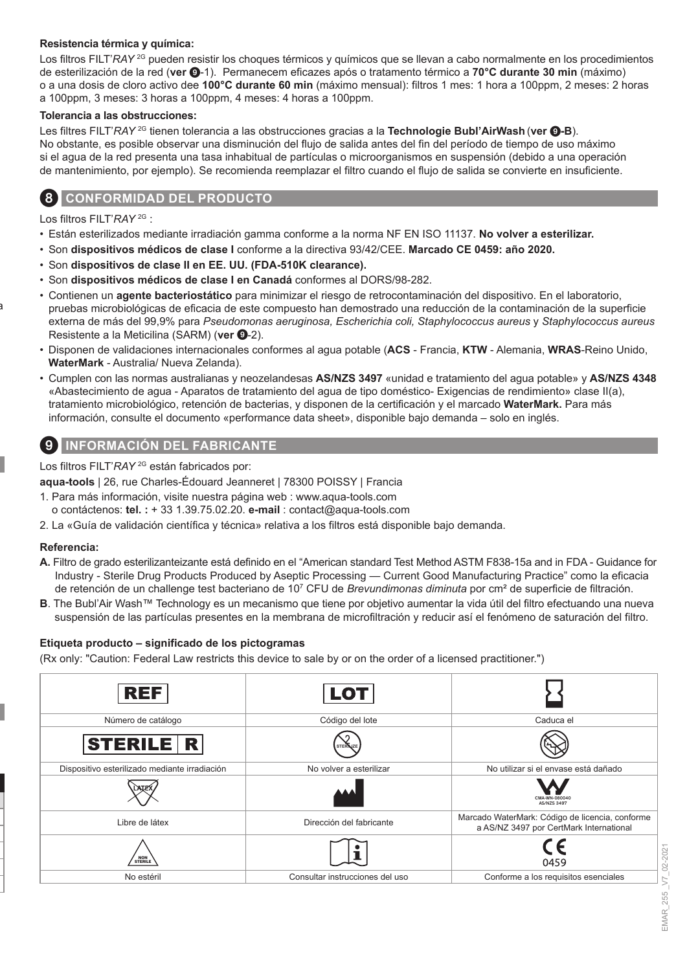#### **Resistencia térmica y química:**

Los filtros FILT'*RAY* <sup>2G</sup> pueden resistir los choques térmicos y químicos que se llevan a cabo normalmente en los procedimientos de esterilización de la red (**ver** 9-1). Permanecem eficazes após o tratamento térmico a **70°C durante 30 min** (máximo) o a una dosis de cloro activo dee **100°C durante 60 min** (máximo mensual): filtros 1 mes: 1 hora a 100ppm, 2 meses: 2 horas a 100ppm, 3 meses: 3 horas a 100ppm, 4 meses: 4 horas a 100ppm.

#### **Tolerancia a las obstrucciones:**

Les filtres FILT'*RAY* 2G tienen tolerancia a las obstrucciones gracias a la **Technologie Bubl'AirWash** (**ver** 9**-B**). No obstante, es posible observar una disminución del flujo de salida antes del fin del período de tiempo de uso máximo si el agua de la red presenta una tasa inhabitual de partículas o microorganismos en suspensión (debido a una operación de mantenimiento, por ejemplo). Se recomienda reemplazar el filtro cuando el flujo de salida se convierte en insuficiente.

### 8 **CONFORMIDAD DEL PRODUCTO**

Los filtros FILT'*RAY* 2G :

- Están esterilizados mediante irradiación gamma conforme a la norma NF EN ISO 11137. **No volver a esterilizar.**
- Son **dispositivos médicos de clase I** conforme a la directiva 93/42/CEE. **Marcado CE 0459: año 2020.**
- Son **dispositivos de clase II en EE. UU. (FDA-510K clearance).**
- Son **dispositivos médicos de clase I en Canadá** conformes al DORS/98-282.
- Contienen un **agente bacteriostático** para minimizar el riesgo de retrocontaminación del dispositivo. En el laboratorio, pruebas microbiológicas de eficacia de este compuesto han demostrado una reducción de la contaminación de la superficie externa de más del 99,9% para *Pseudomonas aeruginosa, Escherichia coli, Staphylococcus aureus* y *Staphylococcus aureus* Resistente a la Meticilina (SARM) (ver **0**-2).
- Disponen de validaciones internacionales conformes al agua potable (**ACS**  Francia, **KTW**  Alemania, **WRAS**-Reino Unido, **WaterMark** - Australia/ Nueva Zelanda).
- Cumplen con las normas australianas y neozelandesas **AS/NZS 3497** «unidad e tratamiento del agua potable» y **AS/NZS 4348** «Abastecimiento de agua - Aparatos de tratamiento del agua de tipo doméstico- Exigencias de rendimiento» clase II(a), tratamiento microbiológico, retención de bacterias, y disponen de la certificación y el marcado **WaterMark.** Para más información, consulte el documento «performance data sheet», disponible bajo demanda – solo en inglés.

### 9 **INFORMACIÓN DEL FABRICANTE**

Los filtros FILT'*RAY* 2G están fabricados por:

**aqua-tools** | 26, rue Charles-Édouard Jeanneret | 78300 POISSY | Francia

- 1. Para más información, visite nuestra página web : www.aqua-tools.com o contáctenos: **tel. :** + 33 1.39.75.02.20. **e-mail** : contact@aqua-tools.com
- 2. La «Guía de validación científica y técnica» relativa a los filtros está disponible bajo demanda.

#### **Referencia:**

- **A.** Filtro de grado esterilizanteizante está definido en el "American standard Test Method ASTM F838-15a and in FDA Guidance for Industry - Sterile Drug Products Produced by Aseptic Processing — Current Good Manufacturing Practice" como la eficacia de retención de un challenge test bacteriano de 10<sup>7</sup> CFU de *Brevundimonas diminuta* por cm² de superficie de filtración.
- **B**. The Bubl'Air Wash™ Technology es un mecanismo que tiene por objetivo aumentar la vida útil del filtro efectuando una nueva suspensión de las partículas presentes en la membrana de microfiltración y reducir así el fenómeno de saturación del filtro.

#### **Etiqueta producto – significado de los pictogramas**

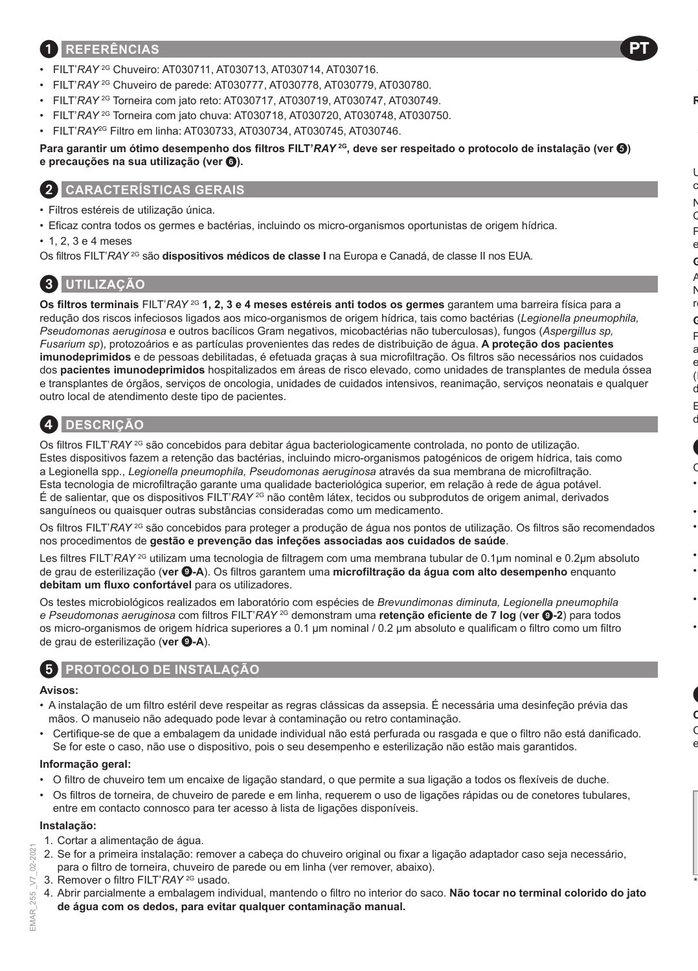### 1 **REFERÊNCIAS**

- FILT'*RAY* 2G Chuveiro: AT030711, AT030713, AT030714, AT030716.
- FILT'*RAY* 2G Chuveiro de parede: AT030777, AT030778, AT030779, AT030780.
- FILT'*RAY* 2G Torneira com jato reto: AT030717, AT030719, AT030747, AT030749.
- FILT'*RAY* 2G Torneira com jato chuva: AT030718, AT030720, AT030748, AT030750.
- FILT'*RAY*2G Filtro em linha: AT030733, AT030734, AT030745, AT030746.

**Para garantir um ótimo desempenho dos filtros FILT'***RAY* **2G, deve ser respeitado o protocolo de instalação (ver ) e precauções na sua utilização (ver** 6**).**

### 2 **CARACTERÍSTICAS GERAIS**

- Filtros estéreis de utilização única.
- Eficaz contra todos os germes e bactérias, incluindo os micro-organismos oportunistas de origem hídrica.
- 1, 2, 3 e 4 meses

Os filtros FILT'RAY<sup>2G</sup> são dispositivos médicos de classe I na Europa e Canadá, de classe II nos EUA.

# 3 **UTILIZAÇÃO**

**Os filtros terminais** FILT'*RAY* 2G **1, 2, 3 e 4 meses estéreis anti todos os germes** garantem uma barreira física para a redução dos riscos infeciosos ligados aos mico-organismos de origem hídrica, tais como bactérias (*Legionella pneumophila, Pseudomonas aeruginosa* e outros bacílicos Gram negativos, micobactérias não tuberculosas), fungos (*Aspergillus sp, Fusarium sp*), protozoários e as partículas provenientes das redes de distribuição de água. **A proteção dos pacientes imunodeprimidos** e de pessoas debilitadas, é efetuada graças à sua microfiltração. Os filtros são necessários nos cuidados dos **pacientes imunodeprimidos** hospitalizados em áreas de risco elevado, como unidades de transplantes de medula óssea e transplantes de órgãos, serviços de oncologia, unidades de cuidados intensivos, reanimação, serviços neonatais e qualquer outro local de atendimento deste tipo de pacientes.

# 4 **DESCRIÇÃO**

Os filtros FILT'*RAY* <sup>2G</sup> são concebidos para debitar água bacteriologicamente controlada, no ponto de utilização. Estes dispositivos fazem a retenção das bactérias, incluindo micro-organismos patogénicos de origem hídrica, tais como a Legionella spp., *Legionella pneumophila, Pseudomonas aeruginosa* através da sua membrana de microfiltração. Esta tecnologia de microfiltração garante uma qualidade bacteriológica superior, em relação à rede de água potável. É de salientar, que os dispositivos FILT'*RAY* 2G não contêm látex, tecidos ou subprodutos de origem animal, derivados sanguíneos ou quaisquer outras substâncias consideradas como um medicamento.

Os filtros FILT'*RAY* 2G são concebidos para proteger a produção de água nos pontos de utilização. Os filtros são recomendados nos procedimentos de **gestão e prevenção das infeções associadas aos cuidados de saúde**.

Les filtres FILT'*RAY*<sup>2G</sup> utilizam uma tecnologia de filtragem com uma membrana tubular de 0.1μm nominal e 0.2μm absoluto de grau de esterilização (**ver** 9**-A**). Os filtros garantem uma **microfiltração da água com alto desempenho** enquanto **debitam um fluxo confortável** para os utilizadores.

Os testes microbiológicos realizados em laboratório com espécies de *Brevundimonas diminuta, Legionella pneumophila e Pseudomonas aeruginosa* com filtros FILT'*RAY* 2G demonstram uma **retenção eficiente de 7 log** (**ver** 9**-2**) para todos os micro-organismos de origem hídrica superiores a 0.1 μm nominal / 0.2 μm absoluto e qualificam o filtro como um filtro de grau de esterilização (ver **@-A**).

### 5 **PROTOCOLO DE INSTALAÇÃO**

#### **Avisos:**

- A instalação de um filtro estéril deve respeitar as regras clássicas da assepsia. É necessária uma desinfeção prévia das mãos. O manuseio não adequado pode levar à contaminação ou retro contaminação.
- Certifique-se de que a embalagem da unidade individual não está perfurada ou rasgada e que o filtro não está danificado. Se for este o caso, não use o dispositivo, pois o seu desempenho e esterilização não estão mais garantidos.

#### **Informação geral:**

- O filtro de chuveiro tem um encaixe de ligação standard, o que permite a sua ligação a todos os flexíveis de duche.
- Os filtros de torneira, de chuveiro de parede e em linha, requerem o uso de ligações rápidas ou de conetores tubulares, entre em contacto connosco para ter acesso à lista de ligações disponíveis.

#### **Instalação:**

- 1. Cortar a alimentação de água.
- 2. Se for a primeira instalação: remover a cabeça do chuveiro original ou fixar a ligação adaptador caso seja necessário, para o filtro de torneira, chuveiro de parede ou em linha (ver remover, abaixo).
- 3. Remover o filtro FILT'*RAY* 2G usado.
- 4. Abrir parcialmente a embalagem individual, mantendo o filtro no interior do saco. **Não tocar no terminal colorido do jato de água com os dedos, para evitar qualquer contaminação manual.**

 $2021$ C-CU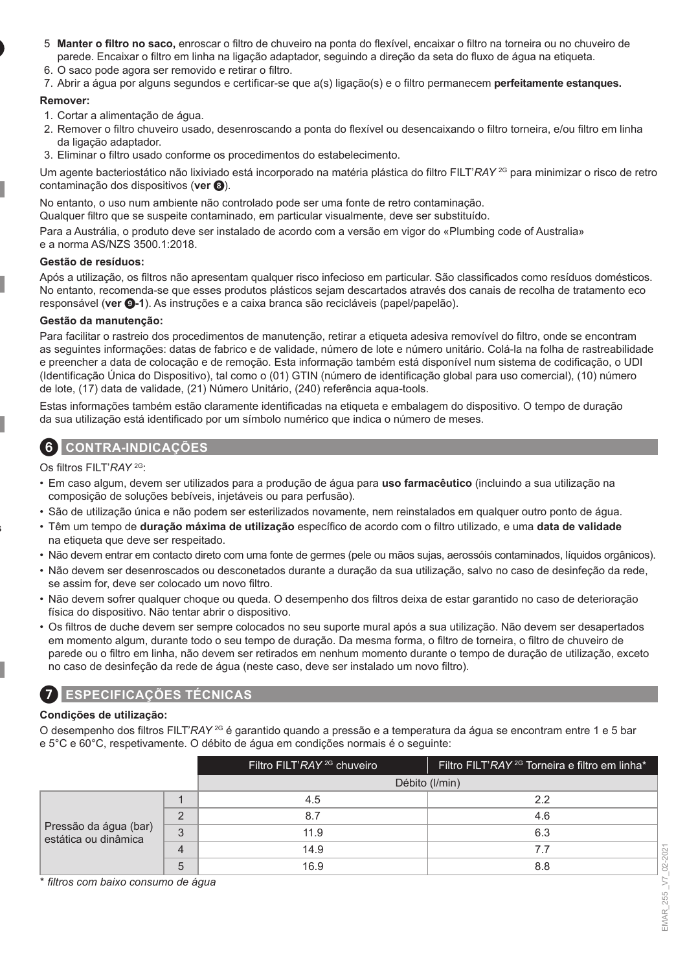- 5. **Manter o filtro no saco,** enroscar o filtro de chuveiro na ponta do flexível, encaixar o filtro na torneira ou no chuveiro de parede. Encaixar o filtro em linha na ligação adaptador, seguindo a direção da seta do fluxo de água na etiqueta.
- 6. O saco pode agora ser removido e retirar o filtro.
- 7. Abrir a água por alguns segundos e certificar-se que a(s) ligação(s) e o filtro permanecem **perfeitamente estanques.**

#### **Remover:**

- 1. Cortar a alimentação de água.
- 2. Remover o filtro chuveiro usado, desenroscando a ponta do flexível ou desencaixando o filtro torneira, e/ou filtro em linha da ligação adaptador.
- 3. Eliminar o filtro usado conforme os procedimentos do estabelecimento.

Um agente bacteriostático não lixiviado está incorporado na matéria plástica do filtro FILT'*RAY* 2G para minimizar o risco de retro contaminação dos dispositivos (**ver** 8).

No entanto, o uso num ambiente não controlado pode ser uma fonte de retro contaminação.

Qualquer filtro que se suspeite contaminado, em particular visualmente, deve ser substituído.

Para a Austrália, o produto deve ser instalado de acordo com a versão em vigor do «Plumbing code of Australia» e a norma AS/NZS 3500.1:2018.

#### **Gestão de resíduos:**

Após a utilização, os filtros não apresentam qualquer risco infecioso em particular. São classificados como resíduos domésticos. No entanto, recomenda-se que esses produtos plásticos sejam descartados através dos canais de recolha de tratamento eco responsável (**ver** 9**-1**). As instruções e a caixa branca são recicláveis (papel/papelão).

#### **Gestão da manutenção:**

Para facilitar o rastreio dos procedimentos de manutenção, retirar a etiqueta adesiva removível do filtro, onde se encontram as seguintes informações: datas de fabrico e de validade, número de lote e número unitário. Colá-la na folha de rastreabilidade e preencher a data de colocação e de remoção. Esta informação também está disponível num sistema de codificação, o UDI (Identificação Única do Dispositivo), tal como o (01) GTIN (número de identificação global para uso comercial), (10) número de lote, (17) data de validade, (21) Número Unitário, (240) referência aqua-tools.

Estas informações também estão claramente identificadas na etiqueta e embalagem do dispositivo. O tempo de duração da sua utilização está identificado por um símbolo numérico que indica o número de meses.

### 6 **CONTRA-INDICAÇÕES**

Os filtros FILT'*RAY* 2G:

- Em caso algum, devem ser utilizados para a produção de água para **uso farmacêutico** (incluindo a sua utilização na composição de soluções bebíveis, injetáveis ou para perfusão).
- São de utilização única e não podem ser esterilizados novamente, nem reinstalados em qualquer outro ponto de água.
- Têm um tempo de **duração máxima de utilização** específico de acordo com o filtro utilizado, e uma **data de validade** na etiqueta que deve ser respeitado.
- Não devem entrar em contacto direto com uma fonte de germes (pele ou mãos sujas, aerossóis contaminados, líquidos orgânicos).
- Não devem ser desenroscados ou desconetados durante a duração da sua utilização, salvo no caso de desinfeção da rede, se assim for, deve ser colocado um novo filtro.
- Não devem sofrer qualquer choque ou queda. O desempenho dos filtros deixa de estar garantido no caso de deterioração física do dispositivo. Não tentar abrir o dispositivo.
- Os filtros de duche devem ser sempre colocados no seu suporte mural após a sua utilização. Não devem ser desapertados em momento algum, durante todo o seu tempo de duração. Da mesma forma, o filtro de torneira, o filtro de chuveiro de parede ou o filtro em linha, não devem ser retirados em nenhum momento durante o tempo de duração de utilização, exceto no caso de desinfeção da rede de água (neste caso, deve ser instalado um novo filtro).

### 7 **ESPECIFICAÇÕES TÉCNICAS**

#### **Condições de utilização:**

O desempenho dos filtros FILT'*RAY* 2G é garantido quando a pressão e a temperatura da água se encontram entre 1 e 5 bar e 5°C e 60°C, respetivamente. O débito de água em condições normais é o seguinte:

|                                                                              | Filtro FILT'RAY <sup>2G</sup> chuveiro | Filtro FILT'RAY <sup>2G</sup> Torneira e filtro em linha <sup>*</sup> |
|------------------------------------------------------------------------------|----------------------------------------|-----------------------------------------------------------------------|
|                                                                              |                                        | Débito (I/min)                                                        |
| Pressão da água (bar)<br>$\mathbf{Q}$<br>v<br>estática ou dinâmica<br>4<br>b | 4.5                                    | 2.2                                                                   |
|                                                                              | 8.7                                    | 4.6                                                                   |
|                                                                              | 11.9                                   | 6.3                                                                   |
|                                                                              | 14.9                                   |                                                                       |
|                                                                              | 16.9                                   | 8.8                                                                   |

\* *filtros com baixo consumo de água*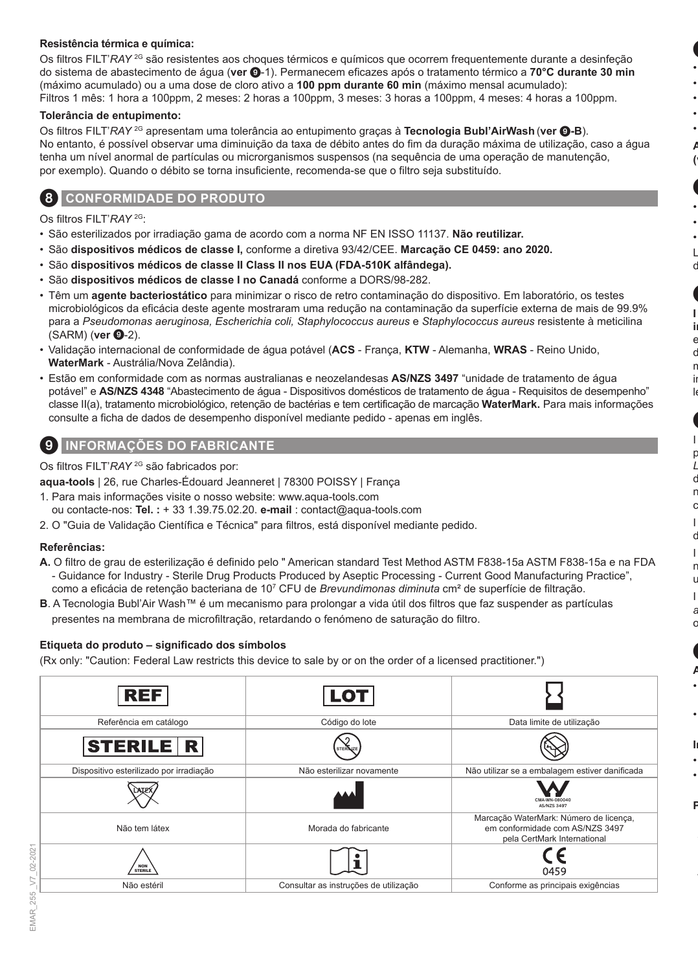#### **Resistência térmica e química:**

Os filtros FILT'*RAY* 2G são resistentes aos choques térmicos e químicos que ocorrem frequentemente durante a desinfeção do sistema de abastecimento de água (**ver** 9-1). Permanecem eficazes após o tratamento térmico a **70°C durante 30 min**  (máximo acumulado) ou a uma dose de cloro ativo a **100 ppm durante 60 min** (máximo mensal acumulado): Filtros 1 mês: 1 hora a 100ppm, 2 meses: 2 horas a 100ppm, 3 meses: 3 horas a 100ppm, 4 meses: 4 horas a 100ppm.

#### **Tolerância de entupimento:**

Os filtros FILT'*RAY* 2G apresentam uma tolerância ao entupimento graças à **Tecnologia Bubl'AirWash** (**ver** 9**-B**). No entanto, é possível observar uma diminuição da taxa de débito antes do fim da duração máxima de utilização, caso a água tenha um nível anormal de partículas ou microrganismos suspensos (na sequência de uma operação de manutenção, por exemplo). Quando o débito se torna insuficiente, recomenda-se que o filtro seja substituído.

### 8 **CONFORMIDADE DO PRODUTO**

Os filtros FILT'*RAY* 2G:

- São esterilizados por irradiação gama de acordo com a norma NF EN ISSO 11137. **Não reutilizar.**
- São **dispositivos médicos de classe I,** conforme a diretiva 93/42/CEE. **Marcação CE 0459: ano 2020.**
- São **dispositivos médicos de classe II Class II nos EUA (FDA-510K alfândega).**
- São **dispositivos médicos de classe I no Canadá** conforme a DORS/98-282.
- Têm um **agente bacteriostático** para minimizar o risco de retro contaminação do dispositivo. Em laboratório, os testes microbiológicos da eficácia deste agente mostraram uma redução na contaminação da superfície externa de mais de 99.9% para a *Pseudomonas aeruginosa, Escherichia coli, Staphylococcus aureus* e *Staphylococcus aureus* resistente à meticilina (SARM) (ver **0**-2).
- Validação internacional de conformidade de água potável (**ACS**  França, **KTW**  Alemanha, **WRAS**  Reino Unido, **WaterMark** - Austrália/Nova Zelândia).
- Estão em conformidade com as normas australianas e neozelandesas **AS/NZS 3497** "unidade de tratamento de água potável" e **AS/NZS 4348** "Abastecimento de água - Dispositivos domésticos de tratamento de água - Requisitos de desempenho" classe II(a), tratamento microbiológico, retenção de bactérias e tem certificação de marcação **WaterMark.** Para mais informações consulte a ficha de dados de desempenho disponível mediante pedido - apenas em inglês.

### 9 **INFORMAÇÕES DO FABRICANTE**

Os filtros FILT'*RAY* 2G são fabricados por:

**aqua-tools** | 26, rue Charles-Édouard Jeanneret | 78300 POISSY | França

- 1. Para mais informações visite o nosso website: www.aqua-tools.com ou contacte-nos: **Tel. :** + 33 1.39.75.02.20. **e-mail** : contact@aqua-tools.com
- 2. O "Guia de Validação Científica e Técnica" para filtros, está disponível mediante pedido.

#### **Referências:**

- **A.** O filtro de grau de esterilização é definido pelo " American standard Test Method ASTM F838-15a ASTM F838-15a e na FDA - Guidance for Industry - Sterile Drug Products Produced by Aseptic Processing - Current Good Manufacturing Practice", como a eficácia de retenção bacteriana de 10<sup>7</sup> CFU de *Brevundimonas diminuta* cm² de superfície de filtração.
- **B**. A Tecnologia Bubl'Air Wash™ é um mecanismo para prolongar a vida útil dos filtros que faz suspender as partículas presentes na membrana de microfiltração, retardando o fenómeno de saturação do filtro.

#### **Etiqueta do produto – significado dos símbolos**

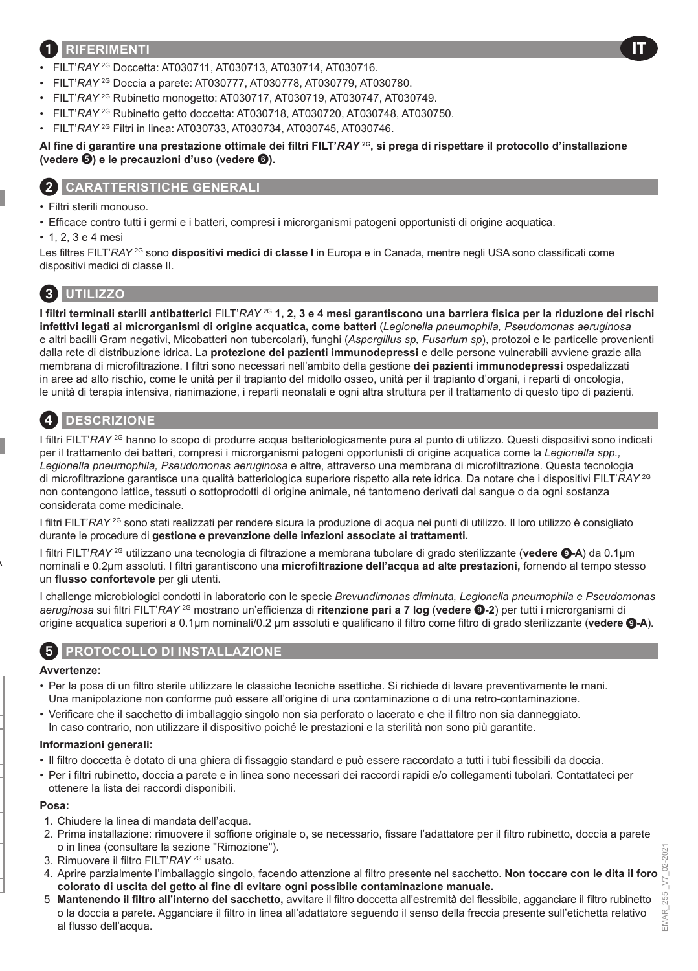### 1 **RIFERIMENTI**

- FILT'*RAY* 2G Doccetta: AT030711, AT030713, AT030714, AT030716.
- FILT'*RAY* 2G Doccia a parete: AT030777, AT030778, AT030779, AT030780.
- FILT'*RAY* 2G Rubinetto monogetto: AT030717, AT030719, AT030747, AT030749.
- FILT'*RAY* 2G Rubinetto getto doccetta: AT030718, AT030720, AT030748, AT030750.
- FILT'*RAY* 2G Filtri in linea: AT030733, AT030734, AT030745, AT030746.

#### **Al fine di garantire una prestazione ottimale dei filtri FILT'***RAY* **2G, si prega di rispettare il protocollo d'installazione (vedere ) e le precauzioni d'uso (vedere** 6**).**

### 2 **CARATTERISTICHE GENERALI**

- Filtri sterili monouso.
- Efficace contro tutti i germi e i batteri, compresi i microrganismi patogeni opportunisti di origine acquatica.
- 1, 2, 3 e 4 mesi

Les filtres FILT'*RAY* <sup>2G</sup> sono **dispositivi medici di classe I** in Europa e in Canada, mentre negli USA sono classificati come dispositivi medici di classe II.

# 3 **UTILIZZO**

**I filtri terminali sterili antibatterici** FILT'*RAY* 2G **1, 2, 3 e 4 mesi garantiscono una barriera fisica per la riduzione dei rischi infettivi legati ai microrganismi di origine acquatica, come batteri** (*Legionella pneumophila, Pseudomonas aeruginosa* e altri bacilli Gram negativi, Micobatteri non tubercolari), funghi (*Aspergillus sp, Fusarium sp*), protozoi e le particelle provenienti dalla rete di distribuzione idrica. La **protezione dei pazienti immunodepressi** e delle persone vulnerabili avviene grazie alla membrana di microfiltrazione. I filtri sono necessari nell'ambito della gestione **dei pazienti immunodepressi** ospedalizzati in aree ad alto rischio, come le unità per il trapianto del midollo osseo, unità per il trapianto d'organi, i reparti di oncologia, le unità di terapia intensiva, rianimazione, i reparti neonatali e ogni altra struttura per il trattamento di questo tipo di pazienti.

# 4 **DESCRIZIONE**

I filtri FILT'*RAY* <sup>2G</sup> hanno lo scopo di produrre acqua batteriologicamente pura al punto di utilizzo. Questi dispositivi sono indicati per il trattamento dei batteri, compresi i microrganismi patogeni opportunisti di origine acquatica come la *Legionella spp., Legionella pneumophila, Pseudomonas aeruginosa* e altre, attraverso una membrana di microfiltrazione. Questa tecnologia di microfiltrazione garantisce una qualità batteriologica superiore rispetto alla rete idrica. Da notare che i dispositivi FILT'*RAY* 2G non contengono lattice, tessuti o sottoprodotti di origine animale, né tantomeno derivati dal sangue o da ogni sostanza considerata come medicinale.

I filtri FILT'*RAY* 2G sono stati realizzati per rendere sicura la produzione di acqua nei punti di utilizzo. Il loro utilizzo è consigliato durante le procedure di **gestione e prevenzione delle infezioni associate ai trattamenti.**

I filtri FILT'*RAY* 2G utilizzano una tecnologia di filtrazione a membrana tubolare di grado sterilizzante (**vedere** 9**-A**) da 0.1µm nominali e 0.2µm assoluti. I filtri garantiscono una **microfiltrazione dell'acqua ad alte prestazioni,** fornendo al tempo stesso un **flusso confortevole** per gli utenti.

I challenge microbiologici condotti in laboratorio con le specie *Brevundimonas diminuta, Legionella pneumophila e Pseudomonas aeruginosa* sui filtri FILT'*RAY* 2G mostrano un'efficienza di **ritenzione pari a 7 log** (**vedere** 9**-2**) per tutti i microrganismi di origine acquatica superiori a 0.1µm nominali/0.2 μm assoluti e qualificano il filtro come filtro di grado sterilizzante (**vedere** 9**-A**).

### **PROTOCOLLO DI INSTALLAZIONE**

#### **Avvertenze:**

- Per la posa di un filtro sterile utilizzare le classiche tecniche asettiche. Si richiede di lavare preventivamente le mani. Una manipolazione non conforme può essere all'origine di una contaminazione o di una retro-contaminazione.
- Verificare che il sacchetto di imballaggio singolo non sia perforato o lacerato e che il filtro non sia danneggiato. In caso contrario, non utilizzare il dispositivo poiché le prestazioni e la sterilità non sono più garantite.

#### **Informazioni generali:**

- Il filtro doccetta è dotato di una ghiera di fissaggio standard e può essere raccordato a tutti i tubi flessibili da doccia.
- Per i filtri rubinetto, doccia a parete e in linea sono necessari dei raccordi rapidi e/o collegamenti tubolari. Contattateci per ottenere la lista dei raccordi disponibili.

#### **Posa:**

- 1. Chiudere la linea di mandata dell'acqua.
- 2. Prima installazione: rimuovere il soffione originale o, se necessario, fissare l'adattatore per il filtro rubinetto, doccia a parete o in linea (consultare la sezione "Rimozione").
- 3. Rimuovere il filtro FILT'*RAY* 2G usato.
- 4. Aprire parzialmente l'imballaggio singolo, facendo attenzione al filtro presente nel sacchetto. **Non toccare con le dita il foro colorato di uscita del getto al fine di evitare ogni possibile contaminazione manuale.**
- 5. **Mantenendo il filtro all'interno del sacchetto,** avvitare il filtro doccetta all'estremità del flessibile, agganciare il filtro rubinetto o la doccia a parete. Agganciare il filtro in linea all'adattatore seguendo il senso della freccia presente sull'etichetta relativo al flusso dell'acqua.

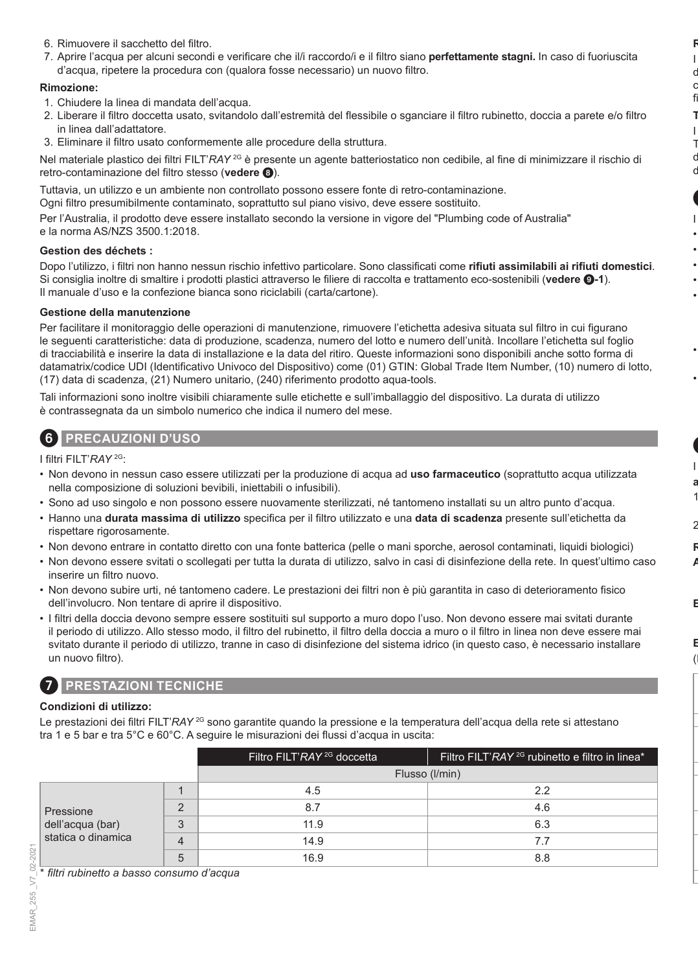- 6. Rimuovere il sacchetto del filtro.
- 7. Aprire l'acqua per alcuni secondi e verificare che il/i raccordo/i e il filtro siano **perfettamente stagni.** In caso di fuoriuscita d'acqua, ripetere la procedura con (qualora fosse necessario) un nuovo filtro.

#### **Rimozione:**

- 1. Chiudere la linea di mandata dell'acqua.
- 2. Liberare il filtro doccetta usato, svitandolo dall'estremità del flessibile o sganciare il filtro rubinetto, doccia a parete e/o filtro in linea dall'adattatore.
- 3. Eliminare il filtro usato conformemente alle procedure della struttura.

Nel materiale plastico dei filtri FILT'*RAY* 2G è presente un agente batteriostatico non cedibile, al fine di minimizzare il rischio di retro-contaminazione del filtro stesso (**vedere** 8).

Tuttavia, un utilizzo e un ambiente non controllato possono essere fonte di retro-contaminazione.

Ogni filtro presumibilmente contaminato, soprattutto sul piano visivo, deve essere sostituito.

Per l'Australia, il prodotto deve essere installato secondo la versione in vigore del "Plumbing code of Australia" e la norma AS/NZS 3500.1:2018.

#### **Gestion des déchets :**

Dopo l'utilizzo, i filtri non hanno nessun rischio infettivo particolare. Sono classificati come **rifiuti assimilabili ai rifiuti domestici**. Si consiglia inoltre di smaltire i prodotti plastici attraverso le filiere di raccolta e trattamento eco-sostenibili (**vedere** 9**-1**). Il manuale d'uso e la confezione bianca sono riciclabili (carta/cartone).

#### **Gestione della manutenzione**

Per facilitare il monitoraggio delle operazioni di manutenzione, rimuovere l'etichetta adesiva situata sul filtro in cui figurano le seguenti caratteristiche: data di produzione, scadenza, numero del lotto e numero dell'unità. Incollare l'etichetta sul foglio di tracciabilità e inserire la data di installazione e la data del ritiro. Queste informazioni sono disponibili anche sotto forma di datamatrix/codice UDI (Identificativo Univoco del Dispositivo) come (01) GTIN: Global Trade Item Number, (10) numero di lotto, (17) data di scadenza, (21) Numero unitario, (240) riferimento prodotto aqua-tools.

Tali informazioni sono inoltre visibili chiaramente sulle etichette e sull'imballaggio del dispositivo. La durata di utilizzo è contrassegnata da un simbolo numerico che indica il numero del mese.

### 6 **PRECAUZIONI D'USO**

I filtri FILT'*RAY* 2G:

- Non devono in nessun caso essere utilizzati per la produzione di acqua ad **uso farmaceutico** (soprattutto acqua utilizzata nella composizione di soluzioni bevibili, iniettabili o infusibili).
- Sono ad uso singolo e non possono essere nuovamente sterilizzati, né tantomeno installati su un altro punto d'acqua.
- Hanno una **durata massima di utilizzo** specifica per il filtro utilizzato e una **data di scadenza** presente sull'etichetta da rispettare rigorosamente.
- Non devono entrare in contatto diretto con una fonte batterica (pelle o mani sporche, aerosol contaminati, liquidi biologici)
- Non devono essere svitati o scollegati per tutta la durata di utilizzo, salvo in casi di disinfezione della rete. In quest'ultimo caso inserire un filtro nuovo.
- Non devono subire urti, né tantomeno cadere. Le prestazioni dei filtri non è più garantita in caso di deterioramento fisico dell'involucro. Non tentare di aprire il dispositivo.
- I filtri della doccia devono sempre essere sostituiti sul supporto a muro dopo l'uso. Non devono essere mai svitati durante il periodo di utilizzo. Allo stesso modo, il filtro del rubinetto, il filtro della doccia a muro o il filtro in linea non deve essere mai svitato durante il periodo di utilizzo, tranne in caso di disinfezione del sistema idrico (in questo caso, è necessario installare un nuovo filtro).

### 7 **PRESTAZIONI TECNICHE**

#### **Condizioni di utilizzo:**

Le prestazioni dei filtri FILT'*RAY* <sup>2G</sup> sono garantite quando la pressione e la temperatura dell'acqua della rete si attestano tra 1 e 5 bar e tra 5°C e 60°C. A seguire le misurazioni dei flussi d'acqua in uscita:

|                                                     |          | Filtro FILT'RAY <sup>2G</sup> doccetta | Filtro FILT'RAY <sup>2G</sup> rubinetto e filtro in linea <sup>*</sup> |
|-----------------------------------------------------|----------|----------------------------------------|------------------------------------------------------------------------|
|                                                     |          |                                        | Flusso (I/min)                                                         |
|                                                     |          | 4.5                                    | 2.2                                                                    |
| Pressione<br>dell'acqua (bar)<br>statica o dinamica | $\Omega$ | 8.7                                    | 4.6                                                                    |
|                                                     | 3        | 11.9                                   | 6.3                                                                    |
|                                                     |          | 14.9                                   | 7.7                                                                    |
|                                                     | b        | 16.9                                   | 8.8                                                                    |

\* *filtri rubinetto a basso consumo d'acqua*